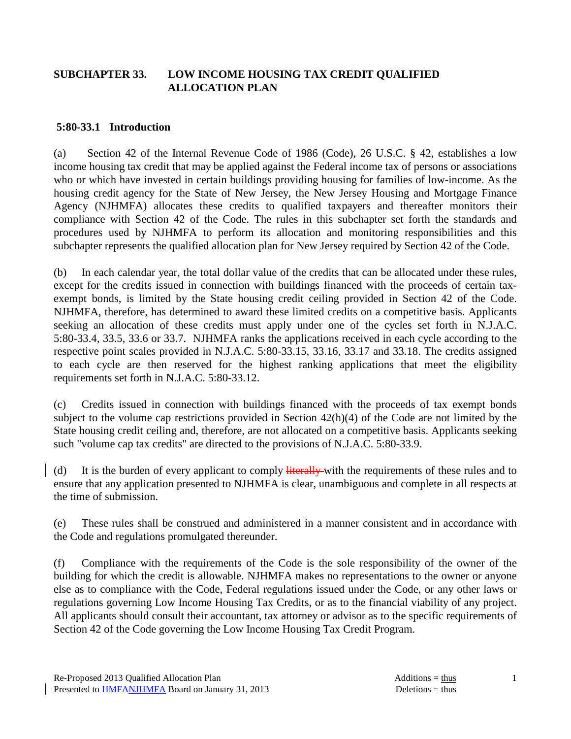### **SUBCHAPTER 33. LOW INCOME HOUSING TAX CREDIT QUALIFIED ALLOCATION PLAN**

#### **5:80-33.1 Introduction**

(a) Section 42 of the Internal Revenue Code of 1986 (Code), 26 U.S.C. § 42, establishes a low income housing tax credit that may be applied against the Federal income tax of persons or associations who or which have invested in certain buildings providing housing for families of low-income. As the housing credit agency for the State of New Jersey, the New Jersey Housing and Mortgage Finance Agency (NJHMFA) allocates these credits to qualified taxpayers and thereafter monitors their compliance with Section 42 of the Code. The rules in this subchapter set forth the standards and procedures used by NJHMFA to perform its allocation and monitoring responsibilities and this subchapter represents the qualified allocation plan for New Jersey required by Section 42 of the Code.

(b) In each calendar year, the total dollar value of the credits that can be allocated under these rules, except for the credits issued in connection with buildings financed with the proceeds of certain taxexempt bonds, is limited by the State housing credit ceiling provided in Section 42 of the Code. NJHMFA, therefore, has determined to award these limited credits on a competitive basis. Applicants seeking an allocation of these credits must apply under one of the cycles set forth in N.J.A.C. 5:80-33.4, 33.5, 33.6 or 33.7. NJHMFA ranks the applications received in each cycle according to the respective point scales provided in N.J.A.C. 5:80-33.15, 33.16, 33.17 and 33.18. The credits assigned to each cycle are then reserved for the highest ranking applications that meet the eligibility requirements set forth in N.J.A.C. 5:80-33.12.

(c) Credits issued in connection with buildings financed with the proceeds of tax exempt bonds subject to the volume cap restrictions provided in Section 42(h)(4) of the Code are not limited by the State housing credit ceiling and, therefore, are not allocated on a competitive basis. Applicants seeking such "volume cap tax credits" are directed to the provisions of N.J.A.C. 5:80-33.9.

(d) It is the burden of every applicant to comply literally with the requirements of these rules and to ensure that any application presented to NJHMFA is clear, unambiguous and complete in all respects at the time of submission.

(e) These rules shall be construed and administered in a manner consistent and in accordance with the Code and regulations promulgated thereunder.

(f) Compliance with the requirements of the Code is the sole responsibility of the owner of the building for which the credit is allowable. NJHMFA makes no representations to the owner or anyone else as to compliance with the Code, Federal regulations issued under the Code, or any other laws or regulations governing Low Income Housing Tax Credits, or as to the financial viability of any project. All applicants should consult their accountant, tax attorney or advisor as to the specific requirements of Section 42 of the Code governing the Low Income Housing Tax Credit Program.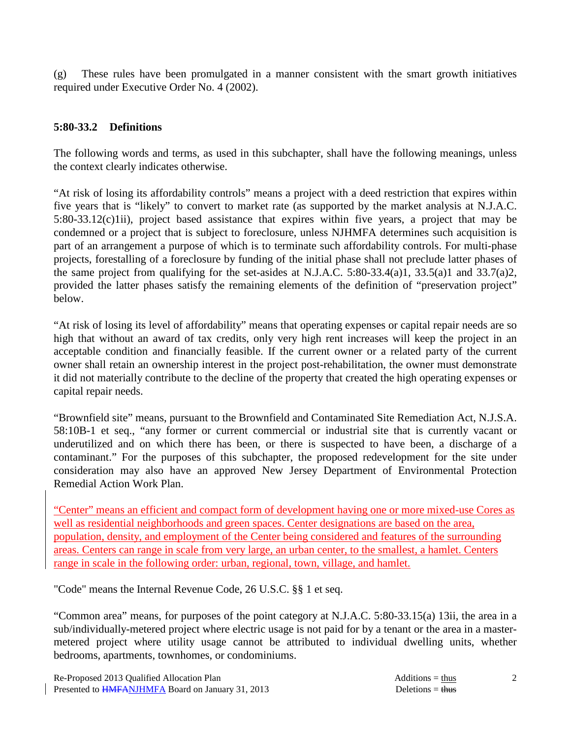(g) These rules have been promulgated in a manner consistent with the smart growth initiatives required under Executive Order No. 4 (2002).

### **5:80-33.2 Definitions**

The following words and terms, as used in this subchapter, shall have the following meanings, unless the context clearly indicates otherwise.

"At risk of losing its affordability controls" means a project with a deed restriction that expires within five years that is "likely" to convert to market rate (as supported by the market analysis at N.J.A.C. 5:80-33.12(c)1ii), project based assistance that expires within five years, a project that may be condemned or a project that is subject to foreclosure, unless NJHMFA determines such acquisition is part of an arrangement a purpose of which is to terminate such affordability controls. For multi-phase projects, forestalling of a foreclosure by funding of the initial phase shall not preclude latter phases of the same project from qualifying for the set-asides at N.J.A.C. 5:80-33.4(a)1, 33.5(a)1 and 33.7(a)2, provided the latter phases satisfy the remaining elements of the definition of "preservation project" below.

"At risk of losing its level of affordability" means that operating expenses or capital repair needs are so high that without an award of tax credits, only very high rent increases will keep the project in an acceptable condition and financially feasible. If the current owner or a related party of the current owner shall retain an ownership interest in the project post-rehabilitation, the owner must demonstrate it did not materially contribute to the decline of the property that created the high operating expenses or capital repair needs.

"Brownfield site" means, pursuant to the Brownfield and Contaminated Site Remediation Act, N.J.S.A. 58:10B-1 et seq., "any former or current commercial or industrial site that is currently vacant or underutilized and on which there has been, or there is suspected to have been, a discharge of a contaminant." For the purposes of this subchapter, the proposed redevelopment for the site under consideration may also have an approved New Jersey Department of Environmental Protection Remedial Action Work Plan.

"Center" means an efficient and compact form of development having one or more mixed-use Cores as well as residential neighborhoods and green spaces. Center designations are based on the area, population, density, and employment of the Center being considered and features of the surrounding areas. Centers can range in scale from very large, an urban center, to the smallest, a hamlet. Centers range in scale in the following order: urban, regional, town, village, and hamlet.

"Code" means the Internal Revenue Code, 26 U.S.C. §§ 1 et seq.

"Common area" means, for purposes of the point category at N.J.A.C. 5:80-33.15(a) 13ii, the area in a sub/individually-metered project where electric usage is not paid for by a tenant or the area in a mastermetered project where utility usage cannot be attributed to individual dwelling units, whether bedrooms, apartments, townhomes, or condominiums.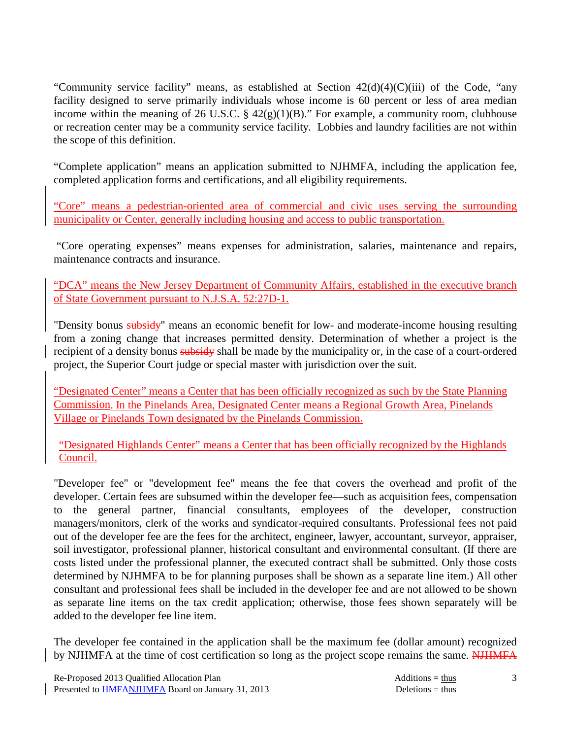"Community service facility" means, as established at Section 42(d)(4)(C)(iii) of the Code, "any facility designed to serve primarily individuals whose income is 60 percent or less of area median income within the meaning of 26 U.S.C.  $\S$  42(g)(1)(B)." For example, a community room, clubhouse or recreation center may be a community service facility. Lobbies and laundry facilities are not within the scope of this definition.

"Complete application" means an application submitted to NJHMFA, including the application fee, completed application forms and certifications, and all eligibility requirements.

"Core" means a pedestrian-oriented area of commercial and civic uses serving the surrounding municipality or Center, generally including housing and access to public transportation.

 "Core operating expenses" means expenses for administration, salaries, maintenance and repairs, maintenance contracts and insurance.

"DCA" means the New Jersey Department of Community Affairs, established in the executive branch of State Government pursuant to N.J.S.A. 52:27D-1.

"Density bonus subsidy" means an economic benefit for low- and moderate-income housing resulting from a zoning change that increases permitted density. Determination of whether a project is the recipient of a density bonus subsidy shall be made by the municipality or, in the case of a court-ordered project, the Superior Court judge or special master with jurisdiction over the suit.

"Designated Center" means a Center that has been officially recognized as such by the State Planning Commission. In the Pinelands Area, Designated Center means a Regional Growth Area, Pinelands Village or Pinelands Town designated by the Pinelands Commission.

"Designated Highlands Center" means a Center that has been officially recognized by the Highlands Council.

"Developer fee" or "development fee" means the fee that covers the overhead and profit of the developer. Certain fees are subsumed within the developer fee—such as acquisition fees, compensation to the general partner, financial consultants, employees of the developer, construction managers/monitors, clerk of the works and syndicator-required consultants. Professional fees not paid out of the developer fee are the fees for the architect, engineer, lawyer, accountant, surveyor, appraiser, soil investigator, professional planner, historical consultant and environmental consultant. (If there are costs listed under the professional planner, the executed contract shall be submitted. Only those costs determined by NJHMFA to be for planning purposes shall be shown as a separate line item.) All other consultant and professional fees shall be included in the developer fee and are not allowed to be shown as separate line items on the tax credit application; otherwise, those fees shown separately will be added to the developer fee line item.

The developer fee contained in the application shall be the maximum fee (dollar amount) recognized by NJHMFA at the time of cost certification so long as the project scope remains the same. NJHMFA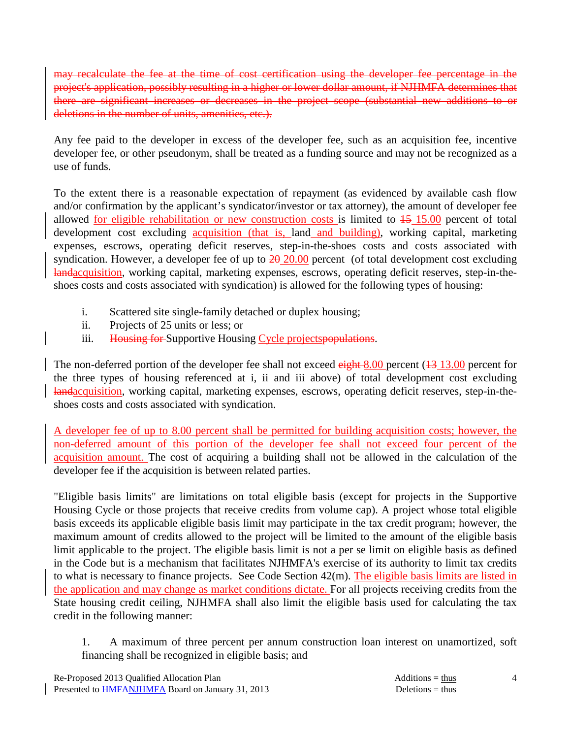may recalculate the fee at the time of cost certification using the developer fee percentage in the project's application, possibly resulting in a higher or lower dollar amount, if NJHMFA determines that there are significant increases or decreases in the project scope (substantial new additions to or deletions in the number of units, amenities, etc.).

Any fee paid to the developer in excess of the developer fee, such as an acquisition fee, incentive developer fee, or other pseudonym, shall be treated as a funding source and may not be recognized as a use of funds.

To the extent there is a reasonable expectation of repayment (as evidenced by available cash flow and/or confirmation by the applicant's syndicator/investor or tax attorney), the amount of developer fee allowed for eligible rehabilitation or new construction costs is limited to 15 15.00 percent of total development cost excluding acquisition (that is, land and building), working capital, marketing expenses, escrows, operating deficit reserves, step-in-the-shoes costs and costs associated with syndication. However, a developer fee of up to  $20\,20.00$  percent (of total development cost excluding landacquisition, working capital, marketing expenses, escrows, operating deficit reserves, step-in-theshoes costs and costs associated with syndication) is allowed for the following types of housing:

- i. Scattered site single-family detached or duplex housing;
- ii. Projects of 25 units or less; or
- iii. Housing for Supportive Housing Cycle projects populations.

The non-deferred portion of the developer fee shall not exceed  $\frac{$ ight 8.00 percent ( $\frac{13}{13}$ .00 percent for the three types of housing referenced at i, ii and iii above) of total development cost excluding landacquisition, working capital, marketing expenses, escrows, operating deficit reserves, step-in-theshoes costs and costs associated with syndication.

A developer fee of up to 8.00 percent shall be permitted for building acquisition costs; however, the non-deferred amount of this portion of the developer fee shall not exceed four percent of the acquisition amount. The cost of acquiring a building shall not be allowed in the calculation of the developer fee if the acquisition is between related parties.

"Eligible basis limits" are limitations on total eligible basis (except for projects in the Supportive Housing Cycle or those projects that receive credits from volume cap). A project whose total eligible basis exceeds its applicable eligible basis limit may participate in the tax credit program; however, the maximum amount of credits allowed to the project will be limited to the amount of the eligible basis limit applicable to the project. The eligible basis limit is not a per se limit on eligible basis as defined in the Code but is a mechanism that facilitates NJHMFA's exercise of its authority to limit tax credits to what is necessary to finance projects. See Code Section 42(m). The eligible basis limits are listed in the application and may change as market conditions dictate. For all projects receiving credits from the State housing credit ceiling, NJHMFA shall also limit the eligible basis used for calculating the tax credit in the following manner:

 1. A maximum of three percent per annum construction loan interest on unamortized, soft financing shall be recognized in eligible basis; and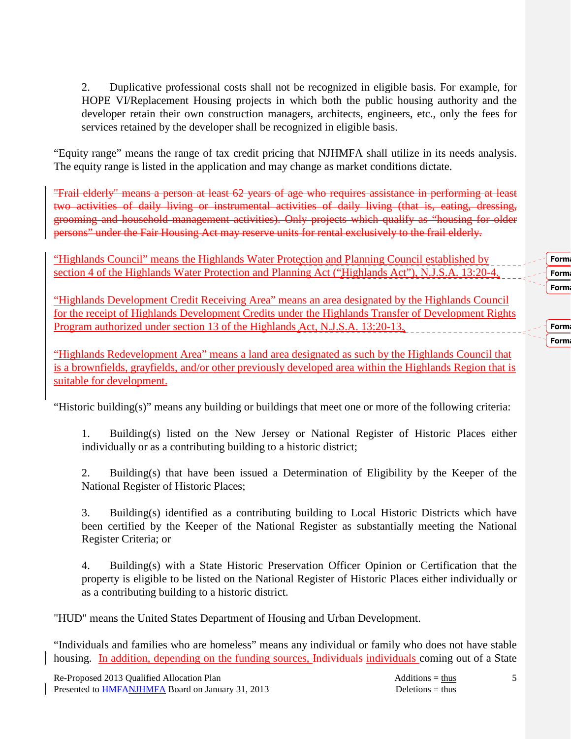2. Duplicative professional costs shall not be recognized in eligible basis. For example, for HOPE VI/Replacement Housing projects in which both the public housing authority and the developer retain their own construction managers, architects, engineers, etc., only the fees for services retained by the developer shall be recognized in eligible basis.

"Equity range" means the range of tax credit pricing that NJHMFA shall utilize in its needs analysis. The equity range is listed in the application and may change as market conditions dictate.

"Frail elderly" means a person at least 62 years of age who requires assistance in performing at least two activities of daily living or instrumental activities of daily living (that is, eating, dressing, grooming and household management activities). Only projects which qualify as "housing for older persons" under the Fair Housing Act may reserve units for rental exclusively to the frail elderly.

"Highlands Council" means the Highlands Water Protection and Planning Council established by section 4 of the Highlands Water Protection and Planning Act ("Highlands Act"), N.J.S.A. 13:20-4.

"Highlands Development Credit Receiving Area" means an area designated by the Highlands Council for the receipt of Highlands Development Credits under the Highlands Transfer of Development Rights Program authorized under section 13 of the Highlands Act, N.J.S.A. 13:20-13.

"Highlands Redevelopment Area" means a land area designated as such by the Highlands Council that is a brownfields, grayfields, and/or other previously developed area within the Highlands Region that is suitable for development.

"Historic building(s)" means any building or buildings that meet one or more of the following criteria:

 1. Building(s) listed on the New Jersey or National Register of Historic Places either individually or as a contributing building to a historic district;

 2. Building(s) that have been issued a Determination of Eligibility by the Keeper of the National Register of Historic Places;

 3. Building(s) identified as a contributing building to Local Historic Districts which have been certified by the Keeper of the National Register as substantially meeting the National Register Criteria; or

 4. Building(s) with a State Historic Preservation Officer Opinion or Certification that the property is eligible to be listed on the National Register of Historic Places either individually or as a contributing building to a historic district.

"HUD" means the United States Department of Housing and Urban Development.

"Individuals and families who are homeless" means any individual or family who does not have stable housing. In addition, depending on the funding sources, Individuals individuals coming out of a State

5

Form Form Form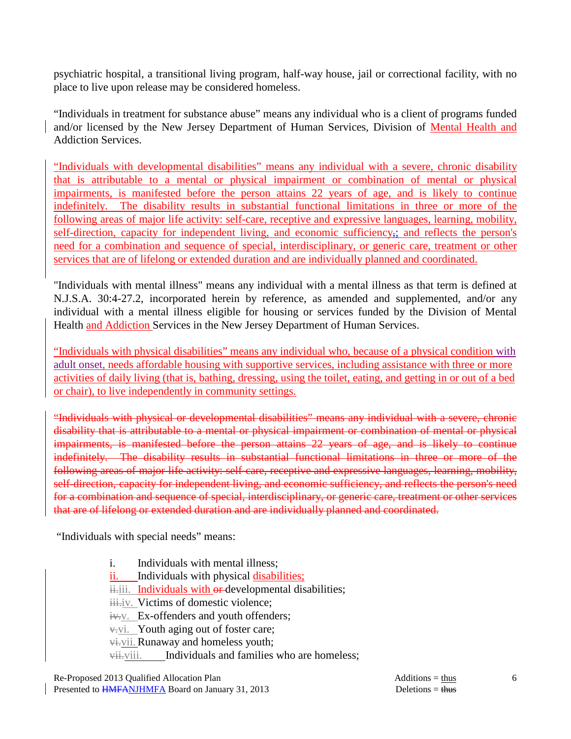psychiatric hospital, a transitional living program, half-way house, jail or correctional facility, with no place to live upon release may be considered homeless.

"Individuals in treatment for substance abuse" means any individual who is a client of programs funded and/or licensed by the New Jersey Department of Human Services, Division of Mental Health and Addiction Services.

"Individuals with developmental disabilities" means any individual with a severe, chronic disability that is attributable to a mental or physical impairment or combination of mental or physical impairments, is manifested before the person attains 22 years of age, and is likely to continue indefinitely. The disability results in substantial functional limitations in three or more of the following areas of major life activity: self-care, receptive and expressive languages, learning, mobility, self-direction, capacity for independent living, and economic sufficiency<sub>5</sub>; and reflects the person's need for a combination and sequence of special, interdisciplinary, or generic care, treatment or other services that are of lifelong or extended duration and are individually planned and coordinated.

"Individuals with mental illness" means any individual with a mental illness as that term is defined at N.J.S.A. 30:4-27.2, incorporated herein by reference, as amended and supplemented, and/or any individual with a mental illness eligible for housing or services funded by the Division of Mental Health and Addiction Services in the New Jersey Department of Human Services.

"Individuals with physical disabilities" means any individual who, because of a physical condition with adult onset, needs affordable housing with supportive services, including assistance with three or more activities of daily living (that is, bathing, dressing, using the toilet, eating, and getting in or out of a bed or chair), to live independently in community settings.

"Individuals with physical or developmental disabilities" means any individual with a severe, chronic disability that is attributable to a mental or physical impairment or combination of mental or physical impairments, is manifested before the person attains 22 years of age, and is likely to continue indefinitely. The disability results in substantial functional limitations in three or more of the following areas of major life activity: self-care, receptive and expressive languages, learning, mobility, self-direction, capacity for independent living, and economic sufficiency, and reflects the person's need for a combination and sequence of special, interdisciplinary, or generic care, treatment or other services that are of lifelong or extended duration and are individually planned and coordinated.

"Individuals with special needs" means:

- i. Individuals with mental illness;
- ii. Individuals with physical disabilities;

iii. Individuals with or-developmental disabilities;

iii.iv. Victims of domestic violence;

iv.v. Ex-offenders and youth offenders;

 $\overline{v}$ . Youth aging out of foster care;

vi.vii.Runaway and homeless youth;

vii. Individuals and families who are homeless;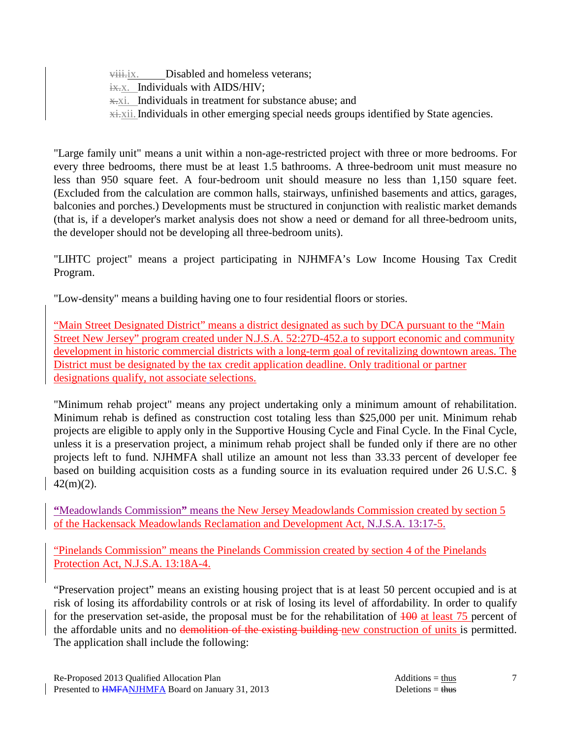viii.ix. Disabled and homeless veterans:  $\frac{1}{11}$  Individuals with AIDS/HIV; x.xi. Individuals in treatment for substance abuse; and  $x\ddot{+}x$ ii. Individuals in other emerging special needs groups identified by State agencies.

"Large family unit" means a unit within a non-age-restricted project with three or more bedrooms. For every three bedrooms, there must be at least 1.5 bathrooms. A three-bedroom unit must measure no less than 950 square feet. A four-bedroom unit should measure no less than 1,150 square feet. (Excluded from the calculation are common halls, stairways, unfinished basements and attics, garages, balconies and porches.) Developments must be structured in conjunction with realistic market demands (that is, if a developer's market analysis does not show a need or demand for all three-bedroom units, the developer should not be developing all three-bedroom units).

"LIHTC project" means a project participating in NJHMFA's Low Income Housing Tax Credit Program.

"Low-density" means a building having one to four residential floors or stories.

"Main Street Designated District" means a district designated as such by DCA pursuant to the "Main Street New Jersey" program created under N.J.S.A. 52:27D-452.a to support economic and community development in historic commercial districts with a long-term goal of revitalizing downtown areas. The District must be designated by the tax credit application deadline. Only traditional or partner designations qualify, not associate selections.

"Minimum rehab project" means any project undertaking only a minimum amount of rehabilitation. Minimum rehab is defined as construction cost totaling less than \$25,000 per unit. Minimum rehab projects are eligible to apply only in the Supportive Housing Cycle and Final Cycle. In the Final Cycle, unless it is a preservation project, a minimum rehab project shall be funded only if there are no other projects left to fund. NJHMFA shall utilize an amount not less than 33.33 percent of developer fee based on building acquisition costs as a funding source in its evaluation required under 26 U.S.C. § 42(m)(2).

**"**Meadowlands Commission**"** means the New Jersey Meadowlands Commission created by section 5 of the Hackensack Meadowlands Reclamation and Development Act, N.J.S.A. 13:17-5.

"Pinelands Commission" means the Pinelands Commission created by section 4 of the Pinelands Protection Act, N.J.S.A. 13:18A-4.

"Preservation project" means an existing housing project that is at least 50 percent occupied and is at risk of losing its affordability controls or at risk of losing its level of affordability. In order to qualify for the preservation set-aside, the proposal must be for the rehabilitation of  $\overline{100}$  at least  $\overline{75}$  percent of the affordable units and no demolition of the existing building new construction of units is permitted. The application shall include the following: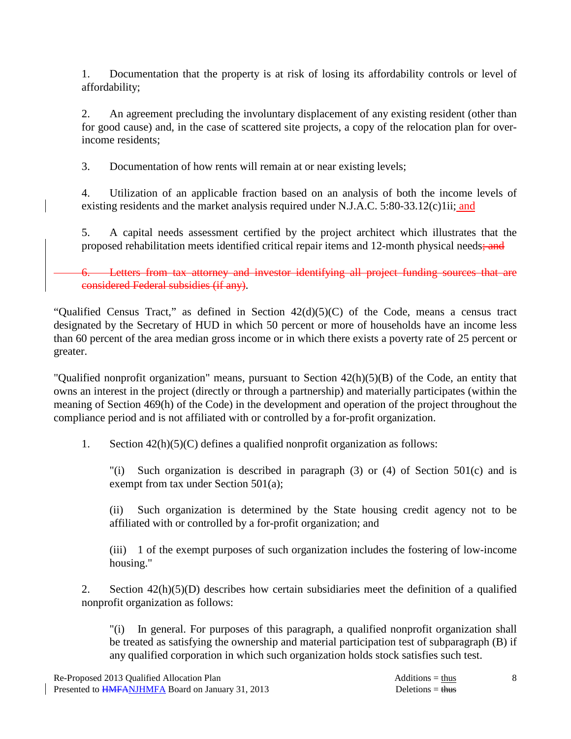1. Documentation that the property is at risk of losing its affordability controls or level of affordability;

 2. An agreement precluding the involuntary displacement of any existing resident (other than for good cause) and, in the case of scattered site projects, a copy of the relocation plan for overincome residents;

3. Documentation of how rents will remain at or near existing levels;

 4. Utilization of an applicable fraction based on an analysis of both the income levels of existing residents and the market analysis required under N.J.A.C. 5:80-33.12(c)1ii; and

 5. A capital needs assessment certified by the project architect which illustrates that the proposed rehabilitation meets identified critical repair items and 12-month physical needs; and

Letters from tax attorney and investor identifying all project funding sources that are considered Federal subsidies (if any).

"Qualified Census Tract," as defined in Section 42(d)(5)(C) of the Code, means a census tract designated by the Secretary of HUD in which 50 percent or more of households have an income less than 60 percent of the area median gross income or in which there exists a poverty rate of 25 percent or greater.

"Qualified nonprofit organization" means, pursuant to Section 42(h)(5)(B) of the Code, an entity that owns an interest in the project (directly or through a partnership) and materially participates (within the meaning of Section 469(h) of the Code) in the development and operation of the project throughout the compliance period and is not affiliated with or controlled by a for-profit organization.

1. Section 42(h)(5)(C) defines a qualified nonprofit organization as follows:

 "(i) Such organization is described in paragraph (3) or (4) of Section 501(c) and is exempt from tax under Section 501(a);

 (ii) Such organization is determined by the State housing credit agency not to be affiliated with or controlled by a for-profit organization; and

 (iii) 1 of the exempt purposes of such organization includes the fostering of low-income housing."

 2. Section 42(h)(5)(D) describes how certain subsidiaries meet the definition of a qualified nonprofit organization as follows:

 "(i) In general. For purposes of this paragraph, a qualified nonprofit organization shall be treated as satisfying the ownership and material participation test of subparagraph (B) if any qualified corporation in which such organization holds stock satisfies such test.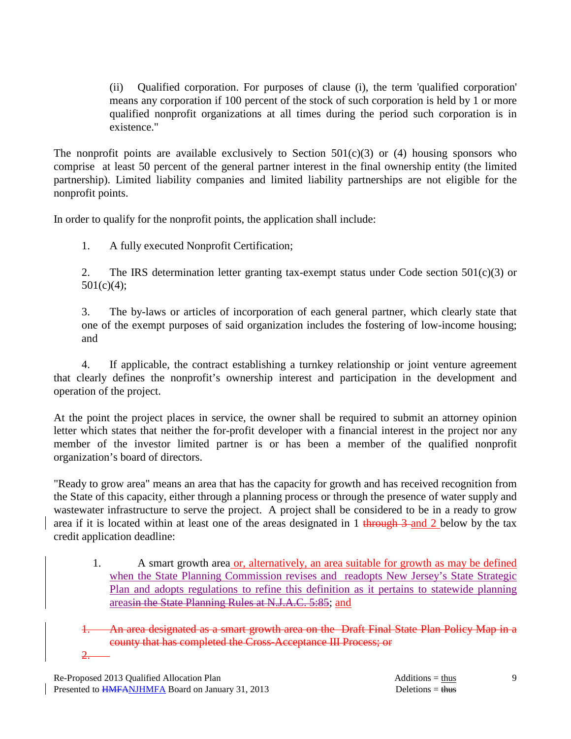(ii) Qualified corporation. For purposes of clause (i), the term 'qualified corporation' means any corporation if 100 percent of the stock of such corporation is held by 1 or more qualified nonprofit organizations at all times during the period such corporation is in existence."

The nonprofit points are available exclusively to Section  $501(c)(3)$  or (4) housing sponsors who comprise at least 50 percent of the general partner interest in the final ownership entity (the limited partnership). Limited liability companies and limited liability partnerships are not eligible for the nonprofit points.

In order to qualify for the nonprofit points, the application shall include:

1. A fully executed Nonprofit Certification;

2. The IRS determination letter granting tax-exempt status under Code section  $501(c)(3)$  or 501(c)(4);

 3. The by-laws or articles of incorporation of each general partner, which clearly state that one of the exempt purposes of said organization includes the fostering of low-income housing; and

 4. If applicable, the contract establishing a turnkey relationship or joint venture agreement that clearly defines the nonprofit's ownership interest and participation in the development and operation of the project.

At the point the project places in service, the owner shall be required to submit an attorney opinion letter which states that neither the for-profit developer with a financial interest in the project nor any member of the investor limited partner is or has been a member of the qualified nonprofit organization's board of directors.

"Ready to grow area" means an area that has the capacity for growth and has received recognition from the State of this capacity, either through a planning process or through the presence of water supply and wastewater infrastructure to serve the project. A project shall be considered to be in a ready to grow area if it is located within at least one of the areas designated in 1 through 3 and 2 below by the tax credit application deadline:

1. A smart growth area or, alternatively, an area suitable for growth as may be defined when the State Planning Commission revises and readopts New Jersey's State Strategic Plan and adopts regulations to refine this definition as it pertains to statewide planning areasin the State Planning Rules at N.J.A.C. 5:85; and

An area designated as a smart growth area on the Draft Final State Plan Policy Map in a county that has completed the Cross-Acceptance III Process; or 2.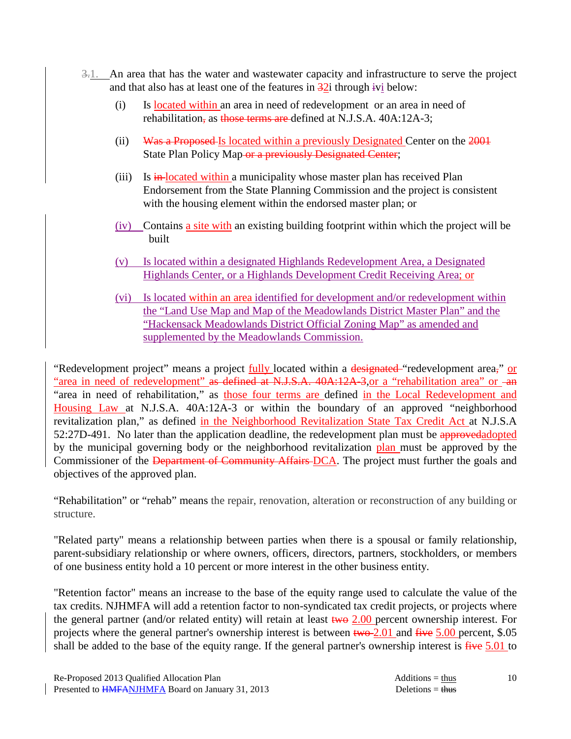- 3.1. An area that has the water and wastewater capacity and infrastructure to serve the project and that also has at least one of the features in  $\frac{32i}{12}$  through ivi below:
	- (i) Is located within an area in need of redevelopment or an area in need of rehabilitation, as those terms are defined at N.J.S.A. 40A:12A-3:
	- (ii) Was a Proposed Is located within a previously Designated Center on the 2001 State Plan Policy Map or a previously Designated Center;
	- (iii) Is in-located within a municipality whose master plan has received Plan Endorsement from the State Planning Commission and the project is consistent with the housing element within the endorsed master plan; or
	- (iv) Contains a site with an existing building footprint within which the project will be built
	- (v) Is located within a designated Highlands Redevelopment Area, a Designated Highlands Center, or a Highlands Development Credit Receiving Area; or
	- (vi) Is located within an area identified for development and/or redevelopment within the "Land Use Map and Map of the Meadowlands District Master Plan" and the "Hackensack Meadowlands District Official Zoning Map" as amended and supplemented by the Meadowlands Commission.

"Redevelopment project" means a project fully located within a designated "redevelopment area," or "area in need of redevelopment" as defined at N.J.S.A. 40A:12A-3, or a "rehabilitation area" or -an "area in need of rehabilitation," as those four terms are defined in the Local Redevelopment and Housing Law at N.J.S.A. 40A:12A-3 or within the boundary of an approved "neighborhood revitalization plan," as defined in the Neighborhood Revitalization State Tax Credit Act at N.J.S.A 52:27D-491. No later than the application deadline, the redevelopment plan must be approvedadopted by the municipal governing body or the neighborhood revitalization plan must be approved by the Commissioner of the Department of Community Affairs-DCA. The project must further the goals and objectives of the approved plan.

"Rehabilitation" or "rehab" means the repair, renovation, alteration or reconstruction of any building or structure.

"Related party" means a relationship between parties when there is a spousal or family relationship, parent-subsidiary relationship or where owners, officers, directors, partners, stockholders, or members of one business entity hold a 10 percent or more interest in the other business entity.

"Retention factor" means an increase to the base of the equity range used to calculate the value of the tax credits. NJHMFA will add a retention factor to non-syndicated tax credit projects, or projects where the general partner (and/or related entity) will retain at least  $t_{w0}$  2.00 percent ownership interest. For projects where the general partner's ownership interest is between  $t_{w0}$ -2.01 and  $f_{i}$  = 5.00 percent, \$.05 shall be added to the base of the equity range. If the general partner's ownership interest is  $\frac{f}{f}$  for  $\frac{5.01}{2}$  to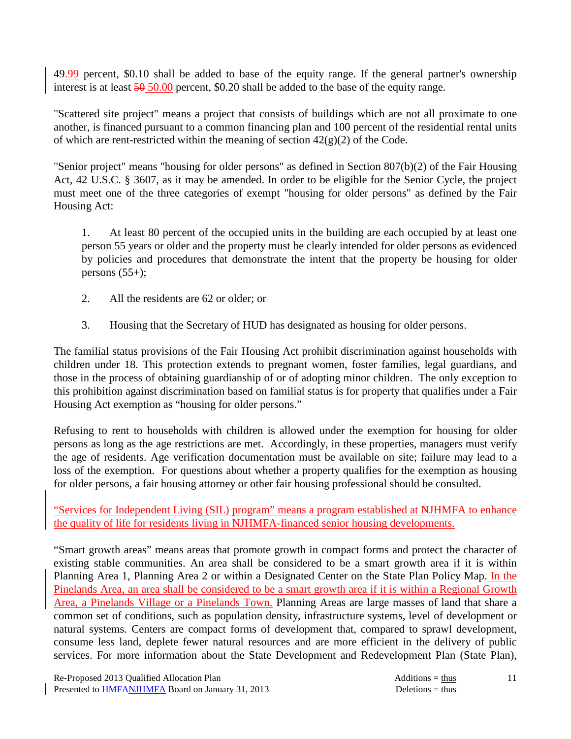49.99 percent, \$0.10 shall be added to base of the equity range. If the general partner's ownership interest is at least  $\frac{50,000}{2}$  percent, \$0.20 shall be added to the base of the equity range.

"Scattered site project" means a project that consists of buildings which are not all proximate to one another, is financed pursuant to a common financing plan and 100 percent of the residential rental units of which are rent-restricted within the meaning of section  $42(g)(2)$  of the Code.

"Senior project" means "housing for older persons" as defined in Section 807(b)(2) of the Fair Housing Act, 42 U.S.C. § 3607, as it may be amended. In order to be eligible for the Senior Cycle, the project must meet one of the three categories of exempt "housing for older persons" as defined by the Fair Housing Act:

 1. At least 80 percent of the occupied units in the building are each occupied by at least one person 55 years or older and the property must be clearly intended for older persons as evidenced by policies and procedures that demonstrate the intent that the property be housing for older persons  $(55+)$ ;

- 2. All the residents are 62 or older; or
- 3. Housing that the Secretary of HUD has designated as housing for older persons.

The familial status provisions of the Fair Housing Act prohibit discrimination against households with children under 18. This protection extends to pregnant women, foster families, legal guardians, and those in the process of obtaining guardianship of or of adopting minor children. The only exception to this prohibition against discrimination based on familial status is for property that qualifies under a Fair Housing Act exemption as "housing for older persons."

Refusing to rent to households with children is allowed under the exemption for housing for older persons as long as the age restrictions are met. Accordingly, in these properties, managers must verify the age of residents. Age verification documentation must be available on site; failure may lead to a loss of the exemption. For questions about whether a property qualifies for the exemption as housing for older persons, a fair housing attorney or other fair housing professional should be consulted.

"Services for Independent Living (SIL) program" means a program established at NJHMFA to enhance the quality of life for residents living in NJHMFA-financed senior housing developments.

"Smart growth areas" means areas that promote growth in compact forms and protect the character of existing stable communities. An area shall be considered to be a smart growth area if it is within Planning Area 1, Planning Area 2 or within a Designated Center on the State Plan Policy Map. In the Pinelands Area, an area shall be considered to be a smart growth area if it is within a Regional Growth Area, a Pinelands Village or a Pinelands Town. Planning Areas are large masses of land that share a common set of conditions, such as population density, infrastructure systems, level of development or natural systems. Centers are compact forms of development that, compared to sprawl development, consume less land, deplete fewer natural resources and are more efficient in the delivery of public services. For more information about the State Development and Redevelopment Plan (State Plan),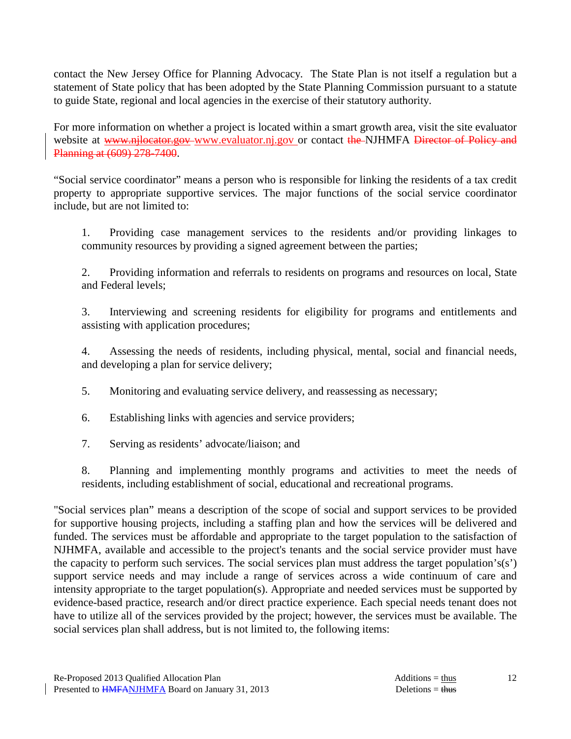contact the New Jersey Office for Planning Advocacy. The State Plan is not itself a regulation but a statement of State policy that has been adopted by the State Planning Commission pursuant to a statute to guide State, regional and local agencies in the exercise of their statutory authority.

For more information on whether a project is located within a smart growth area, visit the site evaluator website at www.njlocator.gov-www.evaluator.nj.gov or contact the NJHMFA Director of Policy and Planning at (609) 278-7400.

"Social service coordinator" means a person who is responsible for linking the residents of a tax credit property to appropriate supportive services. The major functions of the social service coordinator include, but are not limited to:

 1. Providing case management services to the residents and/or providing linkages to community resources by providing a signed agreement between the parties;

 2. Providing information and referrals to residents on programs and resources on local, State and Federal levels;

 3. Interviewing and screening residents for eligibility for programs and entitlements and assisting with application procedures;

 4. Assessing the needs of residents, including physical, mental, social and financial needs, and developing a plan for service delivery;

5. Monitoring and evaluating service delivery, and reassessing as necessary;

6. Establishing links with agencies and service providers;

7. Serving as residents' advocate/liaison; and

 8. Planning and implementing monthly programs and activities to meet the needs of residents, including establishment of social, educational and recreational programs.

"Social services plan" means a description of the scope of social and support services to be provided for supportive housing projects, including a staffing plan and how the services will be delivered and funded. The services must be affordable and appropriate to the target population to the satisfaction of NJHMFA, available and accessible to the project's tenants and the social service provider must have the capacity to perform such services. The social services plan must address the target population's(s') support service needs and may include a range of services across a wide continuum of care and intensity appropriate to the target population(s). Appropriate and needed services must be supported by evidence-based practice, research and/or direct practice experience. Each special needs tenant does not have to utilize all of the services provided by the project; however, the services must be available. The social services plan shall address, but is not limited to, the following items: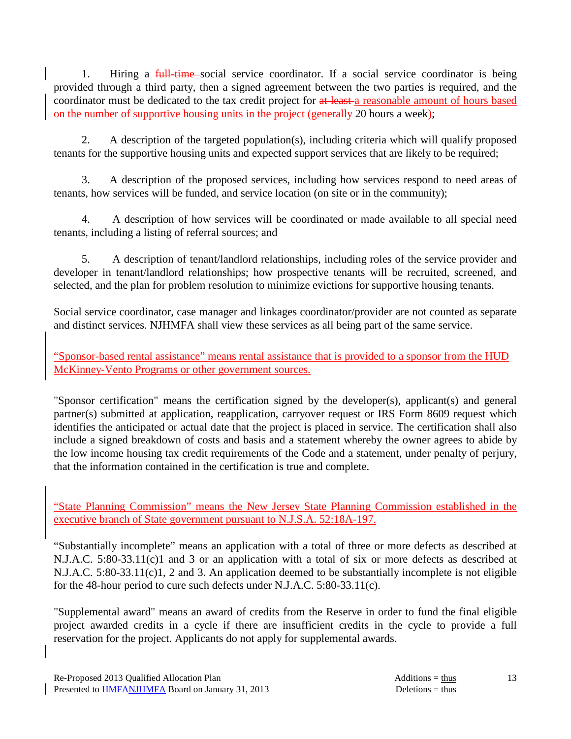1. Hiring a full-time social service coordinator. If a social service coordinator is being provided through a third party, then a signed agreement between the two parties is required, and the coordinator must be dedicated to the tax credit project for at least a reasonable amount of hours based on the number of supportive housing units in the project (generally 20 hours a week);

 2. A description of the targeted population(s), including criteria which will qualify proposed tenants for the supportive housing units and expected support services that are likely to be required;

 3. A description of the proposed services, including how services respond to need areas of tenants, how services will be funded, and service location (on site or in the community);

 4. A description of how services will be coordinated or made available to all special need tenants, including a listing of referral sources; and

 5. A description of tenant/landlord relationships, including roles of the service provider and developer in tenant/landlord relationships; how prospective tenants will be recruited, screened, and selected, and the plan for problem resolution to minimize evictions for supportive housing tenants.

Social service coordinator, case manager and linkages coordinator/provider are not counted as separate and distinct services. NJHMFA shall view these services as all being part of the same service.

"Sponsor-based rental assistance" means rental assistance that is provided to a sponsor from the HUD McKinney-Vento Programs or other government sources.

"Sponsor certification" means the certification signed by the developer(s), applicant(s) and general partner(s) submitted at application, reapplication, carryover request or IRS Form 8609 request which identifies the anticipated or actual date that the project is placed in service. The certification shall also include a signed breakdown of costs and basis and a statement whereby the owner agrees to abide by the low income housing tax credit requirements of the Code and a statement, under penalty of perjury, that the information contained in the certification is true and complete.

"State Planning Commission" means the New Jersey State Planning Commission established in the executive branch of State government pursuant to N.J.S.A. 52:18A-197.

"Substantially incomplete" means an application with a total of three or more defects as described at N.J.A.C. 5:80-33.11(c)1 and 3 or an application with a total of six or more defects as described at N.J.A.C. 5:80-33.11(c)1, 2 and 3. An application deemed to be substantially incomplete is not eligible for the 48-hour period to cure such defects under N.J.A.C. 5:80-33.11(c).

"Supplemental award" means an award of credits from the Reserve in order to fund the final eligible project awarded credits in a cycle if there are insufficient credits in the cycle to provide a full reservation for the project. Applicants do not apply for supplemental awards.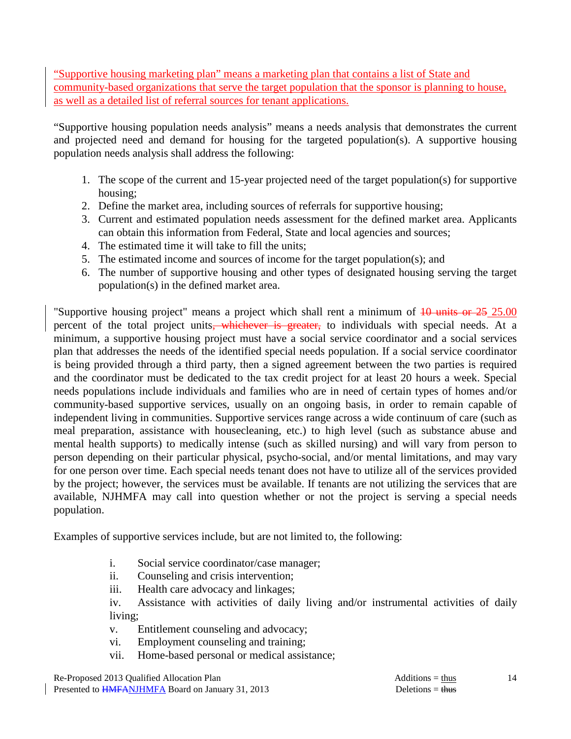"Supportive housing marketing plan" means a marketing plan that contains a list of State and community-based organizations that serve the target population that the sponsor is planning to house, as well as a detailed list of referral sources for tenant applications.

"Supportive housing population needs analysis" means a needs analysis that demonstrates the current and projected need and demand for housing for the targeted population(s). A supportive housing population needs analysis shall address the following:

- 1. The scope of the current and 15-year projected need of the target population(s) for supportive housing;
- 2. Define the market area, including sources of referrals for supportive housing;
- 3. Current and estimated population needs assessment for the defined market area. Applicants can obtain this information from Federal, State and local agencies and sources;
- 4. The estimated time it will take to fill the units;
- 5. The estimated income and sources of income for the target population(s); and
- 6. The number of supportive housing and other types of designated housing serving the target population(s) in the defined market area.

"Supportive housing project" means a project which shall rent a minimum of  $10 \text{ units or } 25 \text{ } 25.00$ percent of the total project units, whichever is greater, to individuals with special needs. At a minimum, a supportive housing project must have a social service coordinator and a social services plan that addresses the needs of the identified special needs population. If a social service coordinator is being provided through a third party, then a signed agreement between the two parties is required and the coordinator must be dedicated to the tax credit project for at least 20 hours a week. Special needs populations include individuals and families who are in need of certain types of homes and/or community-based supportive services, usually on an ongoing basis, in order to remain capable of independent living in communities. Supportive services range across a wide continuum of care (such as meal preparation, assistance with housecleaning, etc.) to high level (such as substance abuse and mental health supports) to medically intense (such as skilled nursing) and will vary from person to person depending on their particular physical, psycho-social, and/or mental limitations, and may vary for one person over time. Each special needs tenant does not have to utilize all of the services provided by the project; however, the services must be available. If tenants are not utilizing the services that are available, NJHMFA may call into question whether or not the project is serving a special needs population.

Examples of supportive services include, but are not limited to, the following:

- i. Social service coordinator/case manager;
- ii. Counseling and crisis intervention;
- iii. Health care advocacy and linkages;

 iv. Assistance with activities of daily living and/or instrumental activities of daily living;

- v. Entitlement counseling and advocacy;
- vi. Employment counseling and training;
- vii. Home-based personal or medical assistance;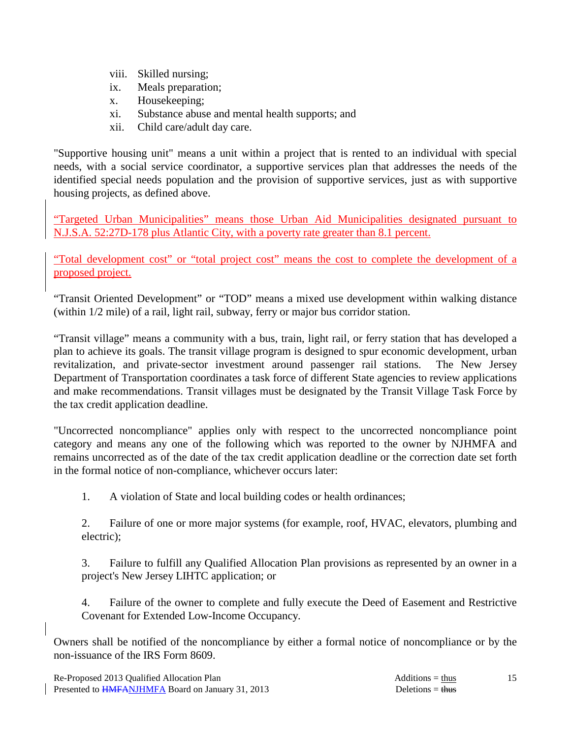- viii. Skilled nursing;
- ix. Meals preparation;
- x. Housekeeping;
- xi. Substance abuse and mental health supports; and
- xii. Child care/adult day care.

"Supportive housing unit" means a unit within a project that is rented to an individual with special needs, with a social service coordinator, a supportive services plan that addresses the needs of the identified special needs population and the provision of supportive services, just as with supportive housing projects, as defined above.

"Targeted Urban Municipalities" means those Urban Aid Municipalities designated pursuant to N.J.S.A. 52:27D-178 plus Atlantic City, with a poverty rate greater than 8.1 percent.

"Total development cost" or "total project cost" means the cost to complete the development of a proposed project.

"Transit Oriented Development" or "TOD" means a mixed use development within walking distance (within 1/2 mile) of a rail, light rail, subway, ferry or major bus corridor station.

"Transit village" means a community with a bus, train, light rail, or ferry station that has developed a plan to achieve its goals. The transit village program is designed to spur economic development, urban revitalization, and private-sector investment around passenger rail stations. The New Jersey Department of Transportation coordinates a task force of different State agencies to review applications and make recommendations. Transit villages must be designated by the Transit Village Task Force by the tax credit application deadline.

"Uncorrected noncompliance" applies only with respect to the uncorrected noncompliance point category and means any one of the following which was reported to the owner by NJHMFA and remains uncorrected as of the date of the tax credit application deadline or the correction date set forth in the formal notice of non-compliance, whichever occurs later:

1. A violation of State and local building codes or health ordinances;

 2. Failure of one or more major systems (for example, roof, HVAC, elevators, plumbing and electric);

 3. Failure to fulfill any Qualified Allocation Plan provisions as represented by an owner in a project's New Jersey LIHTC application; or

 4. Failure of the owner to complete and fully execute the Deed of Easement and Restrictive Covenant for Extended Low-Income Occupancy.

Owners shall be notified of the noncompliance by either a formal notice of noncompliance or by the non-issuance of the IRS Form 8609.

15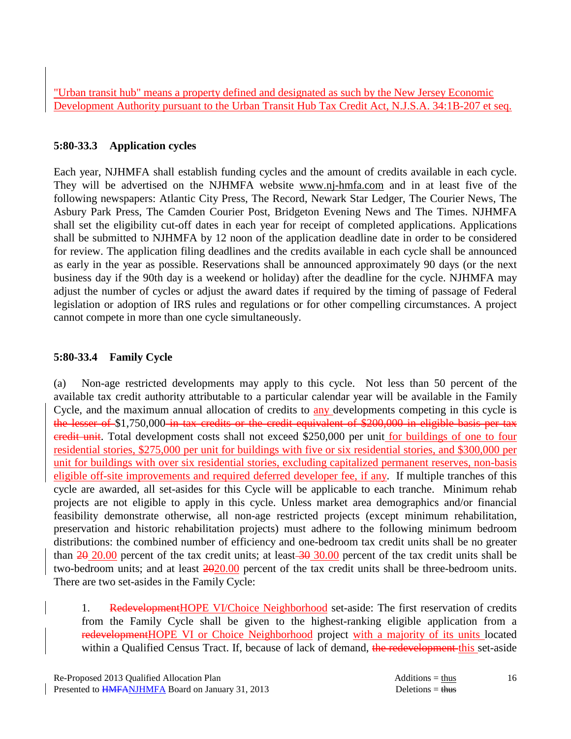"Urban transit hub" means a property defined and designated as such by the New Jersey Economic Development Authority pursuant to the Urban Transit Hub Tax Credit Act, N.J.S.A. 34:1B-207 et seq.

### **5:80-33.3 Application cycles**

Each year, NJHMFA shall establish funding cycles and the amount of credits available in each cycle. They will be advertised on the NJHMFA website www.nj-hmfa.com and in at least five of the following newspapers: Atlantic City Press, The Record, Newark Star Ledger, The Courier News, The Asbury Park Press, The Camden Courier Post, Bridgeton Evening News and The Times. NJHMFA shall set the eligibility cut-off dates in each year for receipt of completed applications. Applications shall be submitted to NJHMFA by 12 noon of the application deadline date in order to be considered for review. The application filing deadlines and the credits available in each cycle shall be announced as early in the year as possible. Reservations shall be announced approximately 90 days (or the next business day if the 90th day is a weekend or holiday) after the deadline for the cycle. NJHMFA may adjust the number of cycles or adjust the award dates if required by the timing of passage of Federal legislation or adoption of IRS rules and regulations or for other compelling circumstances. A project cannot compete in more than one cycle simultaneously.

# **5:80-33.4 Family Cycle**

(a) Non-age restricted developments may apply to this cycle. Not less than 50 percent of the available tax credit authority attributable to a particular calendar year will be available in the Family Cycle, and the maximum annual allocation of credits to **any** developments competing in this cycle is the lesser of \$1,750,000 in tax credits or the credit equivalent of \$200,000 in eligible basis per tax credit unit. Total development costs shall not exceed \$250,000 per unit for buildings of one to four residential stories, \$275,000 per unit for buildings with five or six residential stories, and \$300,000 per unit for buildings with over six residential stories, excluding capitalized permanent reserves, non-basis eligible off-site improvements and required deferred developer fee, if any. If multiple tranches of this cycle are awarded, all set-asides for this Cycle will be applicable to each tranche. Minimum rehab projects are not eligible to apply in this cycle. Unless market area demographics and/or financial feasibility demonstrate otherwise, all non-age restricted projects (except minimum rehabilitation, preservation and historic rehabilitation projects) must adhere to the following minimum bedroom distributions: the combined number of efficiency and one-bedroom tax credit units shall be no greater than  $20,20.00$  percent of the tax credit units; at least  $30,00$  percent of the tax credit units shall be two-bedroom units; and at least 2020.00 percent of the tax credit units shall be three-bedroom units. There are two set-asides in the Family Cycle:

1. RedevelopmentHOPE VI/Choice Neighborhood set-aside: The first reservation of credits from the Family Cycle shall be given to the highest-ranking eligible application from a redevelopmentHOPE VI or Choice Neighborhood project with a majority of its units located within a Qualified Census Tract. If, because of lack of demand, the redevelopment this set-aside

16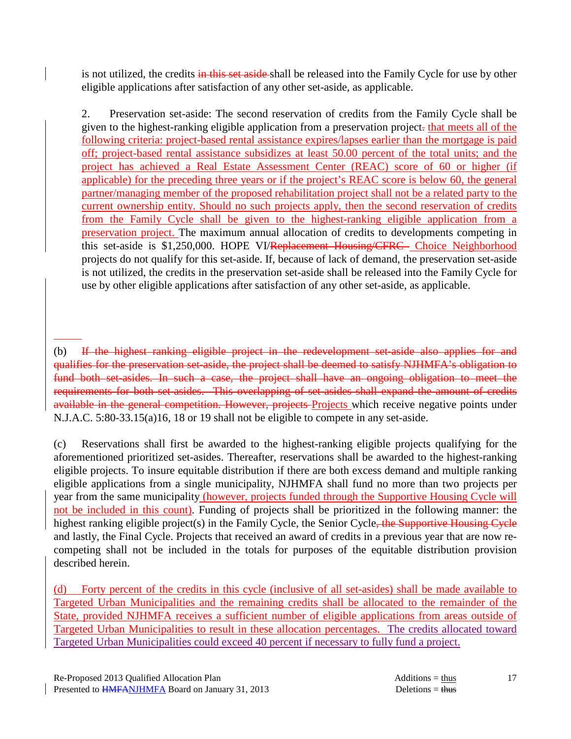is not utilized, the credits in this set aside shall be released into the Family Cycle for use by other eligible applications after satisfaction of any other set-aside, as applicable.

 2. Preservation set-aside: The second reservation of credits from the Family Cycle shall be given to the highest-ranking eligible application from a preservation project. that meets all of the following criteria: project-based rental assistance expires/lapses earlier than the mortgage is paid off; project-based rental assistance subsidizes at least 50.00 percent of the total units; and the project has achieved a Real Estate Assessment Center (REAC) score of 60 or higher (if applicable) for the preceding three years or if the project's REAC score is below 60, the general partner/managing member of the proposed rehabilitation project shall not be a related party to the current ownership entity. Should no such projects apply, then the second reservation of credits from the Family Cycle shall be given to the highest-ranking eligible application from a preservation project. The maximum annual allocation of credits to developments competing in this set-aside is \$1,250,000. HOPE VI/Replacement Housing/CFRC Choice Neighborhood projects do not qualify for this set-aside. If, because of lack of demand, the preservation set-aside is not utilized, the credits in the preservation set-aside shall be released into the Family Cycle for use by other eligible applications after satisfaction of any other set-aside, as applicable.

(c) Reservations shall first be awarded to the highest-ranking eligible projects qualifying for the aforementioned prioritized set-asides. Thereafter, reservations shall be awarded to the highest-ranking eligible projects. To insure equitable distribution if there are both excess demand and multiple ranking eligible applications from a single municipality, NJHMFA shall fund no more than two projects per year from the same municipality (however, projects funded through the Supportive Housing Cycle will not be included in this count). Funding of projects shall be prioritized in the following manner: the highest ranking eligible project(s) in the Family Cycle, the Senior Cycle<del>, the Supportive Housing Cycle</del> and lastly, the Final Cycle. Projects that received an award of credits in a previous year that are now recompeting shall not be included in the totals for purposes of the equitable distribution provision described herein.

(d) Forty percent of the credits in this cycle (inclusive of all set-asides) shall be made available to Targeted Urban Municipalities and the remaining credits shall be allocated to the remainder of the State, provided NJHMFA receives a sufficient number of eligible applications from areas outside of Targeted Urban Municipalities to result in these allocation percentages. The credits allocated toward Targeted Urban Municipalities could exceed 40 percent if necessary to fully fund a project.

<sup>(</sup>b) If the highest ranking eligible project in the redevelopment set-aside also applies for and qualifies for the preservation set-aside, the project shall be deemed to satisfy NJHMFA's obligation to fund both set-asides. In such a case, the project shall have an ongoing obligation to meet the requirements for both set-asides. This overlapping of set-asides shall expand the amount of credits available in the general competition. However, projects Projects which receive negative points under N.J.A.C. 5:80-33.15(a)16, 18 or 19 shall not be eligible to compete in any set-aside.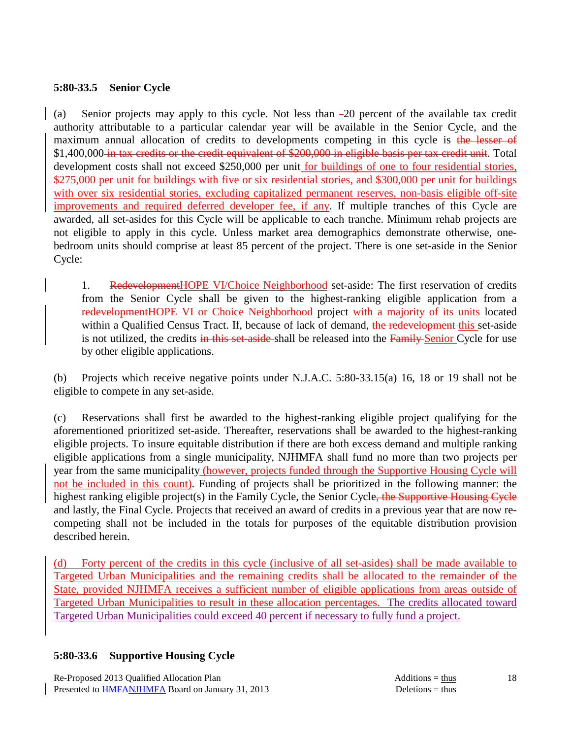### **5:80-33.5 Senior Cycle**

(a) Senior projects may apply to this cycle. Not less than 20 percent of the available tax credit authority attributable to a particular calendar year will be available in the Senior Cycle, and the maximum annual allocation of credits to developments competing in this cycle is the lesser of \$1,400,000 in tax credits or the credit equivalent of \$200,000 in eligible basis per tax credit unit. Total development costs shall not exceed \$250,000 per unit for buildings of one to four residential stories, \$275,000 per unit for buildings with five or six residential stories, and \$300,000 per unit for buildings with over six residential stories, excluding capitalized permanent reserves, non-basis eligible off-site improvements and required deferred developer fee, if any. If multiple tranches of this Cycle are awarded, all set-asides for this Cycle will be applicable to each tranche. Minimum rehab projects are not eligible to apply in this cycle. Unless market area demographics demonstrate otherwise, onebedroom units should comprise at least 85 percent of the project. There is one set-aside in the Senior Cycle:

1. RedevelopmentHOPE VI/Choice Neighborhood set-aside: The first reservation of credits from the Senior Cycle shall be given to the highest-ranking eligible application from a redevelopmentHOPE VI or Choice Neighborhood project with a majority of its units located within a Qualified Census Tract. If, because of lack of demand, the redevelopment this set-aside is not utilized, the credits in this set-aside-shall be released into the Family Senior Cycle for use by other eligible applications.

(b) Projects which receive negative points under N.J.A.C. 5:80-33.15(a) 16, 18 or 19 shall not be eligible to compete in any set-aside.

(c) Reservations shall first be awarded to the highest-ranking eligible project qualifying for the aforementioned prioritized set-aside. Thereafter, reservations shall be awarded to the highest-ranking eligible projects. To insure equitable distribution if there are both excess demand and multiple ranking eligible applications from a single municipality, NJHMFA shall fund no more than two projects per year from the same municipality (however, projects funded through the Supportive Housing Cycle will not be included in this count). Funding of projects shall be prioritized in the following manner: the highest ranking eligible project(s) in the Family Cycle, the Senior Cycle<del>, the Supportive Housing Cycle</del> and lastly, the Final Cycle. Projects that received an award of credits in a previous year that are now recompeting shall not be included in the totals for purposes of the equitable distribution provision described herein.

(d) Forty percent of the credits in this cycle (inclusive of all set-asides) shall be made available to Targeted Urban Municipalities and the remaining credits shall be allocated to the remainder of the State, provided NJHMFA receives a sufficient number of eligible applications from areas outside of Targeted Urban Municipalities to result in these allocation percentages. The credits allocated toward Targeted Urban Municipalities could exceed 40 percent if necessary to fully fund a project.

# **5:80-33.6 Supportive Housing Cycle**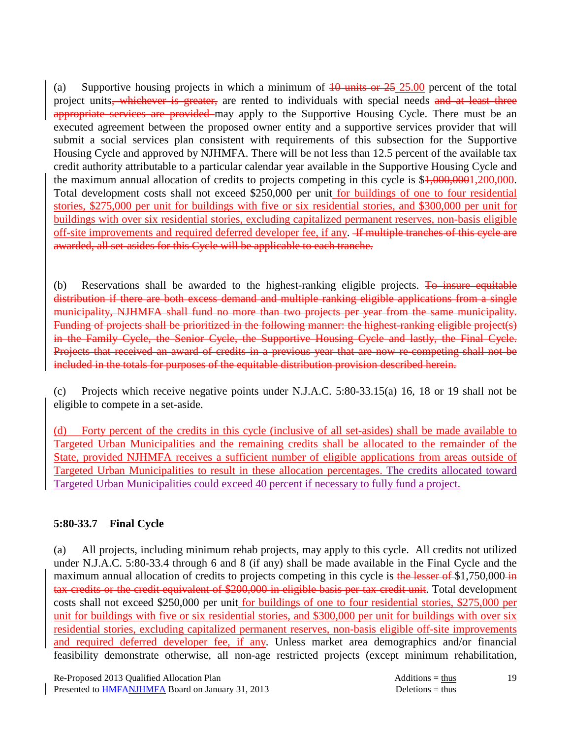(a) Supportive housing projects in which a minimum of  $10$  units or  $25\,25.00$  percent of the total project units, whichever is greater, are rented to individuals with special needs and at least three appropriate services are provided may apply to the Supportive Housing Cycle. There must be an executed agreement between the proposed owner entity and a supportive services provider that will submit a social services plan consistent with requirements of this subsection for the Supportive Housing Cycle and approved by NJHMFA. There will be not less than 12.5 percent of the available tax credit authority attributable to a particular calendar year available in the Supportive Housing Cycle and the maximum annual allocation of credits to projects competing in this cycle is \$1,000,0001,200,000. Total development costs shall not exceed \$250,000 per unit for buildings of one to four residential stories, \$275,000 per unit for buildings with five or six residential stories, and \$300,000 per unit for buildings with over six residential stories, excluding capitalized permanent reserves, non-basis eligible off-site improvements and required deferred developer fee, if any. If multiple tranches of this cycle are awarded, all set-asides for this Cycle will be applicable to each tranche.

(b) Reservations shall be awarded to the highest-ranking eligible projects.  $\overline{P}$  insure equitable distribution if there are both excess demand and multiple ranking eligible applications from a single municipality, NJHMFA shall fund no more than two projects per year from the same municipality. Funding of projects shall be prioritized in the following manner: the highest-ranking eligible project(s) in the Family Cycle, the Senior Cycle, the Supportive Housing Cycle and lastly, the Final Cycle. Projects that received an award of credits in a previous year that are now re-competing shall not be included in the totals for purposes of the equitable distribution provision described herein.

(c) Projects which receive negative points under N.J.A.C. 5:80-33.15(a) 16, 18 or 19 shall not be eligible to compete in a set-aside.

(d) Forty percent of the credits in this cycle (inclusive of all set-asides) shall be made available to Targeted Urban Municipalities and the remaining credits shall be allocated to the remainder of the State, provided NJHMFA receives a sufficient number of eligible applications from areas outside of Targeted Urban Municipalities to result in these allocation percentages. The credits allocated toward Targeted Urban Municipalities could exceed 40 percent if necessary to fully fund a project.

# **5:80-33.7 Final Cycle**

(a) All projects, including minimum rehab projects, may apply to this cycle. All credits not utilized under N.J.A.C. 5:80-33.4 through 6 and 8 (if any) shall be made available in the Final Cycle and the maximum annual allocation of credits to projects competing in this cycle is the lesser of \$1,750,000 in tax credits or the credit equivalent of \$200,000 in eligible basis per tax credit unit. Total development costs shall not exceed \$250,000 per unit for buildings of one to four residential stories, \$275,000 per unit for buildings with five or six residential stories, and \$300,000 per unit for buildings with over six residential stories, excluding capitalized permanent reserves, non-basis eligible off-site improvements and required deferred developer fee, if any. Unless market area demographics and/or financial feasibility demonstrate otherwise, all non-age restricted projects (except minimum rehabilitation,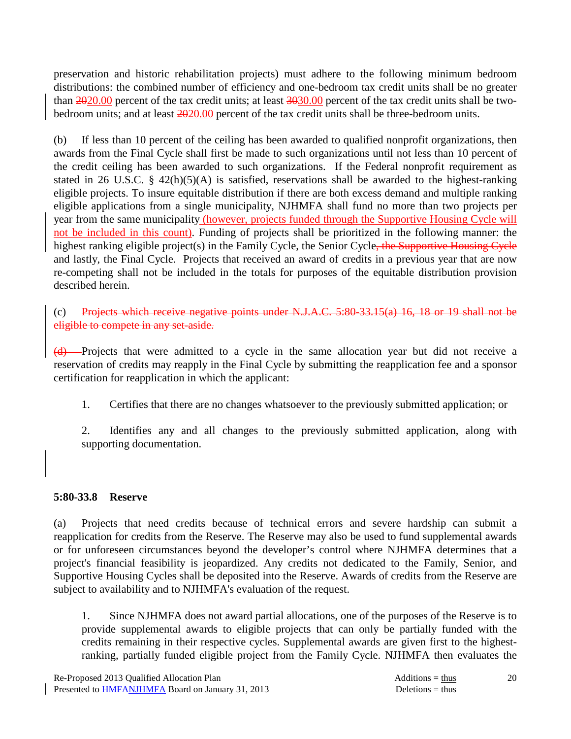preservation and historic rehabilitation projects) must adhere to the following minimum bedroom distributions: the combined number of efficiency and one-bedroom tax credit units shall be no greater than 2020.00 percent of the tax credit units; at least 3030.00 percent of the tax credit units shall be twobedroom units; and at least 2020.00 percent of the tax credit units shall be three-bedroom units.

(b) If less than 10 percent of the ceiling has been awarded to qualified nonprofit organizations, then awards from the Final Cycle shall first be made to such organizations until not less than 10 percent of the credit ceiling has been awarded to such organizations. If the Federal nonprofit requirement as stated in 26 U.S.C. § 42(h)(5)(A) is satisfied, reservations shall be awarded to the highest-ranking eligible projects. To insure equitable distribution if there are both excess demand and multiple ranking eligible applications from a single municipality, NJHMFA shall fund no more than two projects per year from the same municipality (however, projects funded through the Supportive Housing Cycle will not be included in this count). Funding of projects shall be prioritized in the following manner: the highest ranking eligible project(s) in the Family Cycle, the Senior Cycle<del>, the Supportive Housing Cycle</del> and lastly, the Final Cycle. Projects that received an award of credits in a previous year that are now re-competing shall not be included in the totals for purposes of the equitable distribution provision described herein.

(c) Projects which receive negative points under N.J.A.C.  $5:80-33.15(a)$  16, 18 or 19 shall not be eligible to compete in any set-aside.

(d) Projects that were admitted to a cycle in the same allocation year but did not receive a reservation of credits may reapply in the Final Cycle by submitting the reapplication fee and a sponsor certification for reapplication in which the applicant:

1. Certifies that there are no changes whatsoever to the previously submitted application; or

 2. Identifies any and all changes to the previously submitted application, along with supporting documentation.

#### **5:80-33.8 Reserve**

(a) Projects that need credits because of technical errors and severe hardship can submit a reapplication for credits from the Reserve. The Reserve may also be used to fund supplemental awards or for unforeseen circumstances beyond the developer's control where NJHMFA determines that a project's financial feasibility is jeopardized. Any credits not dedicated to the Family, Senior, and Supportive Housing Cycles shall be deposited into the Reserve. Awards of credits from the Reserve are subject to availability and to NJHMFA's evaluation of the request.

 1. Since NJHMFA does not award partial allocations, one of the purposes of the Reserve is to provide supplemental awards to eligible projects that can only be partially funded with the credits remaining in their respective cycles. Supplemental awards are given first to the highestranking, partially funded eligible project from the Family Cycle. NJHMFA then evaluates the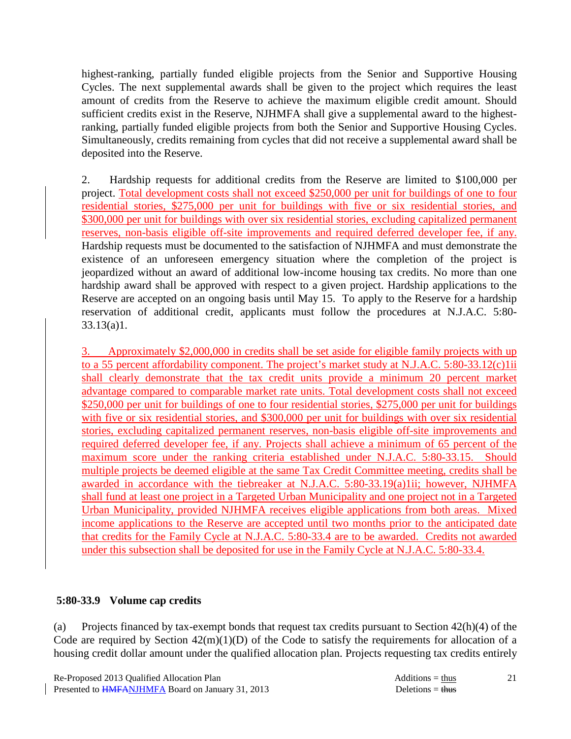highest-ranking, partially funded eligible projects from the Senior and Supportive Housing Cycles. The next supplemental awards shall be given to the project which requires the least amount of credits from the Reserve to achieve the maximum eligible credit amount. Should sufficient credits exist in the Reserve, NJHMFA shall give a supplemental award to the highestranking, partially funded eligible projects from both the Senior and Supportive Housing Cycles. Simultaneously, credits remaining from cycles that did not receive a supplemental award shall be deposited into the Reserve.

 2. Hardship requests for additional credits from the Reserve are limited to \$100,000 per project. Total development costs shall not exceed \$250,000 per unit for buildings of one to four residential stories, \$275,000 per unit for buildings with five or six residential stories, and \$300,000 per unit for buildings with over six residential stories, excluding capitalized permanent reserves, non-basis eligible off-site improvements and required deferred developer fee, if any. Hardship requests must be documented to the satisfaction of NJHMFA and must demonstrate the existence of an unforeseen emergency situation where the completion of the project is jeopardized without an award of additional low-income housing tax credits. No more than one hardship award shall be approved with respect to a given project. Hardship applications to the Reserve are accepted on an ongoing basis until May 15. To apply to the Reserve for a hardship reservation of additional credit, applicants must follow the procedures at N.J.A.C. 5:80- 33.13(a)1.

3. Approximately \$2,000,000 in credits shall be set aside for eligible family projects with up to a 55 percent affordability component. The project's market study at N.J.A.C. 5:80-33.12(c)1ii shall clearly demonstrate that the tax credit units provide a minimum 20 percent market advantage compared to comparable market rate units. Total development costs shall not exceed \$250,000 per unit for buildings of one to four residential stories, \$275,000 per unit for buildings with five or six residential stories, and \$300,000 per unit for buildings with over six residential stories, excluding capitalized permanent reserves, non-basis eligible off-site improvements and required deferred developer fee, if any. Projects shall achieve a minimum of 65 percent of the maximum score under the ranking criteria established under N.J.A.C. 5:80-33.15. Should multiple projects be deemed eligible at the same Tax Credit Committee meeting, credits shall be awarded in accordance with the tiebreaker at N.J.A.C. 5:80-33.19(a)1ii; however, NJHMFA shall fund at least one project in a Targeted Urban Municipality and one project not in a Targeted Urban Municipality, provided NJHMFA receives eligible applications from both areas. Mixed income applications to the Reserve are accepted until two months prior to the anticipated date that credits for the Family Cycle at N.J.A.C. 5:80-33.4 are to be awarded. Credits not awarded under this subsection shall be deposited for use in the Family Cycle at N.J.A.C. 5:80-33.4.

#### **5:80-33.9 Volume cap credits**

(a) Projects financed by tax-exempt bonds that request tax credits pursuant to Section 42(h)(4) of the Code are required by Section  $42(m)(1)(D)$  of the Code to satisfy the requirements for allocation of a housing credit dollar amount under the qualified allocation plan. Projects requesting tax credits entirely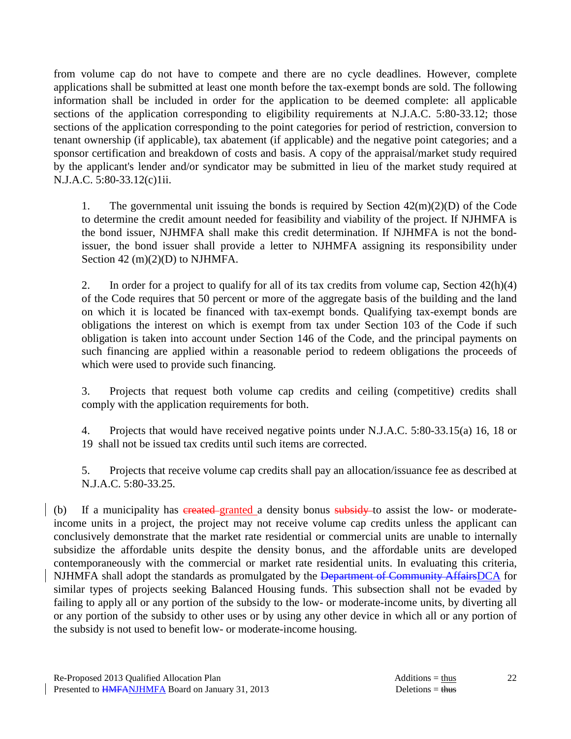from volume cap do not have to compete and there are no cycle deadlines. However, complete applications shall be submitted at least one month before the tax-exempt bonds are sold. The following information shall be included in order for the application to be deemed complete: all applicable sections of the application corresponding to eligibility requirements at N.J.A.C. 5:80-33.12; those sections of the application corresponding to the point categories for period of restriction, conversion to tenant ownership (if applicable), tax abatement (if applicable) and the negative point categories; and a sponsor certification and breakdown of costs and basis. A copy of the appraisal/market study required by the applicant's lender and/or syndicator may be submitted in lieu of the market study required at N.J.A.C. 5:80-33.12(c)1ii.

1. The governmental unit issuing the bonds is required by Section  $42(m)(2)(D)$  of the Code to determine the credit amount needed for feasibility and viability of the project. If NJHMFA is the bond issuer, NJHMFA shall make this credit determination. If NJHMFA is not the bondissuer, the bond issuer shall provide a letter to NJHMFA assigning its responsibility under Section 42 (m)(2)(D) to NJHMFA.

2. In order for a project to qualify for all of its tax credits from volume cap, Section  $42(h)(4)$ of the Code requires that 50 percent or more of the aggregate basis of the building and the land on which it is located be financed with tax-exempt bonds. Qualifying tax-exempt bonds are obligations the interest on which is exempt from tax under Section 103 of the Code if such obligation is taken into account under Section 146 of the Code, and the principal payments on such financing are applied within a reasonable period to redeem obligations the proceeds of which were used to provide such financing.

 3. Projects that request both volume cap credits and ceiling (competitive) credits shall comply with the application requirements for both.

 4. Projects that would have received negative points under N.J.A.C. 5:80-33.15(a) 16, 18 or 19 shall not be issued tax credits until such items are corrected.

 5. Projects that receive volume cap credits shall pay an allocation/issuance fee as described at N.J.A.C. 5:80-33.25.

(b) If a municipality has created granted a density bonus subsidy to assist the low- or moderateincome units in a project, the project may not receive volume cap credits unless the applicant can conclusively demonstrate that the market rate residential or commercial units are unable to internally subsidize the affordable units despite the density bonus, and the affordable units are developed contemporaneously with the commercial or market rate residential units. In evaluating this criteria, NJHMFA shall adopt the standards as promulgated by the Department of Community AffairsDCA for similar types of projects seeking Balanced Housing funds. This subsection shall not be evaded by failing to apply all or any portion of the subsidy to the low- or moderate-income units, by diverting all or any portion of the subsidy to other uses or by using any other device in which all or any portion of the subsidy is not used to benefit low- or moderate-income housing.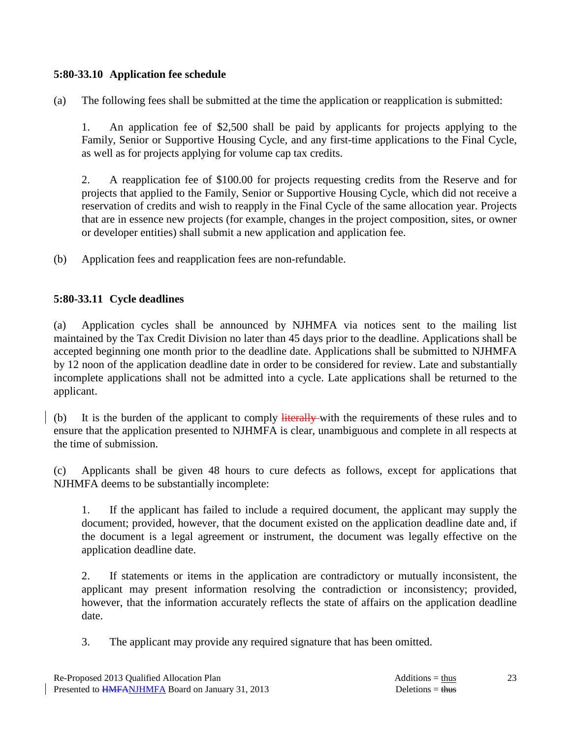### **5:80-33.10 Application fee schedule**

(a) The following fees shall be submitted at the time the application or reapplication is submitted:

 1. An application fee of \$2,500 shall be paid by applicants for projects applying to the Family, Senior or Supportive Housing Cycle, and any first-time applications to the Final Cycle, as well as for projects applying for volume cap tax credits.

 2. A reapplication fee of \$100.00 for projects requesting credits from the Reserve and for projects that applied to the Family, Senior or Supportive Housing Cycle, which did not receive a reservation of credits and wish to reapply in the Final Cycle of the same allocation year. Projects that are in essence new projects (for example, changes in the project composition, sites, or owner or developer entities) shall submit a new application and application fee.

(b) Application fees and reapplication fees are non-refundable.

### **5:80-33.11 Cycle deadlines**

(a) Application cycles shall be announced by NJHMFA via notices sent to the mailing list maintained by the Tax Credit Division no later than 45 days prior to the deadline. Applications shall be accepted beginning one month prior to the deadline date. Applications shall be submitted to NJHMFA by 12 noon of the application deadline date in order to be considered for review. Late and substantially incomplete applications shall not be admitted into a cycle. Late applications shall be returned to the applicant.

(b) It is the burden of the applicant to comply literally with the requirements of these rules and to ensure that the application presented to NJHMFA is clear, unambiguous and complete in all respects at the time of submission.

(c) Applicants shall be given 48 hours to cure defects as follows, except for applications that NJHMFA deems to be substantially incomplete:

 1. If the applicant has failed to include a required document, the applicant may supply the document; provided, however, that the document existed on the application deadline date and, if the document is a legal agreement or instrument, the document was legally effective on the application deadline date.

 2. If statements or items in the application are contradictory or mutually inconsistent, the applicant may present information resolving the contradiction or inconsistency; provided, however, that the information accurately reflects the state of affairs on the application deadline date.

3. The applicant may provide any required signature that has been omitted.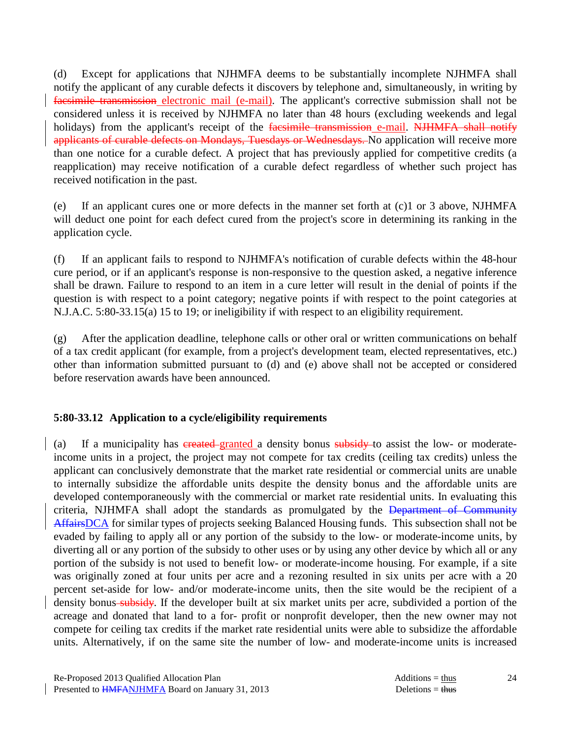(d) Except for applications that NJHMFA deems to be substantially incomplete NJHMFA shall notify the applicant of any curable defects it discovers by telephone and, simultaneously, in writing by facsimile transmission electronic mail (e-mail). The applicant's corrective submission shall not be considered unless it is received by NJHMFA no later than 48 hours (excluding weekends and legal holidays) from the applicant's receipt of the facsimile transmission e-mail. NJHMFA shall notify applicants of curable defects on Mondays, Tuesdays or Wednesdays. No application will receive more than one notice for a curable defect. A project that has previously applied for competitive credits (a reapplication) may receive notification of a curable defect regardless of whether such project has received notification in the past.

(e) If an applicant cures one or more defects in the manner set forth at (c)1 or 3 above, NJHMFA will deduct one point for each defect cured from the project's score in determining its ranking in the application cycle.

(f) If an applicant fails to respond to NJHMFA's notification of curable defects within the 48-hour cure period, or if an applicant's response is non-responsive to the question asked, a negative inference shall be drawn. Failure to respond to an item in a cure letter will result in the denial of points if the question is with respect to a point category; negative points if with respect to the point categories at N.J.A.C. 5:80-33.15(a) 15 to 19; or ineligibility if with respect to an eligibility requirement.

(g) After the application deadline, telephone calls or other oral or written communications on behalf of a tax credit applicant (for example, from a project's development team, elected representatives, etc.) other than information submitted pursuant to (d) and (e) above shall not be accepted or considered before reservation awards have been announced.

#### **5:80-33.12 Application to a cycle/eligibility requirements**

(a) If a municipality has created-granted a density bonus subsidy to assist the low- or moderateincome units in a project, the project may not compete for tax credits (ceiling tax credits) unless the applicant can conclusively demonstrate that the market rate residential or commercial units are unable to internally subsidize the affordable units despite the density bonus and the affordable units are developed contemporaneously with the commercial or market rate residential units. In evaluating this criteria, NJHMFA shall adopt the standards as promulgated by the Department of Community AffairsDCA for similar types of projects seeking Balanced Housing funds. This subsection shall not be evaded by failing to apply all or any portion of the subsidy to the low- or moderate-income units, by diverting all or any portion of the subsidy to other uses or by using any other device by which all or any portion of the subsidy is not used to benefit low- or moderate-income housing. For example, if a site was originally zoned at four units per acre and a rezoning resulted in six units per acre with a 20 percent set-aside for low- and/or moderate-income units, then the site would be the recipient of a density bonus subsidy. If the developer built at six market units per acre, subdivided a portion of the acreage and donated that land to a for- profit or nonprofit developer, then the new owner may not compete for ceiling tax credits if the market rate residential units were able to subsidize the affordable units. Alternatively, if on the same site the number of low- and moderate-income units is increased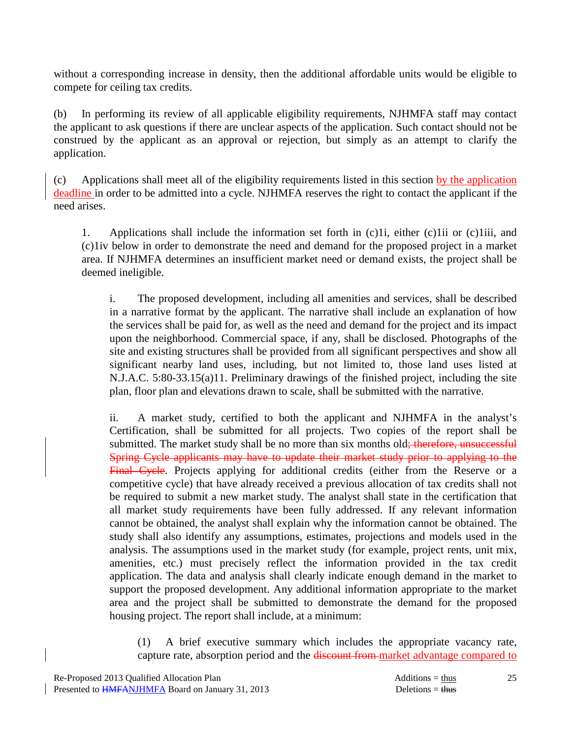without a corresponding increase in density, then the additional affordable units would be eligible to compete for ceiling tax credits.

(b) In performing its review of all applicable eligibility requirements, NJHMFA staff may contact the applicant to ask questions if there are unclear aspects of the application. Such contact should not be construed by the applicant as an approval or rejection, but simply as an attempt to clarify the application.

(c) Applications shall meet all of the eligibility requirements listed in this section by the application deadline in order to be admitted into a cycle. NJHMFA reserves the right to contact the applicant if the need arises.

 1. Applications shall include the information set forth in (c)1i, either (c)1ii or (c)1iii, and (c)1iv below in order to demonstrate the need and demand for the proposed project in a market area. If NJHMFA determines an insufficient market need or demand exists, the project shall be deemed ineligible.

 i. The proposed development, including all amenities and services, shall be described in a narrative format by the applicant. The narrative shall include an explanation of how the services shall be paid for, as well as the need and demand for the project and its impact upon the neighborhood. Commercial space, if any, shall be disclosed. Photographs of the site and existing structures shall be provided from all significant perspectives and show all significant nearby land uses, including, but not limited to, those land uses listed at N.J.A.C. 5:80-33.15(a)11. Preliminary drawings of the finished project, including the site plan, floor plan and elevations drawn to scale, shall be submitted with the narrative.

 ii. A market study, certified to both the applicant and NJHMFA in the analyst's Certification, shall be submitted for all projects. Two copies of the report shall be submitted. The market study shall be no more than six months old; therefore, unsuccessful Spring Cycle applicants may have to update their market study prior to applying to the Final Cycle. Projects applying for additional credits (either from the Reserve or a competitive cycle) that have already received a previous allocation of tax credits shall not be required to submit a new market study. The analyst shall state in the certification that all market study requirements have been fully addressed. If any relevant information cannot be obtained, the analyst shall explain why the information cannot be obtained. The study shall also identify any assumptions, estimates, projections and models used in the analysis. The assumptions used in the market study (for example, project rents, unit mix, amenities, etc.) must precisely reflect the information provided in the tax credit application. The data and analysis shall clearly indicate enough demand in the market to support the proposed development. Any additional information appropriate to the market area and the project shall be submitted to demonstrate the demand for the proposed housing project. The report shall include, at a minimum:

 (1) A brief executive summary which includes the appropriate vacancy rate, capture rate, absorption period and the **discount from market advantage compared to**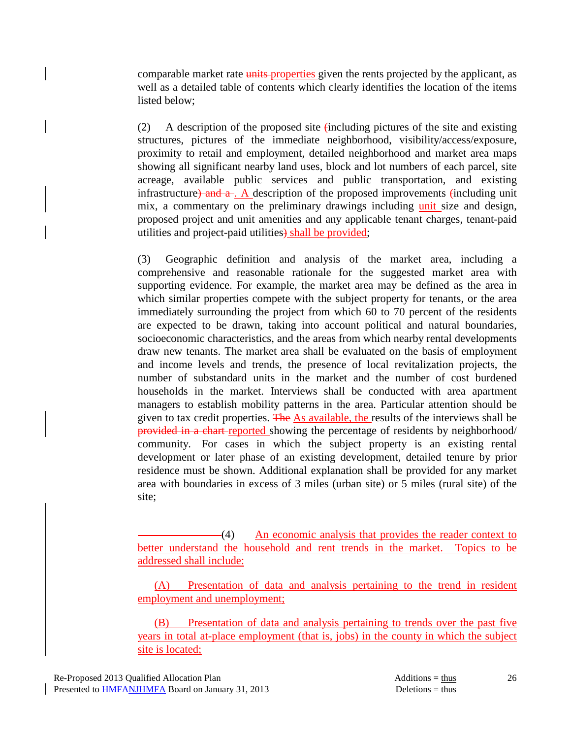comparable market rate units properties given the rents projected by the applicant, as well as a detailed table of contents which clearly identifies the location of the items listed below;

 (2) A description of the proposed site (including pictures of the site and existing structures, pictures of the immediate neighborhood, visibility/access/exposure, proximity to retail and employment, detailed neighborhood and market area maps showing all significant nearby land uses, block and lot numbers of each parcel, site acreage, available public services and public transportation, and existing infrastructure) and  $a_1$ . A description of the proposed improvements (including unit mix, a commentary on the preliminary drawings including unit size and design, proposed project and unit amenities and any applicable tenant charges, tenant-paid utilities and project-paid utilities) shall be provided;

 (3) Geographic definition and analysis of the market area, including a comprehensive and reasonable rationale for the suggested market area with supporting evidence. For example, the market area may be defined as the area in which similar properties compete with the subject property for tenants, or the area immediately surrounding the project from which 60 to 70 percent of the residents are expected to be drawn, taking into account political and natural boundaries, socioeconomic characteristics, and the areas from which nearby rental developments draw new tenants. The market area shall be evaluated on the basis of employment and income levels and trends, the presence of local revitalization projects, the number of substandard units in the market and the number of cost burdened households in the market. Interviews shall be conducted with area apartment managers to establish mobility patterns in the area. Particular attention should be given to tax credit properties. The As available, the results of the interviews shall be provided in a chart-reported showing the percentage of residents by neighborhood/ community. For cases in which the subject property is an existing rental development or later phase of an existing development, detailed tenure by prior residence must be shown. Additional explanation shall be provided for any market area with boundaries in excess of 3 miles (urban site) or 5 miles (rural site) of the site;

(4) An economic analysis that provides the reader context to better understand the household and rent trends in the market. Topics to be addressed shall include:

(A) Presentation of data and analysis pertaining to the trend in resident employment and unemployment;

(B) Presentation of data and analysis pertaining to trends over the past five years in total at-place employment (that is, jobs) in the county in which the subject site is located;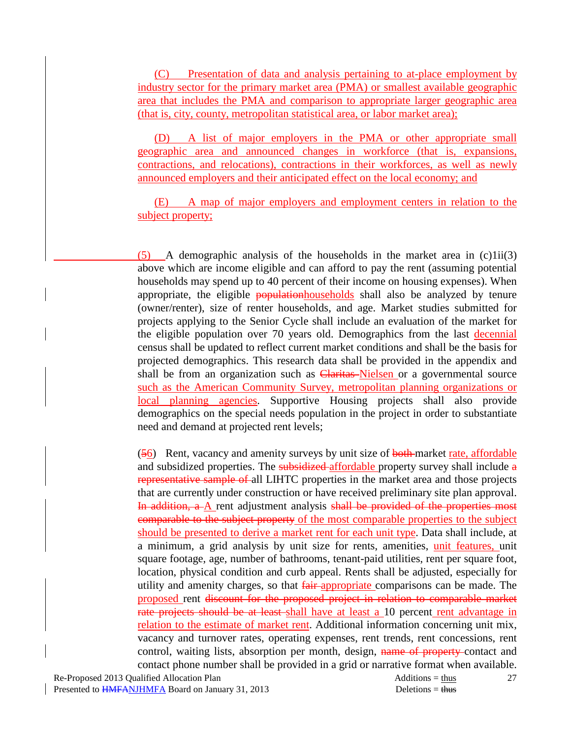(C) Presentation of data and analysis pertaining to at-place employment by industry sector for the primary market area (PMA) or smallest available geographic area that includes the PMA and comparison to appropriate larger geographic area (that is, city, county, metropolitan statistical area, or labor market area);

(D) A list of major employers in the PMA or other appropriate small geographic area and announced changes in workforce (that is, expansions, contractions, and relocations), contractions in their workforces, as well as newly announced employers and their anticipated effect on the local economy; and

(E) A map of major employers and employment centers in relation to the subject property;

 $(5)$  A demographic analysis of the households in the market area in  $(c)$ 1ii(3) above which are income eligible and can afford to pay the rent (assuming potential households may spend up to 40 percent of their income on housing expenses). When appropriate, the eligible populationhouseholds shall also be analyzed by tenure (owner/renter), size of renter households, and age. Market studies submitted for projects applying to the Senior Cycle shall include an evaluation of the market for the eligible population over 70 years old. Demographics from the last decennial census shall be updated to reflect current market conditions and shall be the basis for projected demographics. This research data shall be provided in the appendix and shall be from an organization such as **Claritas**-Nielsen or a governmental source such as the American Community Survey, metropolitan planning organizations or local planning agencies. Supportive Housing projects shall also provide demographics on the special needs population in the project in order to substantiate need and demand at projected rent levels;

 (56) Rent, vacancy and amenity surveys by unit size of both market rate, affordable and subsidized properties. The subsidized affordable property survey shall include a representative sample of all LIHTC properties in the market area and those projects that are currently under construction or have received preliminary site plan approval. In addition, a A rent adjustment analysis shall be provided of the properties most comparable to the subject property of the most comparable properties to the subject should be presented to derive a market rent for each unit type. Data shall include, at a minimum, a grid analysis by unit size for rents, amenities, unit features, unit square footage, age, number of bathrooms, tenant-paid utilities, rent per square foot, location, physical condition and curb appeal. Rents shall be adjusted, especially for utility and amenity charges, so that fair-appropriate comparisons can be made. The proposed rent discount for the proposed project in relation to comparable market rate projects should be at least shall have at least a 10 percent rent advantage in relation to the estimate of market rent. Additional information concerning unit mix, vacancy and turnover rates, operating expenses, rent trends, rent concessions, rent control, waiting lists, absorption per month, design, name of property-contact and contact phone number shall be provided in a grid or narrative format when available.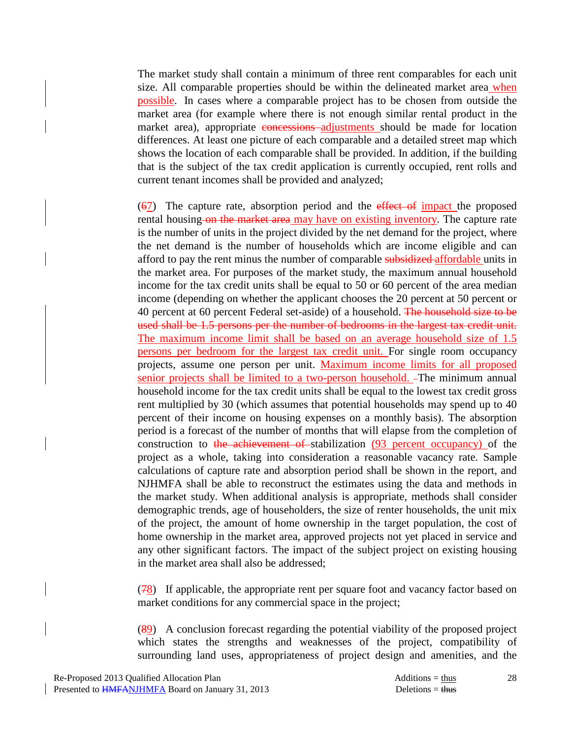The market study shall contain a minimum of three rent comparables for each unit size. All comparable properties should be within the delineated market area when possible. In cases where a comparable project has to be chosen from outside the market area (for example where there is not enough similar rental product in the market area), appropriate concessions adjustments should be made for location differences. At least one picture of each comparable and a detailed street map which shows the location of each comparable shall be provided. In addition, if the building that is the subject of the tax credit application is currently occupied, rent rolls and current tenant incomes shall be provided and analyzed;

 (67) The capture rate, absorption period and the effect of impact the proposed rental housing-on the market area may have on existing inventory. The capture rate is the number of units in the project divided by the net demand for the project, where the net demand is the number of households which are income eligible and can afford to pay the rent minus the number of comparable subsidized affordable units in the market area. For purposes of the market study, the maximum annual household income for the tax credit units shall be equal to 50 or 60 percent of the area median income (depending on whether the applicant chooses the 20 percent at 50 percent or 40 percent at 60 percent Federal set-aside) of a household. The household size to be used shall be 1.5 persons per the number of bedrooms in the largest tax credit unit. The maximum income limit shall be based on an average household size of 1.5 persons per bedroom for the largest tax credit unit. For single room occupancy projects, assume one person per unit. Maximum income limits for all proposed senior projects shall be limited to a two-person household. -The minimum annual household income for the tax credit units shall be equal to the lowest tax credit gross rent multiplied by 30 (which assumes that potential households may spend up to 40 percent of their income on housing expenses on a monthly basis). The absorption period is a forecast of the number of months that will elapse from the completion of construction to the achievement of stabilization (93 percent occupancy) of the project as a whole, taking into consideration a reasonable vacancy rate. Sample calculations of capture rate and absorption period shall be shown in the report, and NJHMFA shall be able to reconstruct the estimates using the data and methods in the market study. When additional analysis is appropriate, methods shall consider demographic trends, age of householders, the size of renter households, the unit mix of the project, the amount of home ownership in the target population, the cost of home ownership in the market area, approved projects not yet placed in service and any other significant factors. The impact of the subject project on existing housing in the market area shall also be addressed;

 (78) If applicable, the appropriate rent per square foot and vacancy factor based on market conditions for any commercial space in the project;

 (89) A conclusion forecast regarding the potential viability of the proposed project which states the strengths and weaknesses of the project, compatibility of surrounding land uses, appropriateness of project design and amenities, and the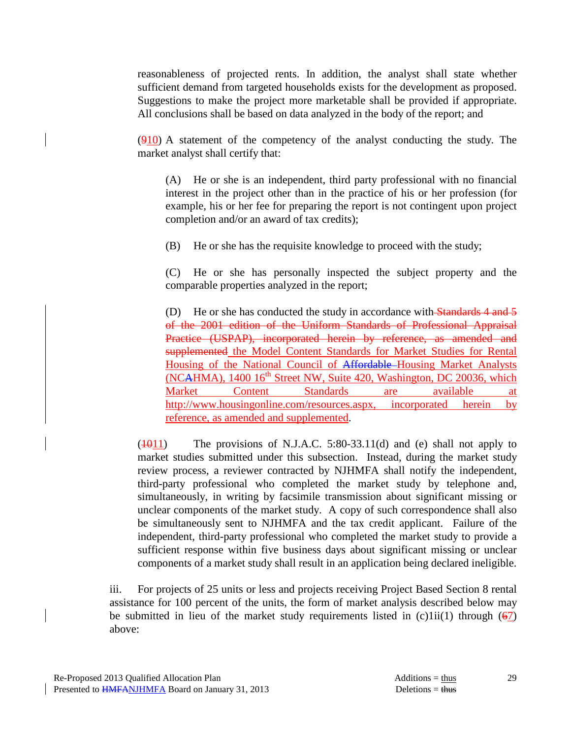reasonableness of projected rents. In addition, the analyst shall state whether sufficient demand from targeted households exists for the development as proposed. Suggestions to make the project more marketable shall be provided if appropriate. All conclusions shall be based on data analyzed in the body of the report; and

 (910) A statement of the competency of the analyst conducting the study. The market analyst shall certify that:

 (A) He or she is an independent, third party professional with no financial interest in the project other than in the practice of his or her profession (for example, his or her fee for preparing the report is not contingent upon project completion and/or an award of tax credits);

(B) He or she has the requisite knowledge to proceed with the study;

 (C) He or she has personally inspected the subject property and the comparable properties analyzed in the report;

(D) He or she has conducted the study in accordance with Standards 4 and 5 of the 2001 edition of the Uniform Standards of Professional Appraisal Practice (USPAP), incorporated herein by reference, as amended and supplemented the Model Content Standards for Market Studies for Rental Housing of the National Council of Affordable Housing Market Analysts (NCAHMA), 1400 16<sup>th</sup> Street NW, Suite 420, Washington, DC 20036, which Market Content Standards are available at http://www.housingonline.com/resources.aspx, incorporated herein by reference, as amended and supplemented.

 $(1011)$  The provisions of N.J.A.C. 5:80-33.11(d) and (e) shall not apply to market studies submitted under this subsection. Instead, during the market study review process, a reviewer contracted by NJHMFA shall notify the independent, third-party professional who completed the market study by telephone and, simultaneously, in writing by facsimile transmission about significant missing or unclear components of the market study. A copy of such correspondence shall also be simultaneously sent to NJHMFA and the tax credit applicant. Failure of the independent, third-party professional who completed the market study to provide a sufficient response within five business days about significant missing or unclear components of a market study shall result in an application being declared ineligible.

 iii. For projects of 25 units or less and projects receiving Project Based Section 8 rental assistance for 100 percent of the units, the form of market analysis described below may be submitted in lieu of the market study requirements listed in  $(c)$ 1ii(1) through (67) above: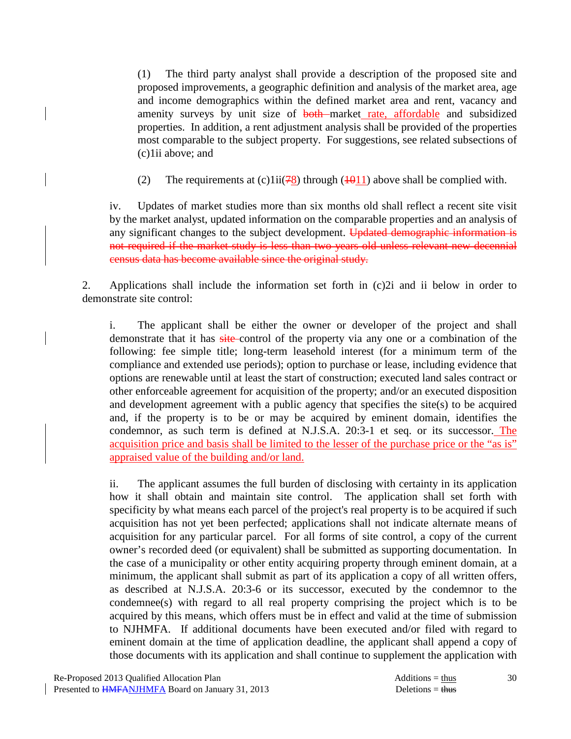(1) The third party analyst shall provide a description of the proposed site and proposed improvements, a geographic definition and analysis of the market area, age and income demographics within the defined market area and rent, vacancy and amenity surveys by unit size of both market rate, affordable and subsidized properties. In addition, a rent adjustment analysis shall be provided of the properties most comparable to the subject property. For suggestions, see related subsections of (c)1ii above; and

(2) The requirements at (c)1ii( $\frac{78}{8}$ ) through ( $\frac{1011}{8}$ ) above shall be complied with.

 iv. Updates of market studies more than six months old shall reflect a recent site visit by the market analyst, updated information on the comparable properties and an analysis of any significant changes to the subject development. Updated demographic information is not required if the market study is less than two years old unless relevant new decennial census data has become available since the original study.

 2. Applications shall include the information set forth in (c)2i and ii below in order to demonstrate site control:

 i. The applicant shall be either the owner or developer of the project and shall demonstrate that it has site-control of the property via any one or a combination of the following: fee simple title; long-term leasehold interest (for a minimum term of the compliance and extended use periods); option to purchase or lease, including evidence that options are renewable until at least the start of construction; executed land sales contract or other enforceable agreement for acquisition of the property; and/or an executed disposition and development agreement with a public agency that specifies the site(s) to be acquired and, if the property is to be or may be acquired by eminent domain, identifies the condemnor, as such term is defined at N.J.S.A. 20:3-1 et seq. or its successor. The acquisition price and basis shall be limited to the lesser of the purchase price or the "as is" appraised value of the building and/or land.

 ii. The applicant assumes the full burden of disclosing with certainty in its application how it shall obtain and maintain site control. The application shall set forth with specificity by what means each parcel of the project's real property is to be acquired if such acquisition has not yet been perfected; applications shall not indicate alternate means of acquisition for any particular parcel. For all forms of site control, a copy of the current owner's recorded deed (or equivalent) shall be submitted as supporting documentation. In the case of a municipality or other entity acquiring property through eminent domain, at a minimum, the applicant shall submit as part of its application a copy of all written offers, as described at N.J.S.A. 20:3-6 or its successor, executed by the condemnor to the condemnee(s) with regard to all real property comprising the project which is to be acquired by this means, which offers must be in effect and valid at the time of submission to NJHMFA. If additional documents have been executed and/or filed with regard to eminent domain at the time of application deadline, the applicant shall append a copy of those documents with its application and shall continue to supplement the application with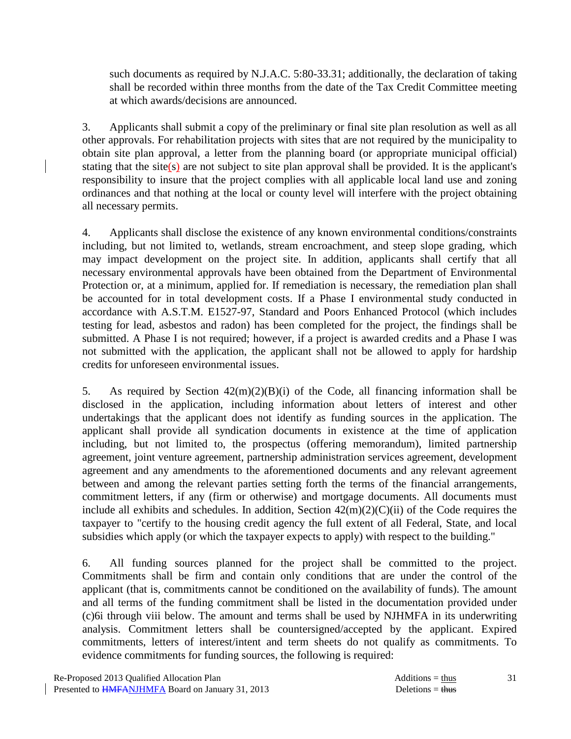such documents as required by N.J.A.C. 5:80-33.31; additionally, the declaration of taking shall be recorded within three months from the date of the Tax Credit Committee meeting at which awards/decisions are announced.

 3. Applicants shall submit a copy of the preliminary or final site plan resolution as well as all other approvals. For rehabilitation projects with sites that are not required by the municipality to obtain site plan approval, a letter from the planning board (or appropriate municipal official) stating that the site(s) are not subject to site plan approval shall be provided. It is the applicant's responsibility to insure that the project complies with all applicable local land use and zoning ordinances and that nothing at the local or county level will interfere with the project obtaining all necessary permits.

 4. Applicants shall disclose the existence of any known environmental conditions/constraints including, but not limited to, wetlands, stream encroachment, and steep slope grading, which may impact development on the project site. In addition, applicants shall certify that all necessary environmental approvals have been obtained from the Department of Environmental Protection or, at a minimum, applied for. If remediation is necessary, the remediation plan shall be accounted for in total development costs. If a Phase I environmental study conducted in accordance with A.S.T.M. E1527-97, Standard and Poors Enhanced Protocol (which includes testing for lead, asbestos and radon) has been completed for the project, the findings shall be submitted. A Phase I is not required; however, if a project is awarded credits and a Phase I was not submitted with the application, the applicant shall not be allowed to apply for hardship credits for unforeseen environmental issues.

 5. As required by Section 42(m)(2)(B)(i) of the Code, all financing information shall be disclosed in the application, including information about letters of interest and other undertakings that the applicant does not identify as funding sources in the application. The applicant shall provide all syndication documents in existence at the time of application including, but not limited to, the prospectus (offering memorandum), limited partnership agreement, joint venture agreement, partnership administration services agreement, development agreement and any amendments to the aforementioned documents and any relevant agreement between and among the relevant parties setting forth the terms of the financial arrangements, commitment letters, if any (firm or otherwise) and mortgage documents. All documents must include all exhibits and schedules. In addition, Section  $42(m)(2)(C)(ii)$  of the Code requires the taxpayer to "certify to the housing credit agency the full extent of all Federal, State, and local subsidies which apply (or which the taxpayer expects to apply) with respect to the building."

 6. All funding sources planned for the project shall be committed to the project. Commitments shall be firm and contain only conditions that are under the control of the applicant (that is, commitments cannot be conditioned on the availability of funds). The amount and all terms of the funding commitment shall be listed in the documentation provided under (c)6i through viii below. The amount and terms shall be used by NJHMFA in its underwriting analysis. Commitment letters shall be countersigned/accepted by the applicant. Expired commitments, letters of interest/intent and term sheets do not qualify as commitments. To evidence commitments for funding sources, the following is required:

31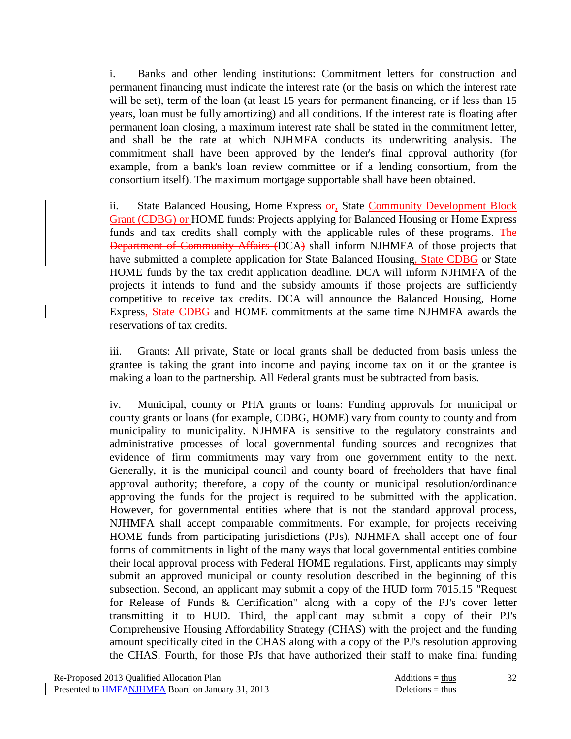i. Banks and other lending institutions: Commitment letters for construction and permanent financing must indicate the interest rate (or the basis on which the interest rate will be set), term of the loan (at least 15 years for permanent financing, or if less than 15 years, loan must be fully amortizing) and all conditions. If the interest rate is floating after permanent loan closing, a maximum interest rate shall be stated in the commitment letter, and shall be the rate at which NJHMFA conducts its underwriting analysis. The commitment shall have been approved by the lender's final approval authority (for example, from a bank's loan review committee or if a lending consortium, from the consortium itself). The maximum mortgage supportable shall have been obtained.

ii. State Balanced Housing, Home Express-or, State Community Development Block Grant (CDBG) or HOME funds: Projects applying for Balanced Housing or Home Express funds and tax credits shall comply with the applicable rules of these programs. The Department of Community Affairs (DCA) shall inform NJHMFA of those projects that have submitted a complete application for State Balanced Housing, State CDBG or State HOME funds by the tax credit application deadline. DCA will inform NJHMFA of the projects it intends to fund and the subsidy amounts if those projects are sufficiently competitive to receive tax credits. DCA will announce the Balanced Housing, Home Express, State CDBG and HOME commitments at the same time NJHMFA awards the reservations of tax credits.

 iii. Grants: All private, State or local grants shall be deducted from basis unless the grantee is taking the grant into income and paying income tax on it or the grantee is making a loan to the partnership. All Federal grants must be subtracted from basis.

 iv. Municipal, county or PHA grants or loans: Funding approvals for municipal or county grants or loans (for example, CDBG, HOME) vary from county to county and from municipality to municipality. NJHMFA is sensitive to the regulatory constraints and administrative processes of local governmental funding sources and recognizes that evidence of firm commitments may vary from one government entity to the next. Generally, it is the municipal council and county board of freeholders that have final approval authority; therefore, a copy of the county or municipal resolution/ordinance approving the funds for the project is required to be submitted with the application. However, for governmental entities where that is not the standard approval process, NJHMFA shall accept comparable commitments. For example, for projects receiving HOME funds from participating jurisdictions (PJs), NJHMFA shall accept one of four forms of commitments in light of the many ways that local governmental entities combine their local approval process with Federal HOME regulations. First, applicants may simply submit an approved municipal or county resolution described in the beginning of this subsection. Second, an applicant may submit a copy of the HUD form 7015.15 "Request for Release of Funds & Certification" along with a copy of the PJ's cover letter transmitting it to HUD. Third, the applicant may submit a copy of their PJ's Comprehensive Housing Affordability Strategy (CHAS) with the project and the funding amount specifically cited in the CHAS along with a copy of the PJ's resolution approving the CHAS. Fourth, for those PJs that have authorized their staff to make final funding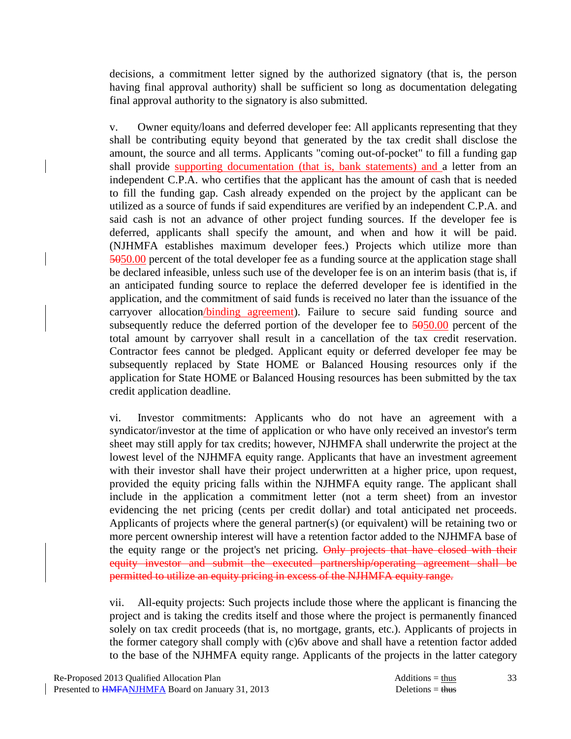decisions, a commitment letter signed by the authorized signatory (that is, the person having final approval authority) shall be sufficient so long as documentation delegating final approval authority to the signatory is also submitted.

 v. Owner equity/loans and deferred developer fee: All applicants representing that they shall be contributing equity beyond that generated by the tax credit shall disclose the amount, the source and all terms. Applicants "coming out-of-pocket" to fill a funding gap shall provide supporting documentation (that is, bank statements) and a letter from an independent C.P.A. who certifies that the applicant has the amount of cash that is needed to fill the funding gap. Cash already expended on the project by the applicant can be utilized as a source of funds if said expenditures are verified by an independent C.P.A. and said cash is not an advance of other project funding sources. If the developer fee is deferred, applicants shall specify the amount, and when and how it will be paid. (NJHMFA establishes maximum developer fees.) Projects which utilize more than 5050.00 percent of the total developer fee as a funding source at the application stage shall be declared infeasible, unless such use of the developer fee is on an interim basis (that is, if an anticipated funding source to replace the deferred developer fee is identified in the application, and the commitment of said funds is received no later than the issuance of the carryover allocation/binding agreement). Failure to secure said funding source and subsequently reduce the deferred portion of the developer fee to  $5050.00$  percent of the total amount by carryover shall result in a cancellation of the tax credit reservation. Contractor fees cannot be pledged. Applicant equity or deferred developer fee may be subsequently replaced by State HOME or Balanced Housing resources only if the application for State HOME or Balanced Housing resources has been submitted by the tax credit application deadline.

 vi. Investor commitments: Applicants who do not have an agreement with a syndicator/investor at the time of application or who have only received an investor's term sheet may still apply for tax credits; however, NJHMFA shall underwrite the project at the lowest level of the NJHMFA equity range. Applicants that have an investment agreement with their investor shall have their project underwritten at a higher price, upon request, provided the equity pricing falls within the NJHMFA equity range. The applicant shall include in the application a commitment letter (not a term sheet) from an investor evidencing the net pricing (cents per credit dollar) and total anticipated net proceeds. Applicants of projects where the general partner(s) (or equivalent) will be retaining two or more percent ownership interest will have a retention factor added to the NJHMFA base of the equity range or the project's net pricing. Only projects that have closed with their equity investor and submit the executed partnership/operating agreement shall be permitted to utilize an equity pricing in excess of the NJHMFA equity range.

 vii. All-equity projects: Such projects include those where the applicant is financing the project and is taking the credits itself and those where the project is permanently financed solely on tax credit proceeds (that is, no mortgage, grants, etc.). Applicants of projects in the former category shall comply with (c)6v above and shall have a retention factor added to the base of the NJHMFA equity range. Applicants of the projects in the latter category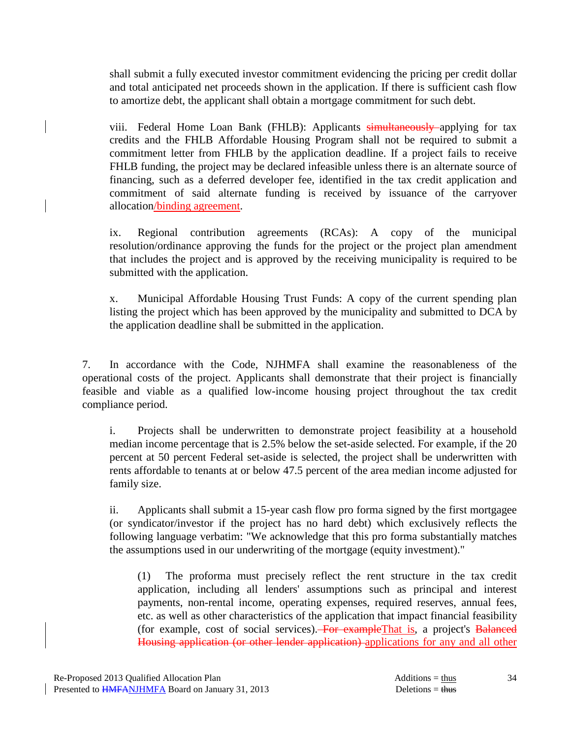shall submit a fully executed investor commitment evidencing the pricing per credit dollar and total anticipated net proceeds shown in the application. If there is sufficient cash flow to amortize debt, the applicant shall obtain a mortgage commitment for such debt.

viii. Federal Home Loan Bank (FHLB): Applicants simultaneously applying for tax credits and the FHLB Affordable Housing Program shall not be required to submit a commitment letter from FHLB by the application deadline. If a project fails to receive FHLB funding, the project may be declared infeasible unless there is an alternate source of financing, such as a deferred developer fee, identified in the tax credit application and commitment of said alternate funding is received by issuance of the carryover allocation/binding agreement.

 ix. Regional contribution agreements (RCAs): A copy of the municipal resolution/ordinance approving the funds for the project or the project plan amendment that includes the project and is approved by the receiving municipality is required to be submitted with the application.

 x. Municipal Affordable Housing Trust Funds: A copy of the current spending plan listing the project which has been approved by the municipality and submitted to DCA by the application deadline shall be submitted in the application.

 7. In accordance with the Code, NJHMFA shall examine the reasonableness of the operational costs of the project. Applicants shall demonstrate that their project is financially feasible and viable as a qualified low-income housing project throughout the tax credit compliance period.

 i. Projects shall be underwritten to demonstrate project feasibility at a household median income percentage that is 2.5% below the set-aside selected. For example, if the 20 percent at 50 percent Federal set-aside is selected, the project shall be underwritten with rents affordable to tenants at or below 47.5 percent of the area median income adjusted for family size.

 ii. Applicants shall submit a 15-year cash flow pro forma signed by the first mortgagee (or syndicator/investor if the project has no hard debt) which exclusively reflects the following language verbatim: "We acknowledge that this pro forma substantially matches the assumptions used in our underwriting of the mortgage (equity investment)."

 (1) The proforma must precisely reflect the rent structure in the tax credit application, including all lenders' assumptions such as principal and interest payments, non-rental income, operating expenses, required reserves, annual fees, etc. as well as other characteristics of the application that impact financial feasibility (for example, cost of social services). For example That is, a project's Balanced Housing application (or other lender application) applications for any and all other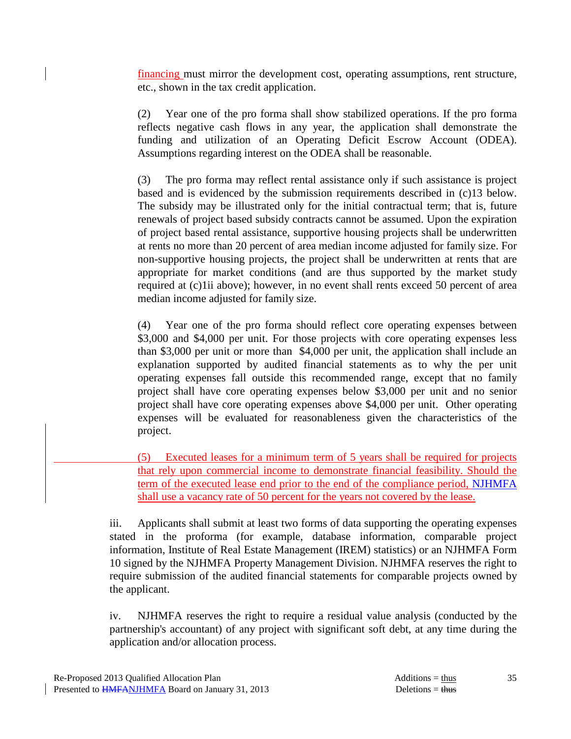financing must mirror the development cost, operating assumptions, rent structure, etc., shown in the tax credit application.

 (2) Year one of the pro forma shall show stabilized operations. If the pro forma reflects negative cash flows in any year, the application shall demonstrate the funding and utilization of an Operating Deficit Escrow Account (ODEA). Assumptions regarding interest on the ODEA shall be reasonable.

 (3) The pro forma may reflect rental assistance only if such assistance is project based and is evidenced by the submission requirements described in (c)13 below. The subsidy may be illustrated only for the initial contractual term; that is, future renewals of project based subsidy contracts cannot be assumed. Upon the expiration of project based rental assistance, supportive housing projects shall be underwritten at rents no more than 20 percent of area median income adjusted for family size. For non-supportive housing projects, the project shall be underwritten at rents that are appropriate for market conditions (and are thus supported by the market study required at (c)1ii above); however, in no event shall rents exceed 50 percent of area median income adjusted for family size.

 (4) Year one of the pro forma should reflect core operating expenses between \$3,000 and \$4,000 per unit. For those projects with core operating expenses less than \$3,000 per unit or more than \$4,000 per unit, the application shall include an explanation supported by audited financial statements as to why the per unit operating expenses fall outside this recommended range, except that no family project shall have core operating expenses below \$3,000 per unit and no senior project shall have core operating expenses above \$4,000 per unit. Other operating expenses will be evaluated for reasonableness given the characteristics of the project.

 (5) Executed leases for a minimum term of 5 years shall be required for projects that rely upon commercial income to demonstrate financial feasibility. Should the term of the executed lease end prior to the end of the compliance period, NJHMFA shall use a vacancy rate of 50 percent for the years not covered by the lease.

 iii. Applicants shall submit at least two forms of data supporting the operating expenses stated in the proforma (for example, database information, comparable project information, Institute of Real Estate Management (IREM) statistics) or an NJHMFA Form 10 signed by the NJHMFA Property Management Division. NJHMFA reserves the right to require submission of the audited financial statements for comparable projects owned by the applicant.

 iv. NJHMFA reserves the right to require a residual value analysis (conducted by the partnership's accountant) of any project with significant soft debt, at any time during the application and/or allocation process.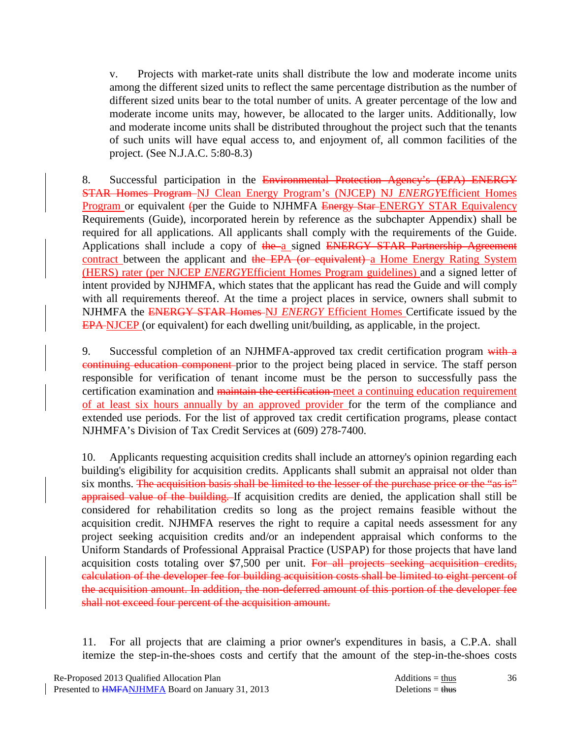v. Projects with market-rate units shall distribute the low and moderate income units among the different sized units to reflect the same percentage distribution as the number of different sized units bear to the total number of units. A greater percentage of the low and moderate income units may, however, be allocated to the larger units. Additionally, low and moderate income units shall be distributed throughout the project such that the tenants of such units will have equal access to, and enjoyment of, all common facilities of the project. (See N.J.A.C. 5:80-8.3)

8. Successful participation in the Environmental Protection Agency's (EPA) ENERGY STAR Homes Program NJ Clean Energy Program's (NJCEP) NJ *ENERGY*Efficient Homes Program or equivalent (per the Guide to NJHMFA Energy Star-ENERGY STAR Equivalency Requirements (Guide), incorporated herein by reference as the subchapter Appendix) shall be required for all applications. All applicants shall comply with the requirements of the Guide. Applications shall include a copy of the a signed ENERGY STAR Partnership Agreement contract between the applicant and the EPA (or equivalent) a Home Energy Rating System (HERS) rater (per NJCEP *ENERGY*Efficient Homes Program guidelines) and a signed letter of intent provided by NJHMFA, which states that the applicant has read the Guide and will comply with all requirements thereof. At the time a project places in service, owners shall submit to NJHMFA the ENERGY STAR Homes NJ *ENERGY* Efficient Homes Certificate issued by the EPA NJCEP (or equivalent) for each dwelling unit/building, as applicable, in the project.

9. Successful completion of an NJHMFA-approved tax credit certification program with a continuing education component prior to the project being placed in service. The staff person responsible for verification of tenant income must be the person to successfully pass the certification examination and maintain the certification meet a continuing education requirement of at least six hours annually by an approved provider for the term of the compliance and extended use periods. For the list of approved tax credit certification programs, please contact NJHMFA's Division of Tax Credit Services at (609) 278-7400.

 10. Applicants requesting acquisition credits shall include an attorney's opinion regarding each building's eligibility for acquisition credits. Applicants shall submit an appraisal not older than six months. The acquisition basis shall be limited to the lesser of the purchase price or the "as is" appraised value of the building. If acquisition credits are denied, the application shall still be considered for rehabilitation credits so long as the project remains feasible without the acquisition credit. NJHMFA reserves the right to require a capital needs assessment for any project seeking acquisition credits and/or an independent appraisal which conforms to the Uniform Standards of Professional Appraisal Practice (USPAP) for those projects that have land acquisition costs totaling over \$7,500 per unit. For all projects seeking acquisition credits, calculation of the developer fee for building acquisition costs shall be limited to eight percent of the acquisition amount. In addition, the non-deferred amount of this portion of the developer fee shall not exceed four percent of the acquisition amount.

 11. For all projects that are claiming a prior owner's expenditures in basis, a C.P.A. shall itemize the step-in-the-shoes costs and certify that the amount of the step-in-the-shoes costs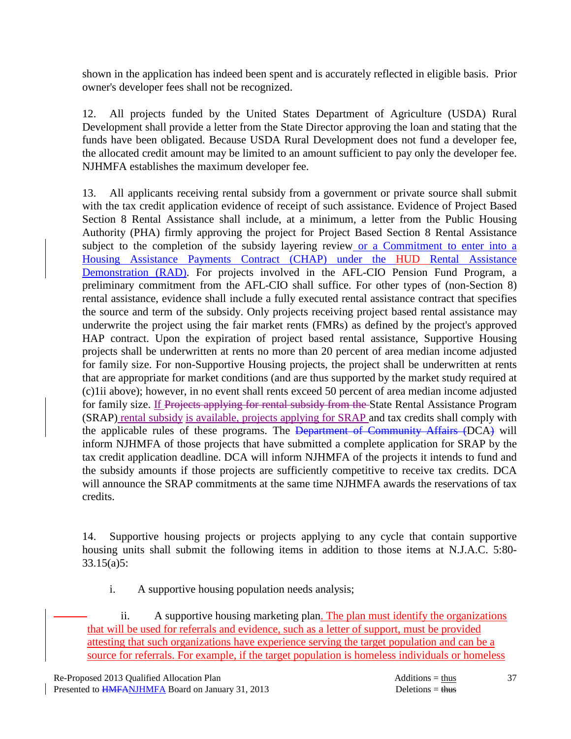shown in the application has indeed been spent and is accurately reflected in eligible basis. Prior owner's developer fees shall not be recognized.

 12. All projects funded by the United States Department of Agriculture (USDA) Rural Development shall provide a letter from the State Director approving the loan and stating that the funds have been obligated. Because USDA Rural Development does not fund a developer fee, the allocated credit amount may be limited to an amount sufficient to pay only the developer fee. NJHMFA establishes the maximum developer fee.

 13. All applicants receiving rental subsidy from a government or private source shall submit with the tax credit application evidence of receipt of such assistance. Evidence of Project Based Section 8 Rental Assistance shall include, at a minimum, a letter from the Public Housing Authority (PHA) firmly approving the project for Project Based Section 8 Rental Assistance subject to the completion of the subsidy layering review or a Commitment to enter into a Housing Assistance Payments Contract (CHAP) under the HUD Rental Assistance Demonstration (RAD). For projects involved in the AFL-CIO Pension Fund Program, a preliminary commitment from the AFL-CIO shall suffice. For other types of (non-Section 8) rental assistance, evidence shall include a fully executed rental assistance contract that specifies the source and term of the subsidy. Only projects receiving project based rental assistance may underwrite the project using the fair market rents (FMRs) as defined by the project's approved HAP contract. Upon the expiration of project based rental assistance, Supportive Housing projects shall be underwritten at rents no more than 20 percent of area median income adjusted for family size. For non-Supportive Housing projects, the project shall be underwritten at rents that are appropriate for market conditions (and are thus supported by the market study required at (c)1ii above); however, in no event shall rents exceed 50 percent of area median income adjusted for family size. If Projects applying for rental subsidy from the State Rental Assistance Program (SRAP) rental subsidy is available, projects applying for SRAP and tax credits shall comply with the applicable rules of these programs. The Department of Community Affairs (DCA) will inform NJHMFA of those projects that have submitted a complete application for SRAP by the tax credit application deadline. DCA will inform NJHMFA of the projects it intends to fund and the subsidy amounts if those projects are sufficiently competitive to receive tax credits. DCA will announce the SRAP commitments at the same time NJHMFA awards the reservations of tax credits.

 14. Supportive housing projects or projects applying to any cycle that contain supportive housing units shall submit the following items in addition to those items at N.J.A.C. 5:80- 33.15(a)5:

i. A supportive housing population needs analysis;

 ii. A supportive housing marketing plan. The plan must identify the organizations that will be used for referrals and evidence, such as a letter of support, must be provided attesting that such organizations have experience serving the target population and can be a source for referrals. For example, if the target population is homeless individuals or homeless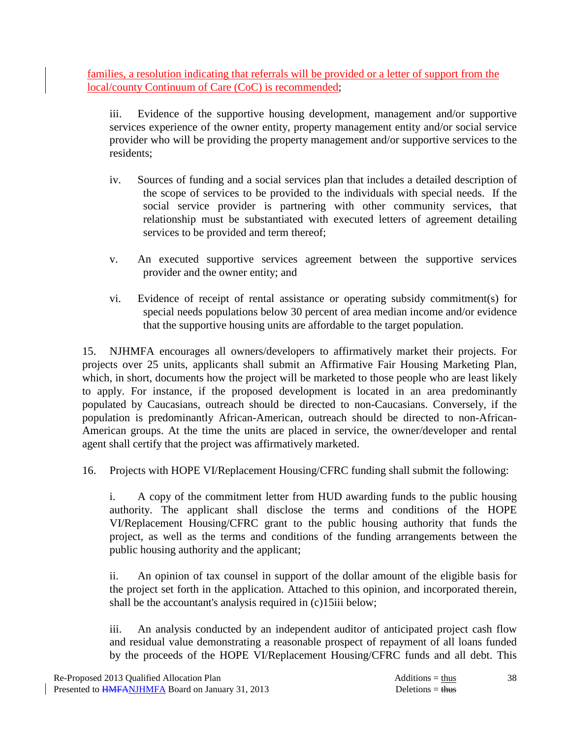families, a resolution indicating that referrals will be provided or a letter of support from the local/county Continuum of Care (CoC) is recommended;

 iii. Evidence of the supportive housing development, management and/or supportive services experience of the owner entity, property management entity and/or social service provider who will be providing the property management and/or supportive services to the residents;

- iv. Sources of funding and a social services plan that includes a detailed description of the scope of services to be provided to the individuals with special needs. If the social service provider is partnering with other community services, that relationship must be substantiated with executed letters of agreement detailing services to be provided and term thereof;
- v. An executed supportive services agreement between the supportive services provider and the owner entity; and
- vi. Evidence of receipt of rental assistance or operating subsidy commitment(s) for special needs populations below 30 percent of area median income and/or evidence that the supportive housing units are affordable to the target population.

 15. NJHMFA encourages all owners/developers to affirmatively market their projects. For projects over 25 units, applicants shall submit an Affirmative Fair Housing Marketing Plan, which, in short, documents how the project will be marketed to those people who are least likely to apply. For instance, if the proposed development is located in an area predominantly populated by Caucasians, outreach should be directed to non-Caucasians. Conversely, if the population is predominantly African-American, outreach should be directed to non-African-American groups. At the time the units are placed in service, the owner/developer and rental agent shall certify that the project was affirmatively marketed.

16. Projects with HOPE VI/Replacement Housing/CFRC funding shall submit the following:

 i. A copy of the commitment letter from HUD awarding funds to the public housing authority. The applicant shall disclose the terms and conditions of the HOPE VI/Replacement Housing/CFRC grant to the public housing authority that funds the project, as well as the terms and conditions of the funding arrangements between the public housing authority and the applicant;

 ii. An opinion of tax counsel in support of the dollar amount of the eligible basis for the project set forth in the application. Attached to this opinion, and incorporated therein, shall be the accountant's analysis required in (c)15iii below;

 iii. An analysis conducted by an independent auditor of anticipated project cash flow and residual value demonstrating a reasonable prospect of repayment of all loans funded by the proceeds of the HOPE VI/Replacement Housing/CFRC funds and all debt. This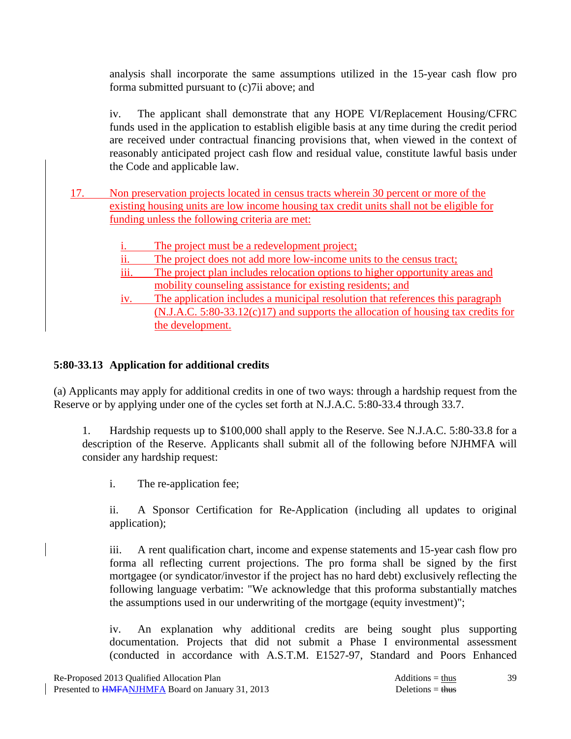analysis shall incorporate the same assumptions utilized in the 15-year cash flow pro forma submitted pursuant to (c)7ii above; and

 iv. The applicant shall demonstrate that any HOPE VI/Replacement Housing/CFRC funds used in the application to establish eligible basis at any time during the credit period are received under contractual financing provisions that, when viewed in the context of reasonably anticipated project cash flow and residual value, constitute lawful basis under the Code and applicable law.

- 17. Non preservation projects located in census tracts wherein 30 percent or more of the existing housing units are low income housing tax credit units shall not be eligible for funding unless the following criteria are met:
	- i. The project must be a redevelopment project;
	- ii. The project does not add more low-income units to the census tract;
	- iii. The project plan includes relocation options to higher opportunity areas and mobility counseling assistance for existing residents; and
	- iv. The application includes a municipal resolution that references this paragraph (N.J.A.C. 5:80-33.12(c)17) and supports the allocation of housing tax credits for the development.

### **5:80-33.13 Application for additional credits**

(a) Applicants may apply for additional credits in one of two ways: through a hardship request from the Reserve or by applying under one of the cycles set forth at N.J.A.C. 5:80-33.4 through 33.7.

 1. Hardship requests up to \$100,000 shall apply to the Reserve. See N.J.A.C. 5:80-33.8 for a description of the Reserve. Applicants shall submit all of the following before NJHMFA will consider any hardship request:

i. The re-application fee;

 ii. A Sponsor Certification for Re-Application (including all updates to original application);

 iii. A rent qualification chart, income and expense statements and 15-year cash flow pro forma all reflecting current projections. The pro forma shall be signed by the first mortgagee (or syndicator/investor if the project has no hard debt) exclusively reflecting the following language verbatim: "We acknowledge that this proforma substantially matches the assumptions used in our underwriting of the mortgage (equity investment)";

 iv. An explanation why additional credits are being sought plus supporting documentation. Projects that did not submit a Phase I environmental assessment (conducted in accordance with A.S.T.M. E1527-97, Standard and Poors Enhanced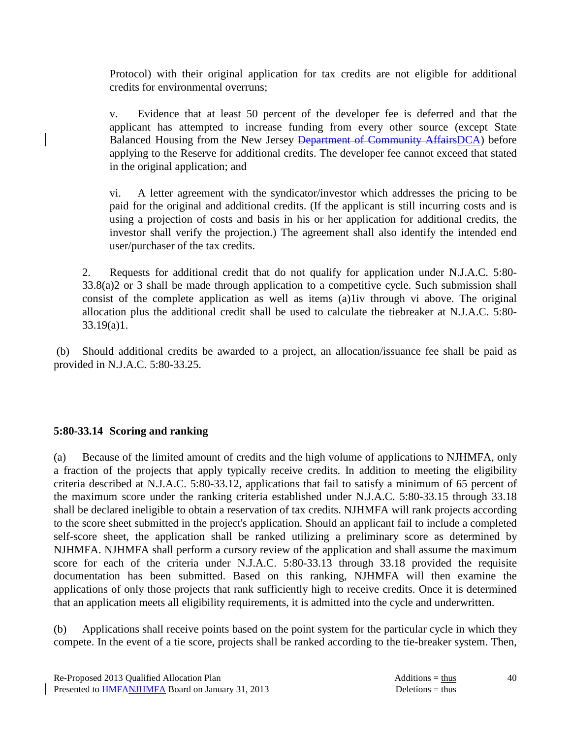Protocol) with their original application for tax credits are not eligible for additional credits for environmental overruns;

 v. Evidence that at least 50 percent of the developer fee is deferred and that the applicant has attempted to increase funding from every other source (except State Balanced Housing from the New Jersey <del>Department of Community AffairsDCA</del>) before applying to the Reserve for additional credits. The developer fee cannot exceed that stated in the original application; and

 vi. A letter agreement with the syndicator/investor which addresses the pricing to be paid for the original and additional credits. (If the applicant is still incurring costs and is using a projection of costs and basis in his or her application for additional credits, the investor shall verify the projection.) The agreement shall also identify the intended end user/purchaser of the tax credits.

 2. Requests for additional credit that do not qualify for application under N.J.A.C. 5:80- 33.8(a)2 or 3 shall be made through application to a competitive cycle. Such submission shall consist of the complete application as well as items (a)1iv through vi above. The original allocation plus the additional credit shall be used to calculate the tiebreaker at N.J.A.C. 5:80- 33.19(a)1.

 (b) Should additional credits be awarded to a project, an allocation/issuance fee shall be paid as provided in N.J.A.C. 5:80-33.25.

#### **5:80-33.14 Scoring and ranking**

(a) Because of the limited amount of credits and the high volume of applications to NJHMFA, only a fraction of the projects that apply typically receive credits. In addition to meeting the eligibility criteria described at N.J.A.C. 5:80-33.12, applications that fail to satisfy a minimum of 65 percent of the maximum score under the ranking criteria established under N.J.A.C. 5:80-33.15 through 33.18 shall be declared ineligible to obtain a reservation of tax credits. NJHMFA will rank projects according to the score sheet submitted in the project's application. Should an applicant fail to include a completed self-score sheet, the application shall be ranked utilizing a preliminary score as determined by NJHMFA. NJHMFA shall perform a cursory review of the application and shall assume the maximum score for each of the criteria under N.J.A.C. 5:80-33.13 through 33.18 provided the requisite documentation has been submitted. Based on this ranking, NJHMFA will then examine the applications of only those projects that rank sufficiently high to receive credits. Once it is determined that an application meets all eligibility requirements, it is admitted into the cycle and underwritten.

(b) Applications shall receive points based on the point system for the particular cycle in which they compete. In the event of a tie score, projects shall be ranked according to the tie-breaker system. Then,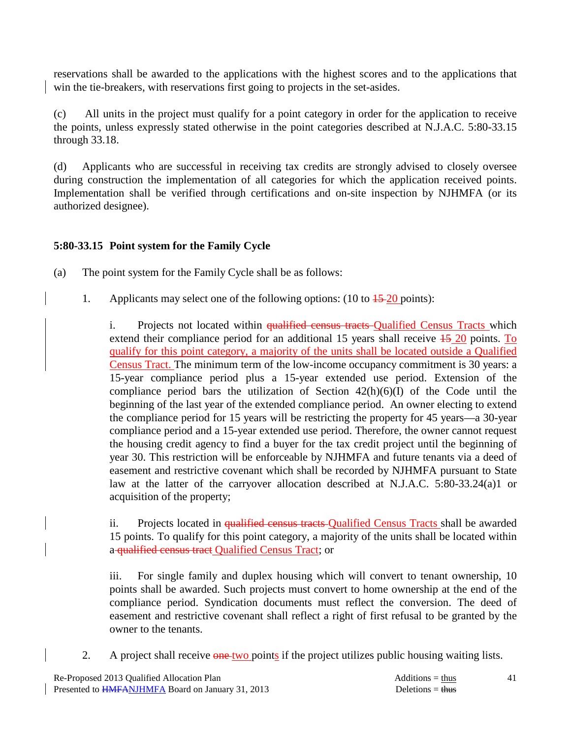reservations shall be awarded to the applications with the highest scores and to the applications that win the tie-breakers, with reservations first going to projects in the set-asides.

(c) All units in the project must qualify for a point category in order for the application to receive the points, unless expressly stated otherwise in the point categories described at N.J.A.C. 5:80-33.15 through 33.18.

(d) Applicants who are successful in receiving tax credits are strongly advised to closely oversee during construction the implementation of all categories for which the application received points. Implementation shall be verified through certifications and on-site inspection by NJHMFA (or its authorized designee).

# **5:80-33.15 Point system for the Family Cycle**

- (a) The point system for the Family Cycle shall be as follows:
	- 1. Applicants may select one of the following options: (10 to  $\frac{15-20}{20}$  points):

i. Projects not located within qualified census tracts Qualified Census Tracts which extend their compliance period for an additional 15 years shall receive  $\frac{15}{20}$  points. To qualify for this point category, a majority of the units shall be located outside a Qualified Census Tract. The minimum term of the low-income occupancy commitment is 30 years: a 15-year compliance period plus a 15-year extended use period. Extension of the compliance period bars the utilization of Section 42(h)(6)(I) of the Code until the beginning of the last year of the extended compliance period. An owner electing to extend the compliance period for 15 years will be restricting the property for 45 years—a 30-year compliance period and a 15-year extended use period. Therefore, the owner cannot request the housing credit agency to find a buyer for the tax credit project until the beginning of year 30. This restriction will be enforceable by NJHMFA and future tenants via a deed of easement and restrictive covenant which shall be recorded by NJHMFA pursuant to State law at the latter of the carryover allocation described at N.J.A.C. 5:80-33.24(a)1 or acquisition of the property;

ii. Projects located in qualified census tracts-Qualified Census Tracts shall be awarded 15 points. To qualify for this point category, a majority of the units shall be located within a qualified census tract Qualified Census Tract; or

 iii. For single family and duplex housing which will convert to tenant ownership, 10 points shall be awarded. Such projects must convert to home ownership at the end of the compliance period. Syndication documents must reflect the conversion. The deed of easement and restrictive covenant shall reflect a right of first refusal to be granted by the owner to the tenants.

2. A project shall receive one two points if the project utilizes public housing waiting lists.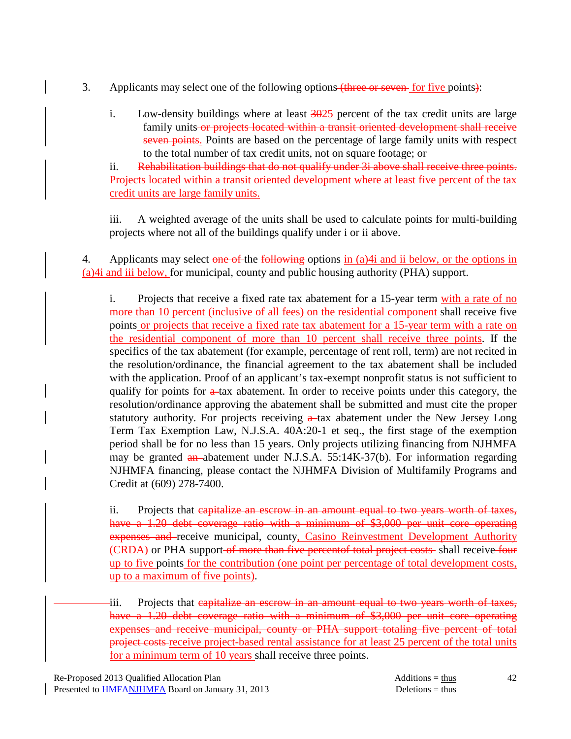- 3. Applicants may select one of the following options (three or seven for five points):
	- i. Low-density buildings where at least  $\frac{3025}{9025}$  percent of the tax credit units are large family units or projects located within a transit oriented development shall receive seven points. Points are based on the percentage of large family units with respect to the total number of tax credit units, not on square footage; or

 ii. Rehabilitation buildings that do not qualify under 3i above shall receive three points. Projects located within a transit oriented development where at least five percent of the tax credit units are large family units.

 iii. A weighted average of the units shall be used to calculate points for multi-building projects where not all of the buildings qualify under i or ii above.

4. Applicants may select one of the following options in (a)4i and ii below, or the options in (a)4i and iii below, for municipal, county and public housing authority (PHA) support.

i. Projects that receive a fixed rate tax abatement for a 15-year term with a rate of no more than 10 percent (inclusive of all fees) on the residential component shall receive five points or projects that receive a fixed rate tax abatement for a 15-year term with a rate on the residential component of more than 10 percent shall receive three points. If the specifics of the tax abatement (for example, percentage of rent roll, term) are not recited in the resolution/ordinance, the financial agreement to the tax abatement shall be included with the application. Proof of an applicant's tax-exempt nonprofit status is not sufficient to qualify for points for  $a$ -tax abatement. In order to receive points under this category, the resolution/ordinance approving the abatement shall be submitted and must cite the proper statutory authority. For projects receiving  $a$ -tax abatement under the New Jersey Long Term Tax Exemption Law, N.J.S.A. 40A:20-1 et seq., the first stage of the exemption period shall be for no less than 15 years. Only projects utilizing financing from NJHMFA may be granted an abatement under N.J.S.A. 55:14K-37(b). For information regarding NJHMFA financing, please contact the NJHMFA Division of Multifamily Programs and Credit at (609) 278-7400.

 ii. Projects that capitalize an escrow in an amount equal to two years worth of taxes, have a 1.20 debt coverage ratio with a minimum of \$3,000 per unit core operating expenses and receive municipal, county, Casino Reinvestment Development Authority (CRDA) or PHA support-of more than five percentof total project costs-shall receive four up to five points for the contribution (one point per percentage of total development costs, up to a maximum of five points).

iii. Projects that capitalize an escrow in an amount equal to two years worth of taxes, have a 1.20 debt coverage ratio with a minimum of \$3,000 per unit core operating expenses and receive municipal, county or PHA support totaling five percent of total project costs receive project-based rental assistance for at least 25 percent of the total units for a minimum term of 10 years shall receive three points.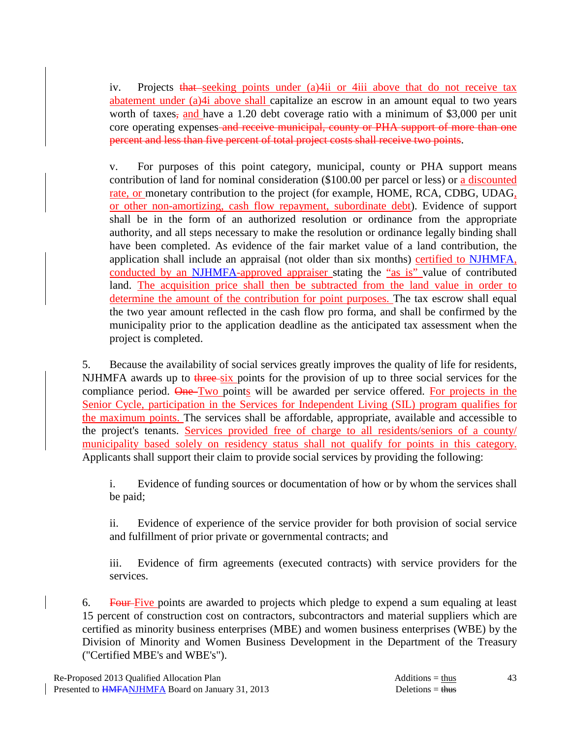iv. Projects that seeking points under (a) 4 ii or 4 iii above that do not receive tax abatement under (a)4i above shall capitalize an escrow in an amount equal to two years worth of taxes, and have a 1.20 debt coverage ratio with a minimum of \$3,000 per unit core operating expenses and receive municipal, county or PHA support of more than one percent and less than five percent of total project costs shall receive two points.

 v. For purposes of this point category, municipal, county or PHA support means contribution of land for nominal consideration (\$100.00 per parcel or less) or a discounted rate, or monetary contribution to the project (for example, HOME, RCA, CDBG, UDAG, or other non-amortizing, cash flow repayment, subordinate debt). Evidence of support shall be in the form of an authorized resolution or ordinance from the appropriate authority, and all steps necessary to make the resolution or ordinance legally binding shall have been completed. As evidence of the fair market value of a land contribution, the application shall include an appraisal (not older than six months) certified to NJHMFA, conducted by an NJHMFA-approved appraiser stating the "as is" value of contributed land. The acquisition price shall then be subtracted from the land value in order to determine the amount of the contribution for point purposes. The tax escrow shall equal the two year amount reflected in the cash flow pro forma, and shall be confirmed by the municipality prior to the application deadline as the anticipated tax assessment when the project is completed.

 5. Because the availability of social services greatly improves the quality of life for residents, NJHMFA awards up to three-six points for the provision of up to three social services for the compliance period. One Two points will be awarded per service offered. For projects in the Senior Cycle, participation in the Services for Independent Living (SIL) program qualifies for the maximum points. The services shall be affordable, appropriate, available and accessible to the project's tenants. Services provided free of charge to all residents/seniors of a county/ municipality based solely on residency status shall not qualify for points in this category. Applicants shall support their claim to provide social services by providing the following:

 i. Evidence of funding sources or documentation of how or by whom the services shall be paid;

 ii. Evidence of experience of the service provider for both provision of social service and fulfillment of prior private or governmental contracts; and

 iii. Evidence of firm agreements (executed contracts) with service providers for the services.

6. Four-Five points are awarded to projects which pledge to expend a sum equaling at least 15 percent of construction cost on contractors, subcontractors and material suppliers which are certified as minority business enterprises (MBE) and women business enterprises (WBE) by the Division of Minority and Women Business Development in the Department of the Treasury ("Certified MBE's and WBE's").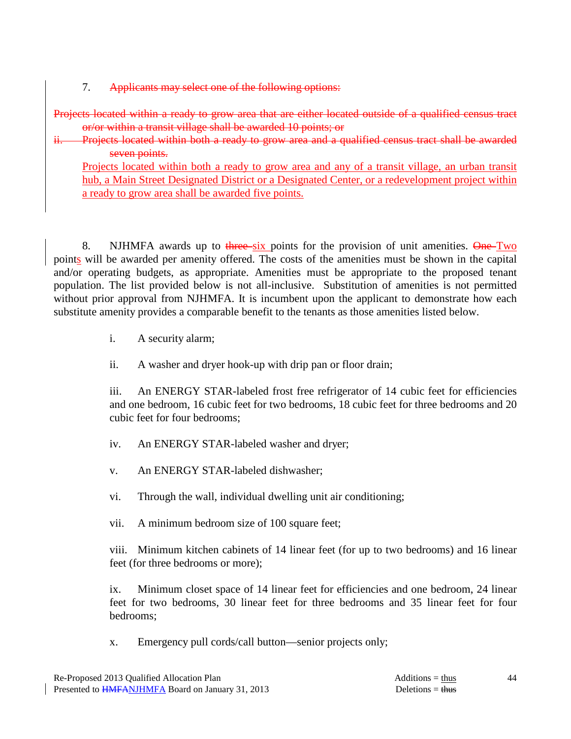7. Applicants may select one of the following options:

Projects located within a ready to grow area that are either located outside of a qualified census tract or/or within a transit village shall be awarded 10 points; or

Projects located within both a ready to grow area and a qualified census tract shall be awarded seven points.

Projects located within both a ready to grow area and any of a transit village, an urban transit hub, a Main Street Designated District or a Designated Center, or a redevelopment project within a ready to grow area shall be awarded five points.

8. NJHMFA awards up to three-six points for the provision of unit amenities. One-Two points will be awarded per amenity offered. The costs of the amenities must be shown in the capital and/or operating budgets, as appropriate. Amenities must be appropriate to the proposed tenant population. The list provided below is not all-inclusive. Substitution of amenities is not permitted without prior approval from NJHMFA. It is incumbent upon the applicant to demonstrate how each substitute amenity provides a comparable benefit to the tenants as those amenities listed below.

i. A security alarm;

ii. A washer and dryer hook-up with drip pan or floor drain;

 iii. An ENERGY STAR-labeled frost free refrigerator of 14 cubic feet for efficiencies and one bedroom, 16 cubic feet for two bedrooms, 18 cubic feet for three bedrooms and 20 cubic feet for four bedrooms;

- iv. An ENERGY STAR-labeled washer and dryer;
- v. An ENERGY STAR-labeled dishwasher;
- vi. Through the wall, individual dwelling unit air conditioning;
- vii. A minimum bedroom size of 100 square feet;

 viii. Minimum kitchen cabinets of 14 linear feet (for up to two bedrooms) and 16 linear feet (for three bedrooms or more);

 ix. Minimum closet space of 14 linear feet for efficiencies and one bedroom, 24 linear feet for two bedrooms, 30 linear feet for three bedrooms and 35 linear feet for four bedrooms;

x. Emergency pull cords/call button—senior projects only;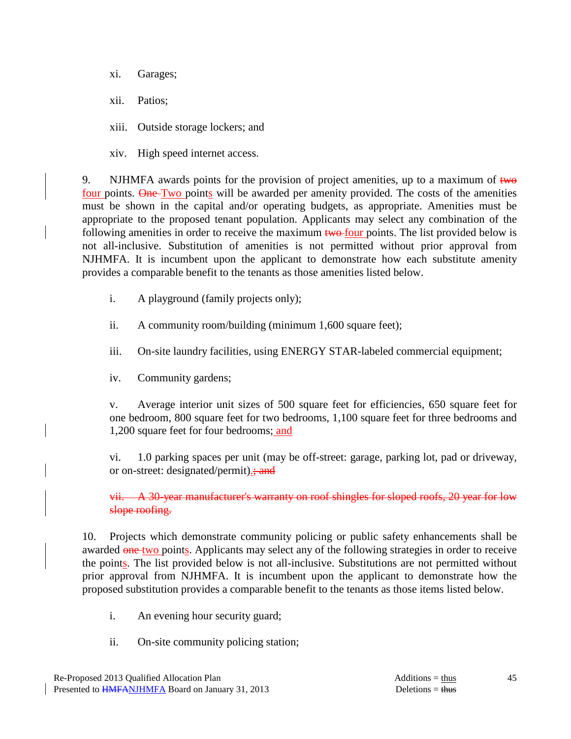xi. Garages;

xii. Patios;

xiii. Outside storage lockers; and

xiv. High speed internet access.

9. NJHMFA awards points for the provision of project amenities, up to a maximum of  $t_{w\theta}$ four points. One Two points will be awarded per amenity provided. The costs of the amenities must be shown in the capital and/or operating budgets, as appropriate. Amenities must be appropriate to the proposed tenant population. Applicants may select any combination of the following amenities in order to receive the maximum two-four points. The list provided below is not all-inclusive. Substitution of amenities is not permitted without prior approval from NJHMFA. It is incumbent upon the applicant to demonstrate how each substitute amenity provides a comparable benefit to the tenants as those amenities listed below.

i. A playground (family projects only);

ii. A community room/building (minimum 1,600 square feet);

iii. On-site laundry facilities, using ENERGY STAR-labeled commercial equipment;

iv. Community gardens;

 v. Average interior unit sizes of 500 square feet for efficiencies, 650 square feet for one bedroom, 800 square feet for two bedrooms, 1,100 square feet for three bedrooms and 1,200 square feet for four bedrooms; and

 vi. 1.0 parking spaces per unit (may be off-street: garage, parking lot, pad or driveway, or on-street: designated/permit).; and

 vii. A 30-year manufacturer's warranty on roof shingles for sloped roofs, 20 year for low slope roofing.

 10. Projects which demonstrate community policing or public safety enhancements shall be awarded one-two points. Applicants may select any of the following strategies in order to receive the points. The list provided below is not all-inclusive. Substitutions are not permitted without prior approval from NJHMFA. It is incumbent upon the applicant to demonstrate how the proposed substitution provides a comparable benefit to the tenants as those items listed below.

- i. An evening hour security guard;
- ii. On-site community policing station;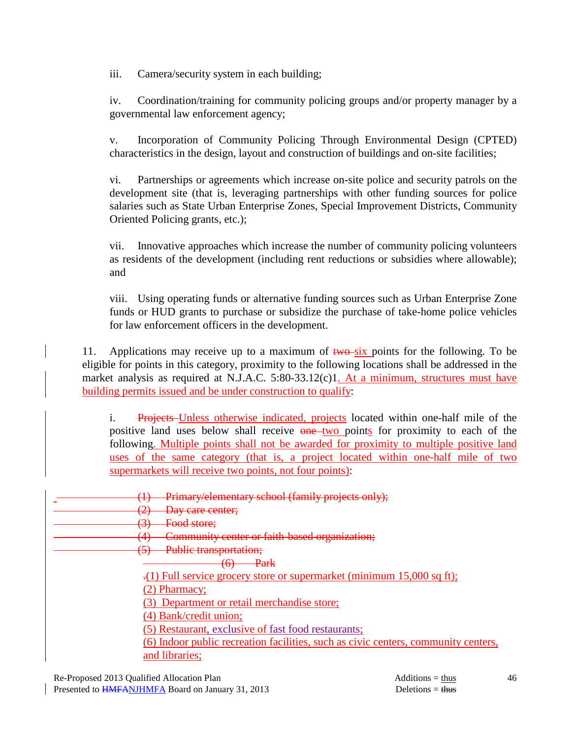iii. Camera/security system in each building;

 iv. Coordination/training for community policing groups and/or property manager by a governmental law enforcement agency;

 v. Incorporation of Community Policing Through Environmental Design (CPTED) characteristics in the design, layout and construction of buildings and on-site facilities;

 vi. Partnerships or agreements which increase on-site police and security patrols on the development site (that is, leveraging partnerships with other funding sources for police salaries such as State Urban Enterprise Zones, Special Improvement Districts, Community Oriented Policing grants, etc.);

 vii. Innovative approaches which increase the number of community policing volunteers as residents of the development (including rent reductions or subsidies where allowable); and

 viii. Using operating funds or alternative funding sources such as Urban Enterprise Zone funds or HUD grants to purchase or subsidize the purchase of take-home police vehicles for law enforcement officers in the development.

11. Applications may receive up to a maximum of  $two-six$  points for the following. To be eligible for points in this category, proximity to the following locations shall be addressed in the market analysis as required at N.J.A.C. 5:80-33.12(c)1. At a minimum, structures must have building permits issued and be under construction to qualify:

 i. Projects Unless otherwise indicated, projects located within one-half mile of the positive land uses below shall receive one two points for proximity to each of the following. Multiple points shall not be awarded for proximity to multiple positive land uses of the same category (that is, a project located within one-half mile of two supermarkets will receive two points, not four points):

| Primary/elementary school (family projects only);<br>$\mathbf{T}$                  |
|------------------------------------------------------------------------------------|
| Day care center;<br>$\overline{\phantom{a}}$                                       |
| Food store;                                                                        |
| Community center or faith-based organization;<br>ŒΔ<br>÷                           |
| Public transportation;<br>(<)                                                      |
| <del>Park</del><br>$\sim$<br>$\overline{\mathbf{u}}$                               |
| .(1) Full service grocery store or supermarket (minimum 15,000 sq ft);             |
| (2) Pharmacy;                                                                      |
| (3) Department or retail merchandise store;                                        |
| (4) Bank/credit union;                                                             |
| (5) Restaurant, exclusive of fast food restaurants;                                |
| (6) Indoor public recreation facilities, such as civic centers, community centers, |
| and libraries;                                                                     |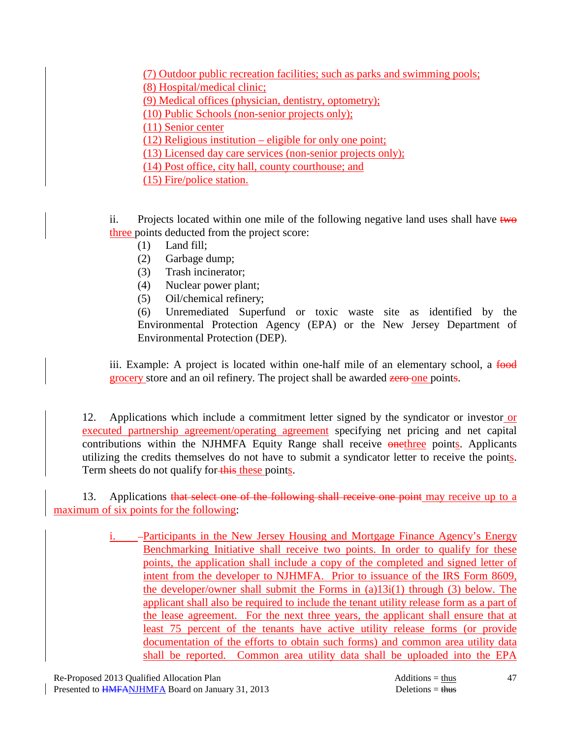(7) Outdoor public recreation facilities; such as parks and swimming pools; (8) Hospital/medical clinic; (9) Medical offices (physician, dentistry, optometry); (10) Public Schools (non-senior projects only); (11) Senior center (12) Religious institution – eligible for only one point; (13) Licensed day care services (non-senior projects only); (14) Post office, city hall, county courthouse; and (15) Fire/police station.

ii. Projects located within one mile of the following negative land uses shall have  $t_{w\theta}$ three points deducted from the project score:

- (1) Land fill;
- (2) Garbage dump;
- (3) Trash incinerator;
- (4) Nuclear power plant;
- (5) Oil/chemical refinery;

 (6) Unremediated Superfund or toxic waste site as identified by the Environmental Protection Agency (EPA) or the New Jersey Department of Environmental Protection (DEP).

iii. Example: A project is located within one-half mile of an elementary school, a food grocery store and an oil refinery. The project shall be awarded zero one points.

 12. Applications which include a commitment letter signed by the syndicator or investor or executed partnership agreement/operating agreement specifying net pricing and net capital contributions within the NJHMFA Equity Range shall receive onethree points. Applicants utilizing the credits themselves do not have to submit a syndicator letter to receive the points. Term sheets do not qualify for-this these points.

13. Applications that select one of the following shall receive one point may receive up to a maximum of six points for the following:

> i. – Participants in the New Jersey Housing and Mortgage Finance Agency's Energy Benchmarking Initiative shall receive two points. In order to qualify for these points, the application shall include a copy of the completed and signed letter of intent from the developer to NJHMFA. Prior to issuance of the IRS Form 8609, the developer/owner shall submit the Forms in (a)13i(1) through (3) below. The applicant shall also be required to include the tenant utility release form as a part of the lease agreement. For the next three years, the applicant shall ensure that at least 75 percent of the tenants have active utility release forms (or provide documentation of the efforts to obtain such forms) and common area utility data shall be reported. Common area utility data shall be uploaded into the EPA

47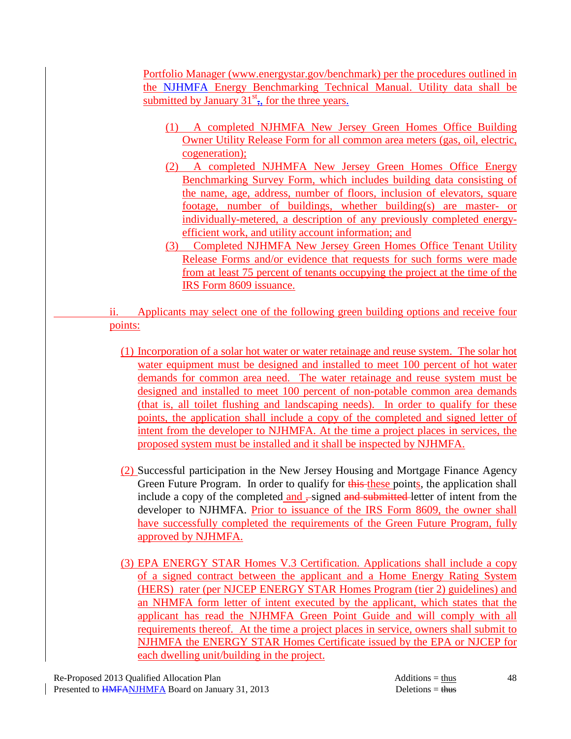Portfolio Manager (www.energystar.gov/benchmark) per the procedures outlined in the NJHMFA Energy Benchmarking Technical Manual. Utility data shall be submitted by January  $31<sup>st</sup>$ , for the three years.

- (1) A completed NJHMFA New Jersey Green Homes Office Building Owner Utility Release Form for all common area meters (gas, oil, electric, cogeneration);
- (2) A completed NJHMFA New Jersey Green Homes Office Energy Benchmarking Survey Form, which includes building data consisting of the name, age, address, number of floors, inclusion of elevators, square footage, number of buildings, whether building(s) are master- or individually-metered, a description of any previously completed energyefficient work, and utility account information; and
- (3) Completed NJHMFA New Jersey Green Homes Office Tenant Utility Release Forms and/or evidence that requests for such forms were made from at least 75 percent of tenants occupying the project at the time of the IRS Form 8609 issuance.

 ii. Applicants may select one of the following green building options and receive four points:

- (1) Incorporation of a solar hot water or water retainage and reuse system. The solar hot water equipment must be designed and installed to meet 100 percent of hot water demands for common area need. The water retainage and reuse system must be designed and installed to meet 100 percent of non-potable common area demands (that is, all toilet flushing and landscaping needs). In order to qualify for these points, the application shall include a copy of the completed and signed letter of intent from the developer to NJHMFA. At the time a project places in services, the proposed system must be installed and it shall be inspected by NJHMFA.
- (2) Successful participation in the New Jersey Housing and Mortgage Finance Agency Green Future Program. In order to qualify for this these points, the application shall include a copy of the completed and , signed and submitted letter of intent from the developer to NJHMFA. Prior to issuance of the IRS Form 8609, the owner shall have successfully completed the requirements of the Green Future Program, fully approved by NJHMFA.
- (3) EPA ENERGY STAR Homes V.3 Certification. Applications shall include a copy of a signed contract between the applicant and a Home Energy Rating System (HERS) rater (per NJCEP ENERGY STAR Homes Program (tier 2) guidelines) and an NHMFA form letter of intent executed by the applicant, which states that the applicant has read the NJHMFA Green Point Guide and will comply with all requirements thereof. At the time a project places in service, owners shall submit to NJHMFA the ENERGY STAR Homes Certificate issued by the EPA or NJCEP for each dwelling unit/building in the project.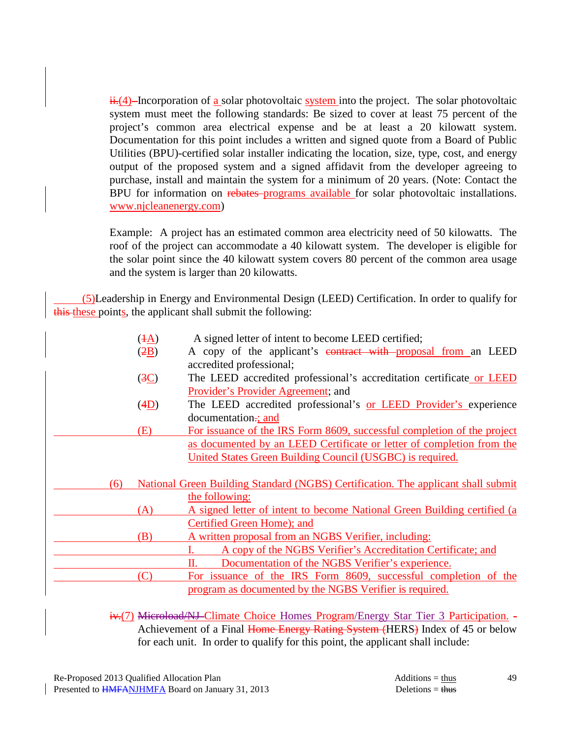$\frac{\mathbf{i} \cdot \mathbf{i} \cdot (4)}{1}$ -Incorporation of <u>a</u> solar photovoltaic system into the project. The solar photovoltaic system must meet the following standards: Be sized to cover at least 75 percent of the project's common area electrical expense and be at least a 20 kilowatt system. Documentation for this point includes a written and signed quote from a Board of Public Utilities (BPU)-certified solar installer indicating the location, size, type, cost, and energy output of the proposed system and a signed affidavit from the developer agreeing to purchase, install and maintain the system for a minimum of 20 years. (Note: Contact the BPU for information on rebates programs available for solar photovoltaic installations. www.njcleanenergy.com)

Example: A project has an estimated common area electricity need of 50 kilowatts. The roof of the project can accommodate a 40 kilowatt system. The developer is eligible for the solar point since the 40 kilowatt system covers 80 percent of the common area usage and the system is larger than 20 kilowatts.

 (5)Leadership in Energy and Environmental Design (LEED) Certification. In order to qualify for this these points, the applicant shall submit the following:

|     | $(4\underline{A})$ | A signed letter of intent to become LEED certified;                               |
|-----|--------------------|-----------------------------------------------------------------------------------|
|     | (2B)               | A copy of the applicant's contract with proposal from an LEED                     |
|     |                    | accredited professional;                                                          |
|     | (3C)               | The LEED accredited professional's accreditation certificate or LEED              |
|     |                    | Provider's Provider Agreement; and                                                |
|     | (4D)               | The LEED accredited professional's or LEED Provider's experience                  |
|     |                    | documentation-; and                                                               |
|     | (E)                | For issuance of the IRS Form 8609, successful completion of the project           |
|     |                    | as documented by an LEED Certificate or letter of completion from the             |
|     |                    | United States Green Building Council (USGBC) is required.                         |
|     |                    |                                                                                   |
| (6) |                    | National Green Building Standard (NGBS) Certification. The applicant shall submit |
|     |                    | the following:                                                                    |
|     | (A)                | A signed letter of intent to become National Green Building certified (a          |
|     |                    | Certified Green Home); and                                                        |
|     | (B)                | A written proposal from an NGBS Verifier, including:                              |
|     |                    | A copy of the NGBS Verifier's Accreditation Certificate; and                      |
|     |                    | Documentation of the NGBS Verifier's experience.<br>П.                            |
|     | (C)                | For issuance of the IRS Form 8609, successful completion of the                   |
|     |                    | program as documented by the NGBS Verifier is required.                           |

 iv.(7) Microload/NJ Climate Choice Homes Program/Energy Star Tier 3 Participation. - Achievement of a Final Home Energy Rating System (HERS) Index of 45 or below for each unit. In order to qualify for this point, the applicant shall include: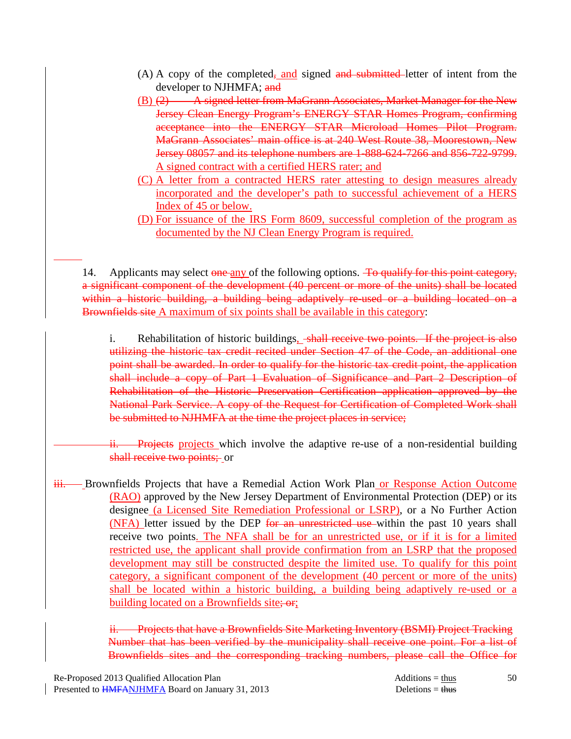- $(A)$  A copy of the completed, and signed and submitted letter of intent from the developer to NJHMFA; and
- (B) (2) A signed letter from MaGrann Associates, Market Manager for the New Jersey Clean Energy Program's ENERGY STAR Homes Program, confirming acceptance into the ENERGY STAR Microload Homes Pilot Program. MaGrann Associates' main office is at 240 West Route 38, Moorestown, New Jersey 08057 and its telephone numbers are 1-888-624-7266 and 856-722-9799. A signed contract with a certified HERS rater; and
- (C) A letter from a contracted HERS rater attesting to design measures already incorporated and the developer's path to successful achievement of a HERS Index of 45 or below.
- (D) For issuance of the IRS Form 8609, successful completion of the program as documented by the NJ Clean Energy Program is required.

14. Applicants may select one any of the following options. To qualify for this point category, a significant component of the development (40 percent or more of the units) shall be located within a historic building, a building being adaptively re-used or a building located on a Brownfields site A maximum of six points shall be available in this category:

i. Rehabilitation of historic buildings, shall receive two points. If the project is also utilizing the historic tax credit recited under Section 47 of the Code, an additional one point shall be awarded. In order to qualify for the historic tax credit point, the application shall include a copy of Part 1 Evaluation of Significance and Part 2 Description of Rehabilitation of the Historic Preservation Certification application approved by the National Park Service. A copy of the Request for Certification of Completed Work shall be submitted to NJHMFA at the time the project places in service;

i. Projects projects which involve the adaptive re-use of a non-residential building shall receive two points; or

iii. Brownfields Projects that have a Remedial Action Work Plan or Response Action Outcome (RAO) approved by the New Jersey Department of Environmental Protection (DEP) or its designee (a Licensed Site Remediation Professional or LSRP), or a No Further Action (NFA) letter issued by the DEP for an unrestricted use within the past 10 years shall receive two points. The NFA shall be for an unrestricted use, or if it is for a limited restricted use, the applicant shall provide confirmation from an LSRP that the proposed development may still be constructed despite the limited use. To qualify for this point category, a significant component of the development (40 percent or more of the units) shall be located within a historic building, a building being adaptively re-used or a building located on a Brownfields site; or;

> ii. Projects that have a Brownfields Site Marketing Inventory (BSMI) Project Tracking Number that has been verified by the municipality shall receive one point. For a list of Brownfields sites and the corresponding tracking numbers, please call the Office for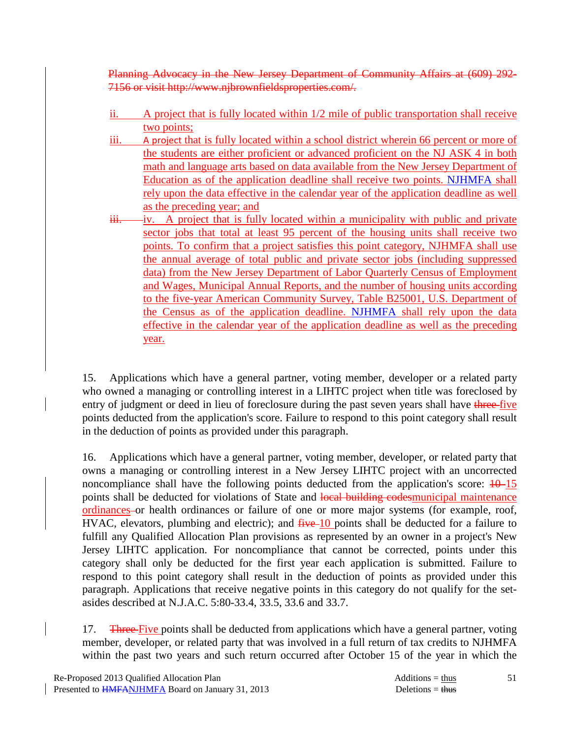Planning Advocacy in the New Jersey Department of Community Affairs at (609) 292- 7156 or visit http://www.njbrownfieldsproperties.com/.

- ii. A project that is fully located within 1/2 mile of public transportation shall receive two points;
- iii. A project that is fully located within a school district wherein 66 percent or more of the students are either proficient or advanced proficient on the NJ ASK 4 in both math and language arts based on data available from the New Jersey Department of Education as of the application deadline shall receive two points. NJHMFA shall rely upon the data effective in the calendar year of the application deadline as well as the preceding year; and
- $iii.$  iv. A project that is fully located within a municipality with public and private sector jobs that total at least 95 percent of the housing units shall receive two points. To confirm that a project satisfies this point category, NJHMFA shall use the annual average of total public and private sector jobs (including suppressed data) from the New Jersey Department of Labor Quarterly Census of Employment and Wages, Municipal Annual Reports, and the number of housing units according to the five-year American Community Survey, Table B25001, U.S. Department of the Census as of the application deadline. NJHMFA shall rely upon the data effective in the calendar year of the application deadline as well as the preceding year.

 15. Applications which have a general partner, voting member, developer or a related party who owned a managing or controlling interest in a LIHTC project when title was foreclosed by entry of judgment or deed in lieu of foreclosure during the past seven years shall have three-five points deducted from the application's score. Failure to respond to this point category shall result in the deduction of points as provided under this paragraph.

 16. Applications which have a general partner, voting member, developer, or related party that owns a managing or controlling interest in a New Jersey LIHTC project with an uncorrected noncompliance shall have the following points deducted from the application's score:  $\frac{10}{15}$ points shall be deducted for violations of State and local building codesmunicipal maintenance ordinances or health ordinances or failure of one or more major systems (for example, roof, HVAC, elevators, plumbing and electric); and  $f^2W + 10$  points shall be deducted for a failure to fulfill any Qualified Allocation Plan provisions as represented by an owner in a project's New Jersey LIHTC application. For noncompliance that cannot be corrected, points under this category shall only be deducted for the first year each application is submitted. Failure to respond to this point category shall result in the deduction of points as provided under this paragraph. Applications that receive negative points in this category do not qualify for the setasides described at N.J.A.C. 5:80-33.4, 33.5, 33.6 and 33.7.

17. Three Five points shall be deducted from applications which have a general partner, voting member, developer, or related party that was involved in a full return of tax credits to NJHMFA within the past two years and such return occurred after October 15 of the year in which the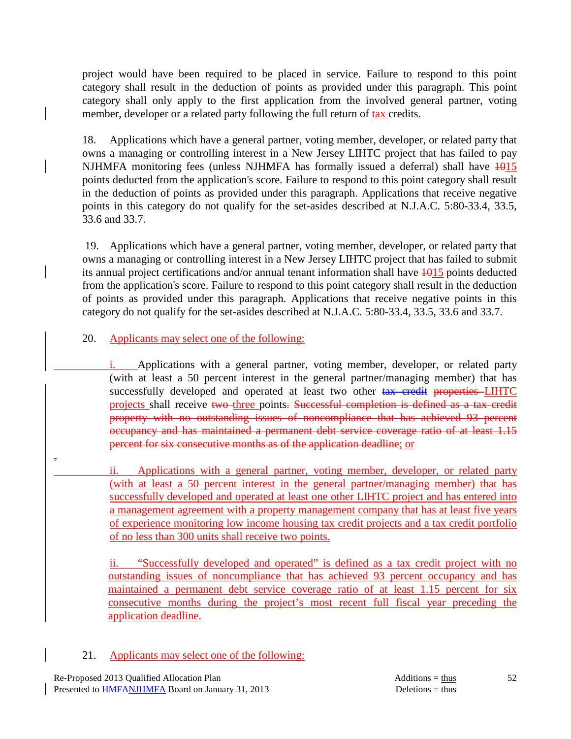project would have been required to be placed in service. Failure to respond to this point category shall result in the deduction of points as provided under this paragraph. This point category shall only apply to the first application from the involved general partner, voting member, developer or a related party following the full return of tax credits.

 18. Applications which have a general partner, voting member, developer, or related party that owns a managing or controlling interest in a New Jersey LIHTC project that has failed to pay NJHMFA monitoring fees (unless NJHMFA has formally issued a deferral) shall have  $\frac{1015}{2}$ points deducted from the application's score. Failure to respond to this point category shall result in the deduction of points as provided under this paragraph. Applications that receive negative points in this category do not qualify for the set-asides described at N.J.A.C. 5:80-33.4, 33.5, 33.6 and 33.7.

 19. Applications which have a general partner, voting member, developer, or related party that owns a managing or controlling interest in a New Jersey LIHTC project that has failed to submit its annual project certifications and/or annual tenant information shall have  $\frac{1015}{100}$  points deducted from the application's score. Failure to respond to this point category shall result in the deduction of points as provided under this paragraph. Applications that receive negative points in this category do not qualify for the set-asides described at N.J.A.C. 5:80-33.4, 33.5, 33.6 and 33.7.

# 20. Applicants may select one of the following:

Applications with a general partner, voting member, developer, or related party (with at least a 50 percent interest in the general partner/managing member) that has successfully developed and operated at least two other tax credit properties LIHTC projects shall receive two three points. Successful completion is defined as a tax credit property with no outstanding issues of noncompliance that has achieved 93 percent occupancy and has maintained a permanent debt service coverage ratio of at least 1.15 percent for six consecutive months as of the application deadline; or

 ii. Applications with a general partner, voting member, developer, or related party (with at least a 50 percent interest in the general partner/managing member) that has successfully developed and operated at least one other LIHTC project and has entered into a management agreement with a property management company that has at least five years of experience monitoring low income housing tax credit projects and a tax credit portfolio of no less than 300 units shall receive two points.

ii. "Successfully developed and operated" is defined as a tax credit project with no outstanding issues of noncompliance that has achieved 93 percent occupancy and has maintained a permanent debt service coverage ratio of at least 1.15 percent for six consecutive months during the project's most recent full fiscal year preceding the application deadline.

#### 21. Applicants may select one of the following:

.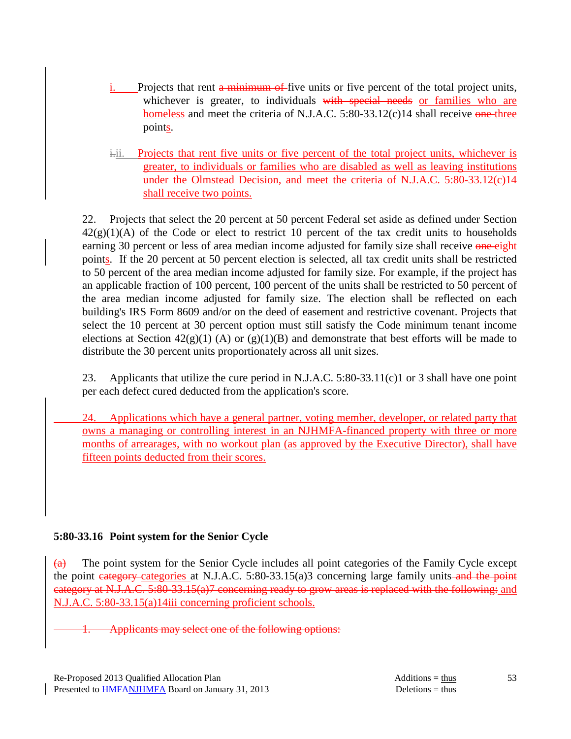- Projects that rent a minimum of five units or five percent of the total project units, whichever is greater, to individuals with special needs or families who are homeless and meet the criteria of N.J.A.C. 5:80-33.12(c)14 shall receive one three points.
- i.ii. Projects that rent five units or five percent of the total project units, whichever is greater, to individuals or families who are disabled as well as leaving institutions under the Olmstead Decision, and meet the criteria of N.J.A.C. 5:80-33.12(c)14 shall receive two points.

 22. Projects that select the 20 percent at 50 percent Federal set aside as defined under Section  $42(g)(1)(A)$  of the Code or elect to restrict 10 percent of the tax credit units to households earning 30 percent or less of area median income adjusted for family size shall receive one eight points. If the 20 percent at 50 percent election is selected, all tax credit units shall be restricted to 50 percent of the area median income adjusted for family size. For example, if the project has an applicable fraction of 100 percent, 100 percent of the units shall be restricted to 50 percent of the area median income adjusted for family size. The election shall be reflected on each building's IRS Form 8609 and/or on the deed of easement and restrictive covenant. Projects that select the 10 percent at 30 percent option must still satisfy the Code minimum tenant income elections at Section  $42(g)(1)$  (A) or  $(g)(1)(B)$  and demonstrate that best efforts will be made to distribute the 30 percent units proportionately across all unit sizes.

 23. Applicants that utilize the cure period in N.J.A.C. 5:80-33.11(c)1 or 3 shall have one point per each defect cured deducted from the application's score.

 24. Applications which have a general partner, voting member, developer, or related party that owns a managing or controlling interest in an NJHMFA-financed property with three or more months of arrearages, with no workout plan (as approved by the Executive Director), shall have fifteen points deducted from their scores.

# **5:80-33.16 Point system for the Senior Cycle**

 $\overline{(a)}$  The point system for the Senior Cycle includes all point categories of the Family Cycle except the point eategory categories at N.J.A.C. 5:80-33.15(a)3 concerning large family units and the point category at N.J.A.C. 5:80-33.15(a)7 concerning ready to grow areas is replaced with the following: and N.J.A.C. 5:80-33.15(a)14iii concerning proficient schools.

Applicants may select one of the following options: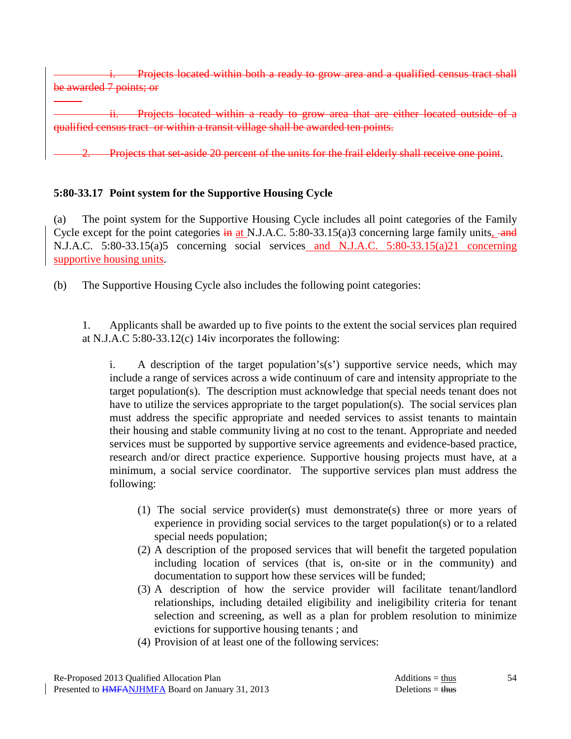Projects located within both a ready to grow area and a qualified census tract shall be awarded 7 points; or

Projects located within a ready to grow area that are either located outside of a qualified census tract or within a transit village shall be awarded ten points.

aside 20 percent of the units for the frail elderly shall receive one point.

### **5:80-33.17 Point system for the Supportive Housing Cycle**

(a) The point system for the Supportive Housing Cycle includes all point categories of the Family Cycle except for the point categories  $\frac{1}{2}$  at N.J.A.C. 5:80-33.15(a)3 concerning large family units,  $\frac{1}{2}$ N.J.A.C. 5:80-33.15(a)5 concerning social services and N.J.A.C. 5:80-33.15(a)21 concerning supportive housing units.

(b) The Supportive Housing Cycle also includes the following point categories:

 1. Applicants shall be awarded up to five points to the extent the social services plan required at N.J.A.C 5:80-33.12(c) 14iv incorporates the following:

i. A description of the target population's(s') supportive service needs, which may include a range of services across a wide continuum of care and intensity appropriate to the target population(s). The description must acknowledge that special needs tenant does not have to utilize the services appropriate to the target population(s). The social services plan must address the specific appropriate and needed services to assist tenants to maintain their housing and stable community living at no cost to the tenant. Appropriate and needed services must be supported by supportive service agreements and evidence-based practice, research and/or direct practice experience. Supportive housing projects must have, at a minimum, a social service coordinator. The supportive services plan must address the following:

- (1) The social service provider(s) must demonstrate(s) three or more years of experience in providing social services to the target population(s) or to a related special needs population;
- (2) A description of the proposed services that will benefit the targeted population including location of services (that is, on-site or in the community) and documentation to support how these services will be funded;
- (3) A description of how the service provider will facilitate tenant/landlord relationships, including detailed eligibility and ineligibility criteria for tenant selection and screening, as well as a plan for problem resolution to minimize evictions for supportive housing tenants ; and
- (4) Provision of at least one of the following services: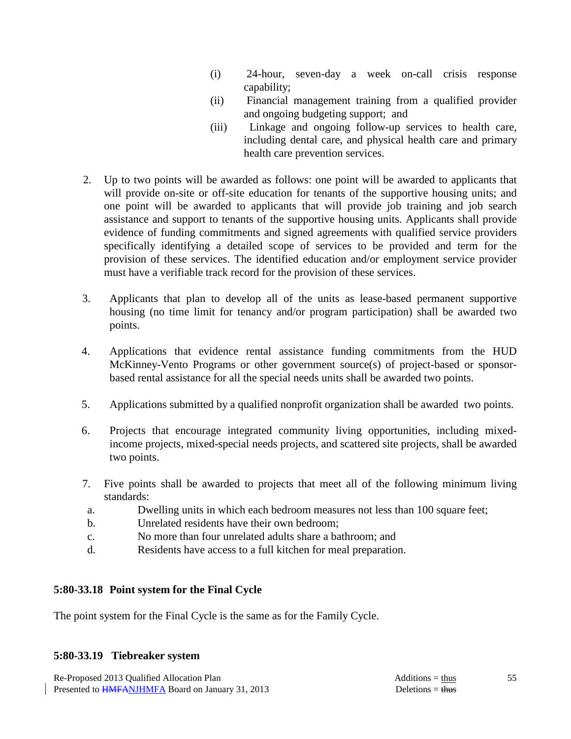- (i) 24-hour, seven-day a week on-call crisis response capability;
- (ii) Financial management training from a qualified provider and ongoing budgeting support; and
- (iii) Linkage and ongoing follow-up services to health care, including dental care, and physical health care and primary health care prevention services.
- 2. Up to two points will be awarded as follows: one point will be awarded to applicants that will provide on-site or off-site education for tenants of the supportive housing units; and one point will be awarded to applicants that will provide job training and job search assistance and support to tenants of the supportive housing units. Applicants shall provide evidence of funding commitments and signed agreements with qualified service providers specifically identifying a detailed scope of services to be provided and term for the provision of these services. The identified education and/or employment service provider must have a verifiable track record for the provision of these services.
- 3. Applicants that plan to develop all of the units as lease-based permanent supportive housing (no time limit for tenancy and/or program participation) shall be awarded two points.
- 4. Applications that evidence rental assistance funding commitments from the HUD McKinney-Vento Programs or other government source(s) of project-based or sponsorbased rental assistance for all the special needs units shall be awarded two points.
- 5. Applications submitted by a qualified nonprofit organization shall be awarded two points.
- 6. Projects that encourage integrated community living opportunities, including mixedincome projects, mixed-special needs projects, and scattered site projects, shall be awarded two points.
- 7. Five points shall be awarded to projects that meet all of the following minimum living standards:
- a. Dwelling units in which each bedroom measures not less than 100 square feet;
- b. Unrelated residents have their own bedroom;
- c. No more than four unrelated adults share a bathroom; and
- d. Residents have access to a full kitchen for meal preparation.

# **5:80-33.18 Point system for the Final Cycle**

The point system for the Final Cycle is the same as for the Family Cycle.

# **5:80-33.19 Tiebreaker system**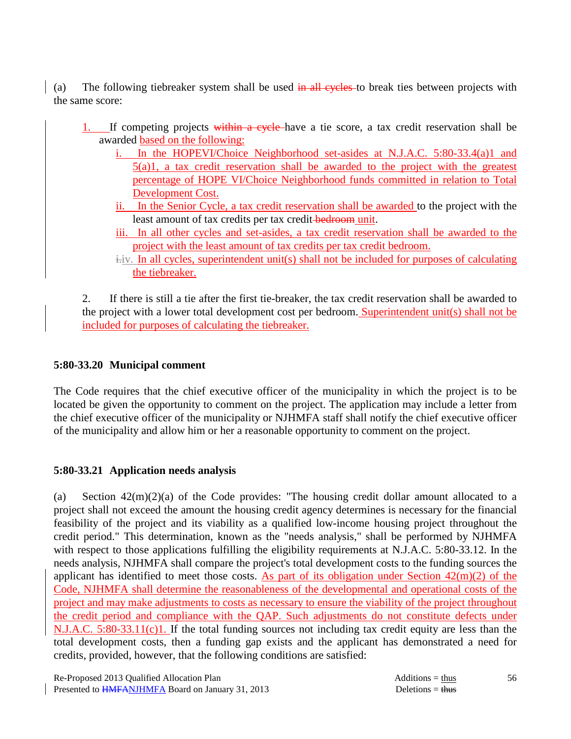(a) The following tiebreaker system shall be used in all cycles to break ties between projects with the same score:

- 1. If competing projects within a cycle have a tie score, a tax credit reservation shall be awarded based on the following:
	- i. In the HOPEVI/Choice Neighborhood set-asides at N.J.A.C. 5:80-33.4(a)1 and 5(a)1, a tax credit reservation shall be awarded to the project with the greatest percentage of HOPE VI/Choice Neighborhood funds committed in relation to Total Development Cost.
	- ii. In the Senior Cycle, a tax credit reservation shall be awarded to the project with the least amount of tax credits per tax credit-bedroom unit.
	- iii. In all other cycles and set-asides, a tax credit reservation shall be awarded to the project with the least amount of tax credits per tax credit bedroom.
	- $i$ .iv. In all cycles, superintendent unit(s) shall not be included for purposes of calculating the tiebreaker.

 2. If there is still a tie after the first tie-breaker, the tax credit reservation shall be awarded to the project with a lower total development cost per bedroom. Superintendent unit(s) shall not be included for purposes of calculating the tiebreaker.

### **5:80-33.20 Municipal comment**

The Code requires that the chief executive officer of the municipality in which the project is to be located be given the opportunity to comment on the project. The application may include a letter from the chief executive officer of the municipality or NJHMFA staff shall notify the chief executive officer of the municipality and allow him or her a reasonable opportunity to comment on the project.

# **5:80-33.21 Application needs analysis**

(a) Section  $42(m)(2)(a)$  of the Code provides: "The housing credit dollar amount allocated to a project shall not exceed the amount the housing credit agency determines is necessary for the financial feasibility of the project and its viability as a qualified low-income housing project throughout the credit period." This determination, known as the "needs analysis," shall be performed by NJHMFA with respect to those applications fulfilling the eligibility requirements at N.J.A.C. 5:80-33.12. In the needs analysis, NJHMFA shall compare the project's total development costs to the funding sources the applicant has identified to meet those costs. As part of its obligation under Section  $42(m)(2)$  of the Code, NJHMFA shall determine the reasonableness of the developmental and operational costs of the project and may make adjustments to costs as necessary to ensure the viability of the project throughout the credit period and compliance with the QAP. Such adjustments do not constitute defects under N.J.A.C. 5:80-33.11(c)1. If the total funding sources not including tax credit equity are less than the total development costs, then a funding gap exists and the applicant has demonstrated a need for credits, provided, however, that the following conditions are satisfied:

56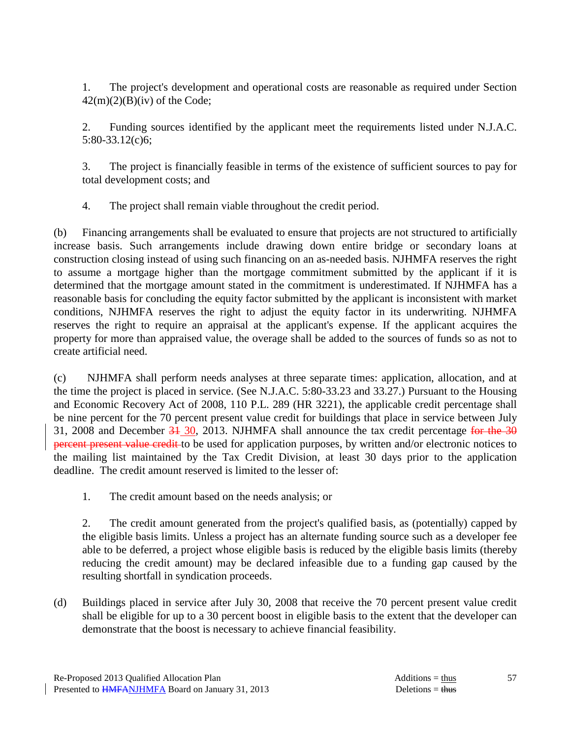1. The project's development and operational costs are reasonable as required under Section  $42(m)(2)(B)(iv)$  of the Code;

 2. Funding sources identified by the applicant meet the requirements listed under N.J.A.C. 5:80-33.12(c)6;

 3. The project is financially feasible in terms of the existence of sufficient sources to pay for total development costs; and

4. The project shall remain viable throughout the credit period.

(b) Financing arrangements shall be evaluated to ensure that projects are not structured to artificially increase basis. Such arrangements include drawing down entire bridge or secondary loans at construction closing instead of using such financing on an as-needed basis. NJHMFA reserves the right to assume a mortgage higher than the mortgage commitment submitted by the applicant if it is determined that the mortgage amount stated in the commitment is underestimated. If NJHMFA has a reasonable basis for concluding the equity factor submitted by the applicant is inconsistent with market conditions, NJHMFA reserves the right to adjust the equity factor in its underwriting. NJHMFA reserves the right to require an appraisal at the applicant's expense. If the applicant acquires the property for more than appraised value, the overage shall be added to the sources of funds so as not to create artificial need.

(c) NJHMFA shall perform needs analyses at three separate times: application, allocation, and at the time the project is placed in service. (See N.J.A.C. 5:80-33.23 and 33.27.) Pursuant to the Housing and Economic Recovery Act of 2008, 110 P.L. 289 (HR 3221), the applicable credit percentage shall be nine percent for the 70 percent present value credit for buildings that place in service between July 31, 2008 and December  $\frac{31}{30}$ , 2013. NJHMFA shall announce the tax credit percentage for the 30 percent present value credit to be used for application purposes, by written and/or electronic notices to the mailing list maintained by the Tax Credit Division, at least 30 days prior to the application deadline. The credit amount reserved is limited to the lesser of:

1. The credit amount based on the needs analysis; or

 2. The credit amount generated from the project's qualified basis, as (potentially) capped by the eligible basis limits. Unless a project has an alternate funding source such as a developer fee able to be deferred, a project whose eligible basis is reduced by the eligible basis limits (thereby reducing the credit amount) may be declared infeasible due to a funding gap caused by the resulting shortfall in syndication proceeds.

(d) Buildings placed in service after July 30, 2008 that receive the 70 percent present value credit shall be eligible for up to a 30 percent boost in eligible basis to the extent that the developer can demonstrate that the boost is necessary to achieve financial feasibility.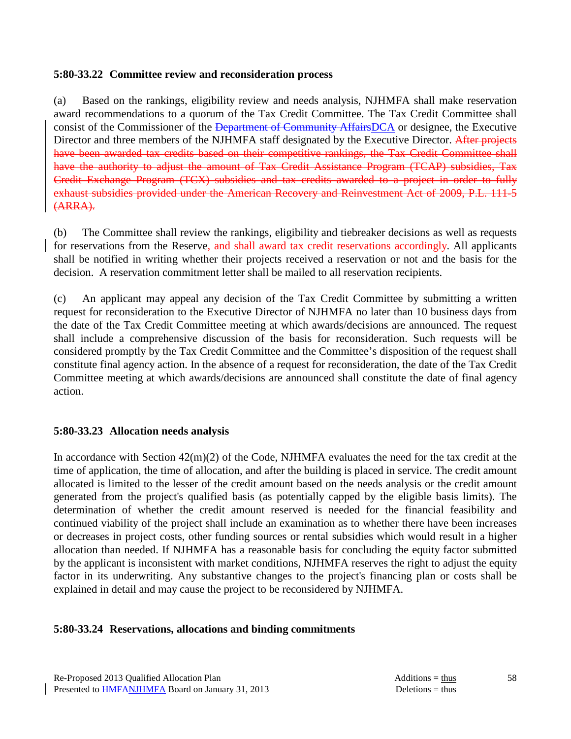#### **5:80-33.22 Committee review and reconsideration process**

(a) Based on the rankings, eligibility review and needs analysis, NJHMFA shall make reservation award recommendations to a quorum of the Tax Credit Committee. The Tax Credit Committee shall consist of the Commissioner of the Department of Community AffairsDCA or designee, the Executive Director and three members of the NJHMFA staff designated by the Executive Director. After projects have been awarded tax credits based on their competitive rankings, the Tax Credit Committee shall have the authority to adjust the amount of Tax Credit Assistance Program (TCAP) subsidies, Tax Credit Exchange Program (TCX) subsidies and tax credits awarded to a project in order to fully exhaust subsidies provided under the American Recovery and Reinvestment Act of 2009, P.L. 111-5 (ARRA).

(b) The Committee shall review the rankings, eligibility and tiebreaker decisions as well as requests for reservations from the Reserve, and shall award tax credit reservations accordingly. All applicants shall be notified in writing whether their projects received a reservation or not and the basis for the decision. A reservation commitment letter shall be mailed to all reservation recipients.

(c) An applicant may appeal any decision of the Tax Credit Committee by submitting a written request for reconsideration to the Executive Director of NJHMFA no later than 10 business days from the date of the Tax Credit Committee meeting at which awards/decisions are announced. The request shall include a comprehensive discussion of the basis for reconsideration. Such requests will be considered promptly by the Tax Credit Committee and the Committee's disposition of the request shall constitute final agency action. In the absence of a request for reconsideration, the date of the Tax Credit Committee meeting at which awards/decisions are announced shall constitute the date of final agency action.

# **5:80-33.23 Allocation needs analysis**

In accordance with Section 42(m)(2) of the Code, NJHMFA evaluates the need for the tax credit at the time of application, the time of allocation, and after the building is placed in service. The credit amount allocated is limited to the lesser of the credit amount based on the needs analysis or the credit amount generated from the project's qualified basis (as potentially capped by the eligible basis limits). The determination of whether the credit amount reserved is needed for the financial feasibility and continued viability of the project shall include an examination as to whether there have been increases or decreases in project costs, other funding sources or rental subsidies which would result in a higher allocation than needed. If NJHMFA has a reasonable basis for concluding the equity factor submitted by the applicant is inconsistent with market conditions, NJHMFA reserves the right to adjust the equity factor in its underwriting. Any substantive changes to the project's financing plan or costs shall be explained in detail and may cause the project to be reconsidered by NJHMFA.

#### **5:80-33.24 Reservations, allocations and binding commitments**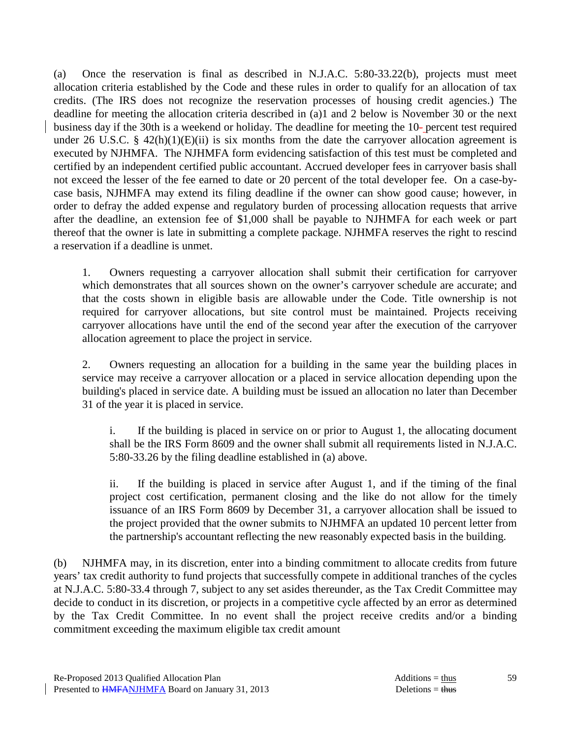(a) Once the reservation is final as described in N.J.A.C. 5:80-33.22(b), projects must meet allocation criteria established by the Code and these rules in order to qualify for an allocation of tax credits. (The IRS does not recognize the reservation processes of housing credit agencies.) The deadline for meeting the allocation criteria described in (a)1 and 2 below is November 30 or the next business day if the 30th is a weekend or holiday. The deadline for meeting the 10- percent test required under 26 U.S.C. §  $42(h)(1)(E)(ii)$  is six months from the date the carryover allocation agreement is executed by NJHMFA. The NJHMFA form evidencing satisfaction of this test must be completed and certified by an independent certified public accountant. Accrued developer fees in carryover basis shall not exceed the lesser of the fee earned to date or 20 percent of the total developer fee. On a case-bycase basis, NJHMFA may extend its filing deadline if the owner can show good cause; however, in order to defray the added expense and regulatory burden of processing allocation requests that arrive after the deadline, an extension fee of \$1,000 shall be payable to NJHMFA for each week or part thereof that the owner is late in submitting a complete package. NJHMFA reserves the right to rescind a reservation if a deadline is unmet.

 1. Owners requesting a carryover allocation shall submit their certification for carryover which demonstrates that all sources shown on the owner's carryover schedule are accurate; and that the costs shown in eligible basis are allowable under the Code. Title ownership is not required for carryover allocations, but site control must be maintained. Projects receiving carryover allocations have until the end of the second year after the execution of the carryover allocation agreement to place the project in service.

 2. Owners requesting an allocation for a building in the same year the building places in service may receive a carryover allocation or a placed in service allocation depending upon the building's placed in service date. A building must be issued an allocation no later than December 31 of the year it is placed in service.

 i. If the building is placed in service on or prior to August 1, the allocating document shall be the IRS Form 8609 and the owner shall submit all requirements listed in N.J.A.C. 5:80-33.26 by the filing deadline established in (a) above.

 ii. If the building is placed in service after August 1, and if the timing of the final project cost certification, permanent closing and the like do not allow for the timely issuance of an IRS Form 8609 by December 31, a carryover allocation shall be issued to the project provided that the owner submits to NJHMFA an updated 10 percent letter from the partnership's accountant reflecting the new reasonably expected basis in the building.

(b) NJHMFA may, in its discretion, enter into a binding commitment to allocate credits from future years' tax credit authority to fund projects that successfully compete in additional tranches of the cycles at N.J.A.C. 5:80-33.4 through 7, subject to any set asides thereunder, as the Tax Credit Committee may decide to conduct in its discretion, or projects in a competitive cycle affected by an error as determined by the Tax Credit Committee. In no event shall the project receive credits and/or a binding commitment exceeding the maximum eligible tax credit amount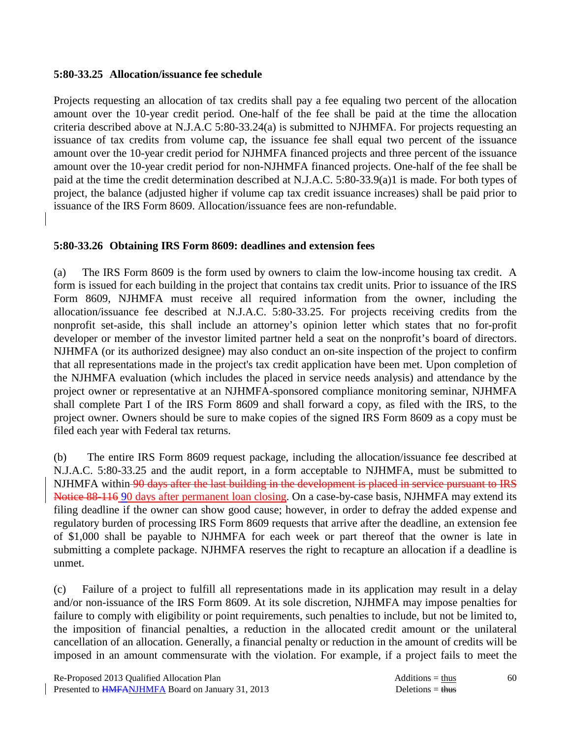#### **5:80-33.25 Allocation/issuance fee schedule**

Projects requesting an allocation of tax credits shall pay a fee equaling two percent of the allocation amount over the 10-year credit period. One-half of the fee shall be paid at the time the allocation criteria described above at N.J.A.C 5:80-33.24(a) is submitted to NJHMFA. For projects requesting an issuance of tax credits from volume cap, the issuance fee shall equal two percent of the issuance amount over the 10-year credit period for NJHMFA financed projects and three percent of the issuance amount over the 10-year credit period for non-NJHMFA financed projects. One-half of the fee shall be paid at the time the credit determination described at N.J.A.C. 5:80-33.9(a)1 is made. For both types of project, the balance (adjusted higher if volume cap tax credit issuance increases) shall be paid prior to issuance of the IRS Form 8609. Allocation/issuance fees are non-refundable.

# **5:80-33.26 Obtaining IRS Form 8609: deadlines and extension fees**

(a) The IRS Form 8609 is the form used by owners to claim the low-income housing tax credit. A form is issued for each building in the project that contains tax credit units. Prior to issuance of the IRS Form 8609, NJHMFA must receive all required information from the owner, including the allocation/issuance fee described at N.J.A.C. 5:80-33.25. For projects receiving credits from the nonprofit set-aside, this shall include an attorney's opinion letter which states that no for-profit developer or member of the investor limited partner held a seat on the nonprofit's board of directors. NJHMFA (or its authorized designee) may also conduct an on-site inspection of the project to confirm that all representations made in the project's tax credit application have been met. Upon completion of the NJHMFA evaluation (which includes the placed in service needs analysis) and attendance by the project owner or representative at an NJHMFA-sponsored compliance monitoring seminar, NJHMFA shall complete Part I of the IRS Form 8609 and shall forward a copy, as filed with the IRS, to the project owner. Owners should be sure to make copies of the signed IRS Form 8609 as a copy must be filed each year with Federal tax returns.

(b) The entire IRS Form 8609 request package, including the allocation/issuance fee described at N.J.A.C. 5:80-33.25 and the audit report, in a form acceptable to NJHMFA, must be submitted to NJHMFA within 90 days after the last building in the development is placed in service pursuant to IRS Notice 88-116 90 days after permanent loan closing. On a case-by-case basis, NJHMFA may extend its filing deadline if the owner can show good cause; however, in order to defray the added expense and regulatory burden of processing IRS Form 8609 requests that arrive after the deadline, an extension fee of \$1,000 shall be payable to NJHMFA for each week or part thereof that the owner is late in submitting a complete package. NJHMFA reserves the right to recapture an allocation if a deadline is unmet.

(c) Failure of a project to fulfill all representations made in its application may result in a delay and/or non-issuance of the IRS Form 8609. At its sole discretion, NJHMFA may impose penalties for failure to comply with eligibility or point requirements, such penalties to include, but not be limited to, the imposition of financial penalties, a reduction in the allocated credit amount or the unilateral cancellation of an allocation. Generally, a financial penalty or reduction in the amount of credits will be imposed in an amount commensurate with the violation. For example, if a project fails to meet the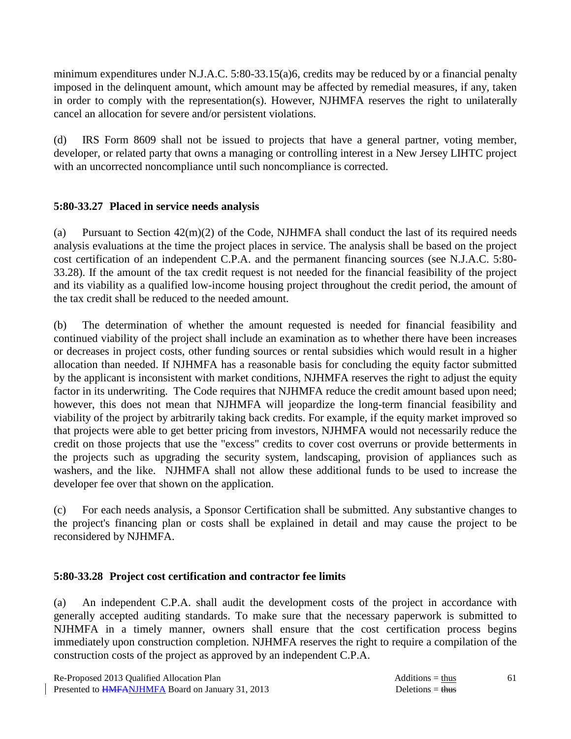minimum expenditures under N.J.A.C. 5:80-33.15(a)6, credits may be reduced by or a financial penalty imposed in the delinquent amount, which amount may be affected by remedial measures, if any, taken in order to comply with the representation(s). However, NJHMFA reserves the right to unilaterally cancel an allocation for severe and/or persistent violations.

(d) IRS Form 8609 shall not be issued to projects that have a general partner, voting member, developer, or related party that owns a managing or controlling interest in a New Jersey LIHTC project with an uncorrected noncompliance until such noncompliance is corrected.

# **5:80-33.27 Placed in service needs analysis**

(a) Pursuant to Section 42(m)(2) of the Code, NJHMFA shall conduct the last of its required needs analysis evaluations at the time the project places in service. The analysis shall be based on the project cost certification of an independent C.P.A. and the permanent financing sources (see N.J.A.C. 5:80- 33.28). If the amount of the tax credit request is not needed for the financial feasibility of the project and its viability as a qualified low-income housing project throughout the credit period, the amount of the tax credit shall be reduced to the needed amount.

(b) The determination of whether the amount requested is needed for financial feasibility and continued viability of the project shall include an examination as to whether there have been increases or decreases in project costs, other funding sources or rental subsidies which would result in a higher allocation than needed. If NJHMFA has a reasonable basis for concluding the equity factor submitted by the applicant is inconsistent with market conditions, NJHMFA reserves the right to adjust the equity factor in its underwriting. The Code requires that NJHMFA reduce the credit amount based upon need; however, this does not mean that NJHMFA will jeopardize the long-term financial feasibility and viability of the project by arbitrarily taking back credits. For example, if the equity market improved so that projects were able to get better pricing from investors, NJHMFA would not necessarily reduce the credit on those projects that use the "excess" credits to cover cost overruns or provide betterments in the projects such as upgrading the security system, landscaping, provision of appliances such as washers, and the like. NJHMFA shall not allow these additional funds to be used to increase the developer fee over that shown on the application.

(c) For each needs analysis, a Sponsor Certification shall be submitted. Any substantive changes to the project's financing plan or costs shall be explained in detail and may cause the project to be reconsidered by NJHMFA.

# **5:80-33.28 Project cost certification and contractor fee limits**

(a) An independent C.P.A. shall audit the development costs of the project in accordance with generally accepted auditing standards. To make sure that the necessary paperwork is submitted to NJHMFA in a timely manner, owners shall ensure that the cost certification process begins immediately upon construction completion. NJHMFA reserves the right to require a compilation of the construction costs of the project as approved by an independent C.P.A.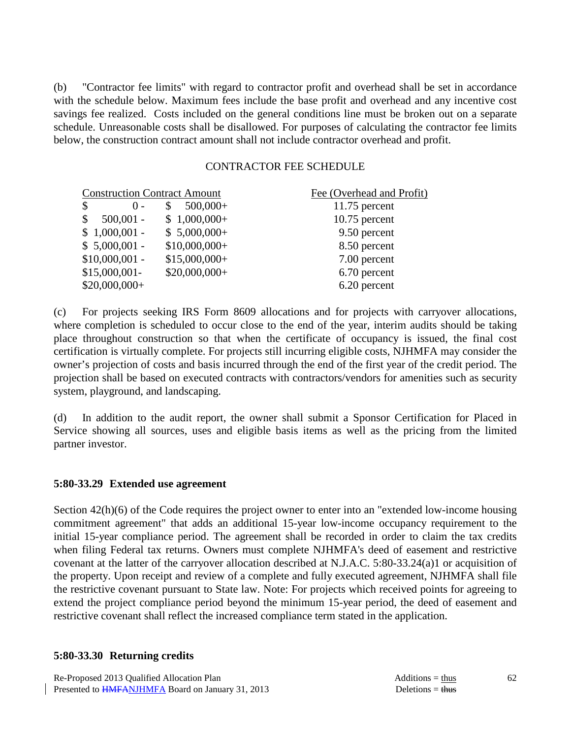(b) "Contractor fee limits" with regard to contractor profit and overhead shall be set in accordance with the schedule below. Maximum fees include the base profit and overhead and any incentive cost savings fee realized. Costs included on the general conditions line must be broken out on a separate schedule. Unreasonable costs shall be disallowed. For purposes of calculating the contractor fee limits below, the construction contract amount shall not include contractor overhead and profit.

#### CONTRACTOR FEE SCHEDULE

| <b>Construction Contract Amount</b> |                | Fee (Overhead and Profit) |
|-------------------------------------|----------------|---------------------------|
| \$<br>$() -$                        | $500,000+$     | $11.75$ percent           |
| $500,001 -$<br><sup>\$</sup>        | $$1,000,000+$  | $10.75$ percent           |
| $$1,000,001$ -                      | $$5,000,000+$  | 9.50 percent              |
| $$5,000,001$ -                      | $$10,000,000+$ | 8.50 percent              |
| $$10,000,001$ -                     | $$15,000,000+$ | 7.00 percent              |
| $$15,000,001-$                      | $$20,000,000+$ | 6.70 percent              |
| $$20,000,000+$                      |                | 6.20 percent              |

(c) For projects seeking IRS Form 8609 allocations and for projects with carryover allocations, where completion is scheduled to occur close to the end of the year, interim audits should be taking place throughout construction so that when the certificate of occupancy is issued, the final cost certification is virtually complete. For projects still incurring eligible costs, NJHMFA may consider the owner's projection of costs and basis incurred through the end of the first year of the credit period. The projection shall be based on executed contracts with contractors/vendors for amenities such as security system, playground, and landscaping.

(d) In addition to the audit report, the owner shall submit a Sponsor Certification for Placed in Service showing all sources, uses and eligible basis items as well as the pricing from the limited partner investor.

#### **5:80-33.29 Extended use agreement**

Section 42(h)(6) of the Code requires the project owner to enter into an "extended low-income housing commitment agreement" that adds an additional 15-year low-income occupancy requirement to the initial 15-year compliance period. The agreement shall be recorded in order to claim the tax credits when filing Federal tax returns. Owners must complete NJHMFA's deed of easement and restrictive covenant at the latter of the carryover allocation described at N.J.A.C. 5:80-33.24(a)1 or acquisition of the property. Upon receipt and review of a complete and fully executed agreement, NJHMFA shall file the restrictive covenant pursuant to State law. Note: For projects which received points for agreeing to extend the project compliance period beyond the minimum 15-year period, the deed of easement and restrictive covenant shall reflect the increased compliance term stated in the application.

#### **5:80-33.30 Returning credits**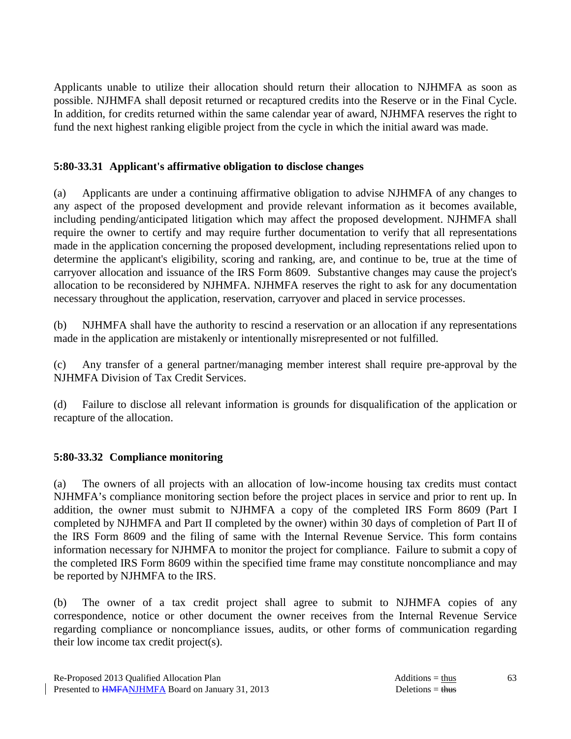Applicants unable to utilize their allocation should return their allocation to NJHMFA as soon as possible. NJHMFA shall deposit returned or recaptured credits into the Reserve or in the Final Cycle. In addition, for credits returned within the same calendar year of award, NJHMFA reserves the right to fund the next highest ranking eligible project from the cycle in which the initial award was made.

### **5:80-33.31 Applicant's affirmative obligation to disclose changes**

(a) Applicants are under a continuing affirmative obligation to advise NJHMFA of any changes to any aspect of the proposed development and provide relevant information as it becomes available, including pending/anticipated litigation which may affect the proposed development. NJHMFA shall require the owner to certify and may require further documentation to verify that all representations made in the application concerning the proposed development, including representations relied upon to determine the applicant's eligibility, scoring and ranking, are, and continue to be, true at the time of carryover allocation and issuance of the IRS Form 8609. Substantive changes may cause the project's allocation to be reconsidered by NJHMFA. NJHMFA reserves the right to ask for any documentation necessary throughout the application, reservation, carryover and placed in service processes.

(b) NJHMFA shall have the authority to rescind a reservation or an allocation if any representations made in the application are mistakenly or intentionally misrepresented or not fulfilled.

(c) Any transfer of a general partner/managing member interest shall require pre-approval by the NJHMFA Division of Tax Credit Services.

(d) Failure to disclose all relevant information is grounds for disqualification of the application or recapture of the allocation.

# **5:80-33.32 Compliance monitoring**

(a) The owners of all projects with an allocation of low-income housing tax credits must contact NJHMFA's compliance monitoring section before the project places in service and prior to rent up. In addition, the owner must submit to NJHMFA a copy of the completed IRS Form 8609 (Part I completed by NJHMFA and Part II completed by the owner) within 30 days of completion of Part II of the IRS Form 8609 and the filing of same with the Internal Revenue Service. This form contains information necessary for NJHMFA to monitor the project for compliance. Failure to submit a copy of the completed IRS Form 8609 within the specified time frame may constitute noncompliance and may be reported by NJHMFA to the IRS.

(b) The owner of a tax credit project shall agree to submit to NJHMFA copies of any correspondence, notice or other document the owner receives from the Internal Revenue Service regarding compliance or noncompliance issues, audits, or other forms of communication regarding their low income tax credit project(s).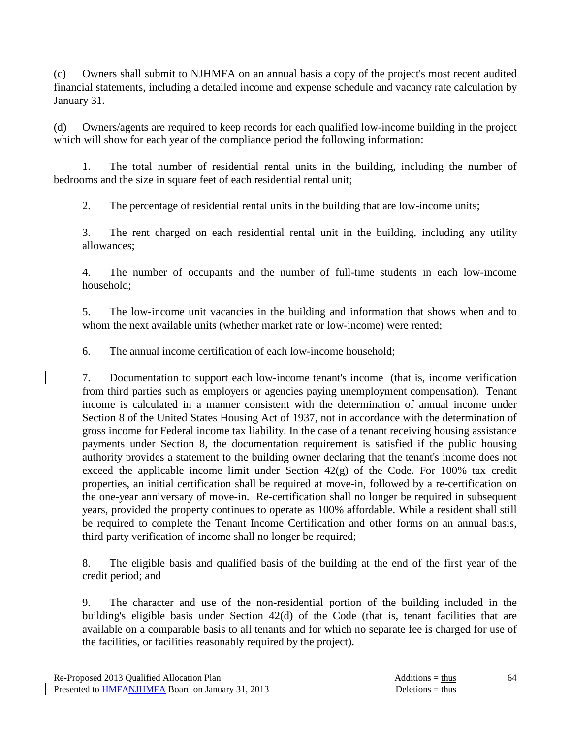(c) Owners shall submit to NJHMFA on an annual basis a copy of the project's most recent audited financial statements, including a detailed income and expense schedule and vacancy rate calculation by January 31.

(d) Owners/agents are required to keep records for each qualified low-income building in the project which will show for each year of the compliance period the following information:

 1. The total number of residential rental units in the building, including the number of bedrooms and the size in square feet of each residential rental unit;

2. The percentage of residential rental units in the building that are low-income units;

 3. The rent charged on each residential rental unit in the building, including any utility allowances;

 4. The number of occupants and the number of full-time students in each low-income household;

 5. The low-income unit vacancies in the building and information that shows when and to whom the next available units (whether market rate or low-income) were rented;

6. The annual income certification of each low-income household;

 7. Documentation to support each low-income tenant's income (that is, income verification from third parties such as employers or agencies paying unemployment compensation). Tenant income is calculated in a manner consistent with the determination of annual income under Section 8 of the United States Housing Act of 1937, not in accordance with the determination of gross income for Federal income tax liability. In the case of a tenant receiving housing assistance payments under Section 8, the documentation requirement is satisfied if the public housing authority provides a statement to the building owner declaring that the tenant's income does not exceed the applicable income limit under Section  $42(g)$  of the Code. For 100% tax credit properties, an initial certification shall be required at move-in, followed by a re-certification on the one-year anniversary of move-in. Re-certification shall no longer be required in subsequent years, provided the property continues to operate as 100% affordable. While a resident shall still be required to complete the Tenant Income Certification and other forms on an annual basis, third party verification of income shall no longer be required;

 8. The eligible basis and qualified basis of the building at the end of the first year of the credit period; and

 9. The character and use of the non-residential portion of the building included in the building's eligible basis under Section 42(d) of the Code (that is, tenant facilities that are available on a comparable basis to all tenants and for which no separate fee is charged for use of the facilities, or facilities reasonably required by the project).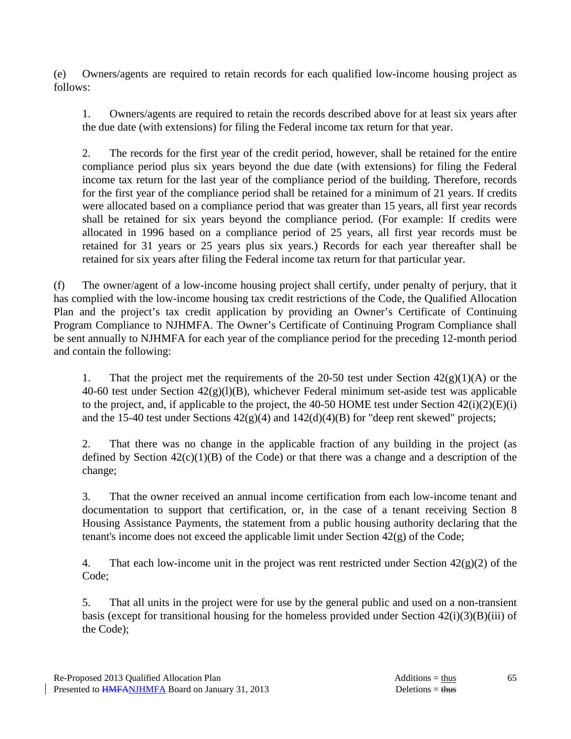(e) Owners/agents are required to retain records for each qualified low-income housing project as follows:

 1. Owners/agents are required to retain the records described above for at least six years after the due date (with extensions) for filing the Federal income tax return for that year.

 2. The records for the first year of the credit period, however, shall be retained for the entire compliance period plus six years beyond the due date (with extensions) for filing the Federal income tax return for the last year of the compliance period of the building. Therefore, records for the first year of the compliance period shall be retained for a minimum of 21 years. If credits were allocated based on a compliance period that was greater than 15 years, all first year records shall be retained for six years beyond the compliance period. (For example: If credits were allocated in 1996 based on a compliance period of 25 years, all first year records must be retained for 31 years or 25 years plus six years.) Records for each year thereafter shall be retained for six years after filing the Federal income tax return for that particular year.

(f) The owner/agent of a low-income housing project shall certify, under penalty of perjury, that it has complied with the low-income housing tax credit restrictions of the Code, the Qualified Allocation Plan and the project's tax credit application by providing an Owner's Certificate of Continuing Program Compliance to NJHMFA. The Owner's Certificate of Continuing Program Compliance shall be sent annually to NJHMFA for each year of the compliance period for the preceding 12-month period and contain the following:

1. That the project met the requirements of the 20-50 test under Section  $42(g)(1)(A)$  or the 40-60 test under Section  $42(g)(1)(B)$ , whichever Federal minimum set-aside test was applicable to the project, and, if applicable to the project, the 40-50 HOME test under Section  $42(i)(2)(E)(i)$ and the 15-40 test under Sections 42(g)(4) and 142(d)(4)(B) for "deep rent skewed" projects;

 2. That there was no change in the applicable fraction of any building in the project (as defined by Section  $42(c)(1)(B)$  of the Code) or that there was a change and a description of the change;

 3. That the owner received an annual income certification from each low-income tenant and documentation to support that certification, or, in the case of a tenant receiving Section 8 Housing Assistance Payments, the statement from a public housing authority declaring that the tenant's income does not exceed the applicable limit under Section 42(g) of the Code;

4. That each low-income unit in the project was rent restricted under Section  $42(g)(2)$  of the Code;

 5. That all units in the project were for use by the general public and used on a non-transient basis (except for transitional housing for the homeless provided under Section  $42(i)(3)(B)(iii)$  of the Code);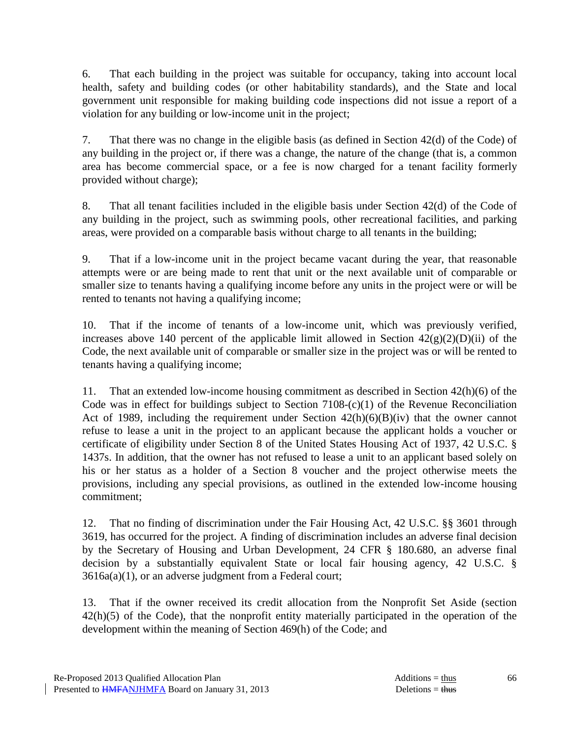6. That each building in the project was suitable for occupancy, taking into account local health, safety and building codes (or other habitability standards), and the State and local government unit responsible for making building code inspections did not issue a report of a violation for any building or low-income unit in the project;

 7. That there was no change in the eligible basis (as defined in Section 42(d) of the Code) of any building in the project or, if there was a change, the nature of the change (that is, a common area has become commercial space, or a fee is now charged for a tenant facility formerly provided without charge);

 8. That all tenant facilities included in the eligible basis under Section 42(d) of the Code of any building in the project, such as swimming pools, other recreational facilities, and parking areas, were provided on a comparable basis without charge to all tenants in the building;

 9. That if a low-income unit in the project became vacant during the year, that reasonable attempts were or are being made to rent that unit or the next available unit of comparable or smaller size to tenants having a qualifying income before any units in the project were or will be rented to tenants not having a qualifying income;

 10. That if the income of tenants of a low-income unit, which was previously verified, increases above 140 percent of the applicable limit allowed in Section  $42(g)(2)(D)(ii)$  of the Code, the next available unit of comparable or smaller size in the project was or will be rented to tenants having a qualifying income;

 11. That an extended low-income housing commitment as described in Section 42(h)(6) of the Code was in effect for buildings subject to Section 7108-(c)(1) of the Revenue Reconciliation Act of 1989, including the requirement under Section  $42(h)(6)(B)(iv)$  that the owner cannot refuse to lease a unit in the project to an applicant because the applicant holds a voucher or certificate of eligibility under Section 8 of the United States Housing Act of 1937, 42 U.S.C. § 1437s. In addition, that the owner has not refused to lease a unit to an applicant based solely on his or her status as a holder of a Section 8 voucher and the project otherwise meets the provisions, including any special provisions, as outlined in the extended low-income housing commitment;

 12. That no finding of discrimination under the Fair Housing Act, 42 U.S.C. §§ 3601 through 3619, has occurred for the project. A finding of discrimination includes an adverse final decision by the Secretary of Housing and Urban Development, 24 CFR § 180.680, an adverse final decision by a substantially equivalent State or local fair housing agency, 42 U.S.C. § 3616a(a)(1), or an adverse judgment from a Federal court;

 13. That if the owner received its credit allocation from the Nonprofit Set Aside (section 42(h)(5) of the Code), that the nonprofit entity materially participated in the operation of the development within the meaning of Section 469(h) of the Code; and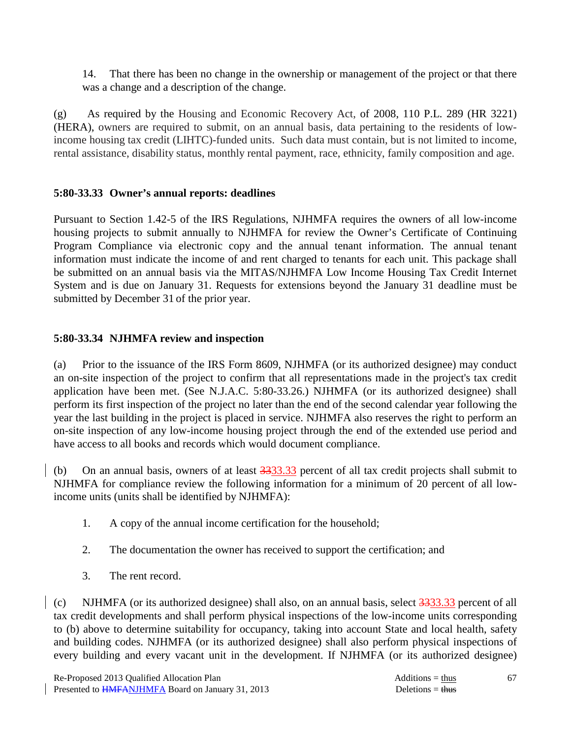14. That there has been no change in the ownership or management of the project or that there was a change and a description of the change.

(g) As required by the Housing and Economic Recovery Act, of 2008, 110 P.L. 289 (HR 3221) (HERA), owners are required to submit, on an annual basis, data pertaining to the residents of lowincome housing tax credit (LIHTC)-funded units. Such data must contain, but is not limited to income, rental assistance, disability status, monthly rental payment, race, ethnicity, family composition and age.

# **5:80-33.33 Owner's annual reports: deadlines**

Pursuant to Section 1.42-5 of the IRS Regulations, NJHMFA requires the owners of all low-income housing projects to submit annually to NJHMFA for review the Owner's Certificate of Continuing Program Compliance via electronic copy and the annual tenant information. The annual tenant information must indicate the income of and rent charged to tenants for each unit. This package shall be submitted on an annual basis via the MITAS/NJHMFA Low Income Housing Tax Credit Internet System and is due on January 31. Requests for extensions beyond the January 31 deadline must be submitted by December 31 of the prior year.

# **5:80-33.34 NJHMFA review and inspection**

(a) Prior to the issuance of the IRS Form 8609, NJHMFA (or its authorized designee) may conduct an on-site inspection of the project to confirm that all representations made in the project's tax credit application have been met. (See N.J.A.C. 5:80-33.26.) NJHMFA (or its authorized designee) shall perform its first inspection of the project no later than the end of the second calendar year following the year the last building in the project is placed in service. NJHMFA also reserves the right to perform an on-site inspection of any low-income housing project through the end of the extended use period and have access to all books and records which would document compliance.

(b) On an annual basis, owners of at least 3333.33 percent of all tax credit projects shall submit to NJHMFA for compliance review the following information for a minimum of 20 percent of all lowincome units (units shall be identified by NJHMFA):

- 1. A copy of the annual income certification for the household;
- 2. The documentation the owner has received to support the certification; and
- 3. The rent record.

(c) NJHMFA (or its authorized designee) shall also, on an annual basis, select 3333.33 percent of all tax credit developments and shall perform physical inspections of the low-income units corresponding to (b) above to determine suitability for occupancy, taking into account State and local health, safety and building codes. NJHMFA (or its authorized designee) shall also perform physical inspections of every building and every vacant unit in the development. If NJHMFA (or its authorized designee)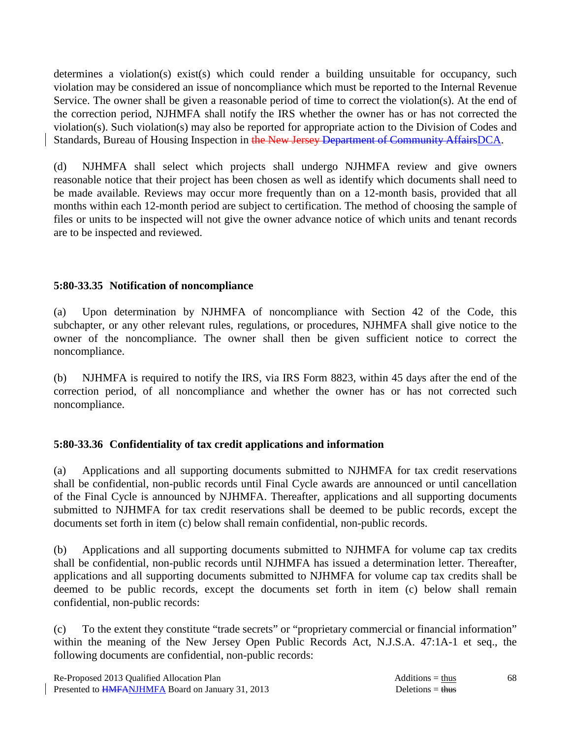determines a violation(s) exist(s) which could render a building unsuitable for occupancy, such violation may be considered an issue of noncompliance which must be reported to the Internal Revenue Service. The owner shall be given a reasonable period of time to correct the violation(s). At the end of the correction period, NJHMFA shall notify the IRS whether the owner has or has not corrected the violation(s). Such violation(s) may also be reported for appropriate action to the Division of Codes and Standards, Bureau of Housing Inspection in the New Jersey Department of Community AffairsDCA.

(d) NJHMFA shall select which projects shall undergo NJHMFA review and give owners reasonable notice that their project has been chosen as well as identify which documents shall need to be made available. Reviews may occur more frequently than on a 12-month basis, provided that all months within each 12-month period are subject to certification. The method of choosing the sample of files or units to be inspected will not give the owner advance notice of which units and tenant records are to be inspected and reviewed.

### **5:80-33.35 Notification of noncompliance**

(a) Upon determination by NJHMFA of noncompliance with Section 42 of the Code, this subchapter, or any other relevant rules, regulations, or procedures, NJHMFA shall give notice to the owner of the noncompliance. The owner shall then be given sufficient notice to correct the noncompliance.

(b) NJHMFA is required to notify the IRS, via IRS Form 8823, within 45 days after the end of the correction period, of all noncompliance and whether the owner has or has not corrected such noncompliance.

# **5:80-33.36 Confidentiality of tax credit applications and information**

(a) Applications and all supporting documents submitted to NJHMFA for tax credit reservations shall be confidential, non-public records until Final Cycle awards are announced or until cancellation of the Final Cycle is announced by NJHMFA. Thereafter, applications and all supporting documents submitted to NJHMFA for tax credit reservations shall be deemed to be public records, except the documents set forth in item (c) below shall remain confidential, non-public records.

(b) Applications and all supporting documents submitted to NJHMFA for volume cap tax credits shall be confidential, non-public records until NJHMFA has issued a determination letter. Thereafter, applications and all supporting documents submitted to NJHMFA for volume cap tax credits shall be deemed to be public records, except the documents set forth in item (c) below shall remain confidential, non-public records:

(c) To the extent they constitute "trade secrets" or "proprietary commercial or financial information" within the meaning of the New Jersey Open Public Records Act, N.J.S.A. 47:1A-1 et seq., the following documents are confidential, non-public records: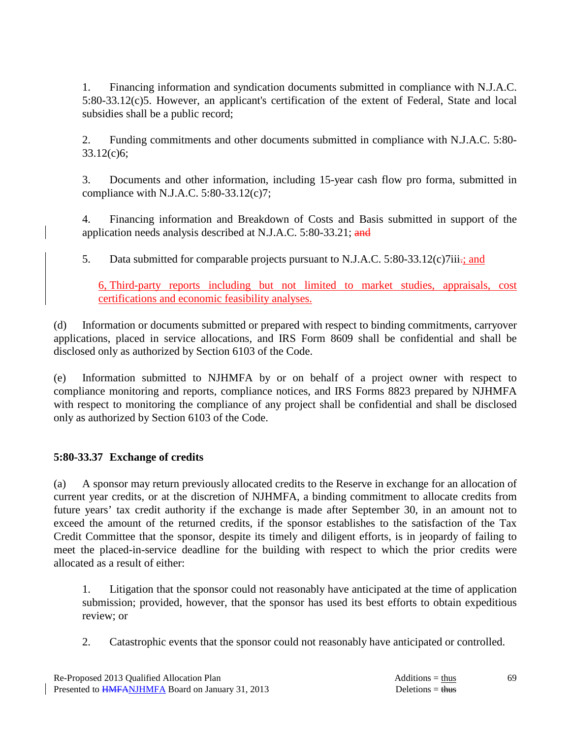1. Financing information and syndication documents submitted in compliance with N.J.A.C. 5:80-33.12(c)5. However, an applicant's certification of the extent of Federal, State and local subsidies shall be a public record;

 2. Funding commitments and other documents submitted in compliance with N.J.A.C. 5:80- 33.12(c)6;

 3. Documents and other information, including 15-year cash flow pro forma, submitted in compliance with N.J.A.C. 5:80-33.12(c)7;

 4. Financing information and Breakdown of Costs and Basis submitted in support of the application needs analysis described at N.J.A.C. 5:80-33.21; and

5. Data submitted for comparable projects pursuant to N.J.A.C. 5:80-33.12(c)7iii.; and

6, Third-party reports including but not limited to market studies, appraisals, cost certifications and economic feasibility analyses.

(d) Information or documents submitted or prepared with respect to binding commitments, carryover applications, placed in service allocations, and IRS Form 8609 shall be confidential and shall be disclosed only as authorized by Section 6103 of the Code.

(e) Information submitted to NJHMFA by or on behalf of a project owner with respect to compliance monitoring and reports, compliance notices, and IRS Forms 8823 prepared by NJHMFA with respect to monitoring the compliance of any project shall be confidential and shall be disclosed only as authorized by Section 6103 of the Code.

# **5:80-33.37 Exchange of credits**

(a) A sponsor may return previously allocated credits to the Reserve in exchange for an allocation of current year credits, or at the discretion of NJHMFA, a binding commitment to allocate credits from future years' tax credit authority if the exchange is made after September 30, in an amount not to exceed the amount of the returned credits, if the sponsor establishes to the satisfaction of the Tax Credit Committee that the sponsor, despite its timely and diligent efforts, is in jeopardy of failing to meet the placed-in-service deadline for the building with respect to which the prior credits were allocated as a result of either:

 1. Litigation that the sponsor could not reasonably have anticipated at the time of application submission; provided, however, that the sponsor has used its best efforts to obtain expeditious review; or

2. Catastrophic events that the sponsor could not reasonably have anticipated or controlled.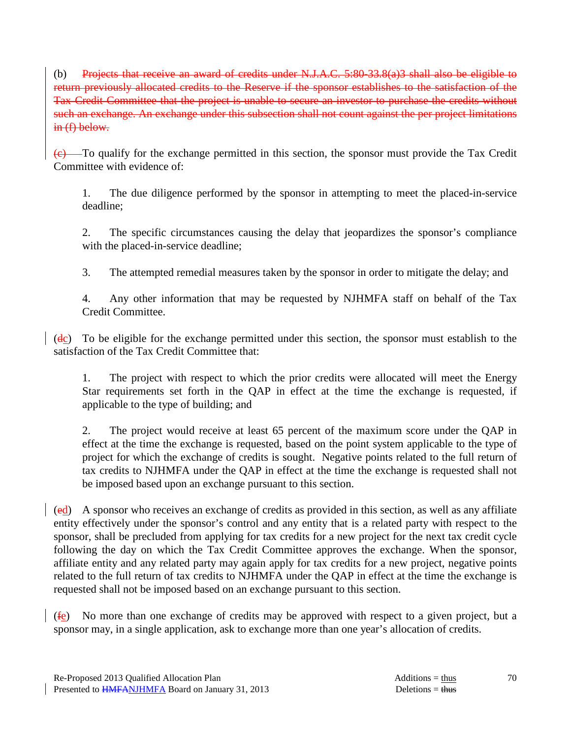(b) Projects that receive an award of credits under N.J.A.C. 5:80-33.8(a)3 shall also be eligible to return previously allocated credits to the Reserve if the sponsor establishes to the satisfaction of the Tax Credit Committee that the project is unable to secure an investor to purchase the credits without such an exchange. An exchange under this subsection shall not count against the per project limitations in (f) below.

 $\overline{(e)}$  To qualify for the exchange permitted in this section, the sponsor must provide the Tax Credit Committee with evidence of:

 1. The due diligence performed by the sponsor in attempting to meet the placed-in-service deadline;

 2. The specific circumstances causing the delay that jeopardizes the sponsor's compliance with the placed-in-service deadline;

3. The attempted remedial measures taken by the sponsor in order to mitigate the delay; and

 4. Any other information that may be requested by NJHMFA staff on behalf of the Tax Credit Committee.

 $(dc)$  To be eligible for the exchange permitted under this section, the sponsor must establish to the satisfaction of the Tax Credit Committee that:

 1. The project with respect to which the prior credits were allocated will meet the Energy Star requirements set forth in the QAP in effect at the time the exchange is requested, if applicable to the type of building; and

 2. The project would receive at least 65 percent of the maximum score under the QAP in effect at the time the exchange is requested, based on the point system applicable to the type of project for which the exchange of credits is sought. Negative points related to the full return of tax credits to NJHMFA under the QAP in effect at the time the exchange is requested shall not be imposed based upon an exchange pursuant to this section.

(ed) A sponsor who receives an exchange of credits as provided in this section, as well as any affiliate entity effectively under the sponsor's control and any entity that is a related party with respect to the sponsor, shall be precluded from applying for tax credits for a new project for the next tax credit cycle following the day on which the Tax Credit Committee approves the exchange. When the sponsor, affiliate entity and any related party may again apply for tax credits for a new project, negative points related to the full return of tax credits to NJHMFA under the QAP in effect at the time the exchange is requested shall not be imposed based on an exchange pursuant to this section.

(fe) No more than one exchange of credits may be approved with respect to a given project, but a sponsor may, in a single application, ask to exchange more than one year's allocation of credits.